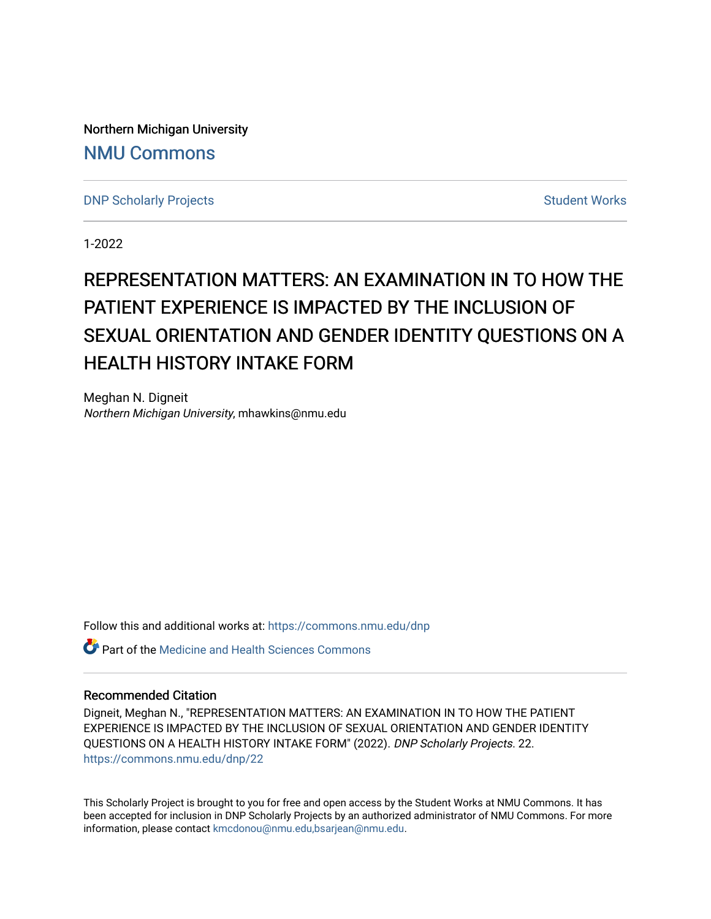Northern Michigan University [NMU Commons](https://commons.nmu.edu/) 

[DNP Scholarly Projects](https://commons.nmu.edu/dnp) **Student Works** [Student Works](https://commons.nmu.edu/student_works) Student Works

1-2022

# REPRESENTATION MATTERS: AN EXAMINATION IN TO HOW THE PATIENT EXPERIENCE IS IMPACTED BY THE INCLUSION OF SEXUAL ORIENTATION AND GENDER IDENTITY QUESTIONS ON A HEALTH HISTORY INTAKE FORM

Meghan N. Digneit Northern Michigan University, mhawkins@nmu.edu

Follow this and additional works at: [https://commons.nmu.edu/dnp](https://commons.nmu.edu/dnp?utm_source=commons.nmu.edu%2Fdnp%2F22&utm_medium=PDF&utm_campaign=PDFCoverPages) 

Part of the [Medicine and Health Sciences Commons](http://network.bepress.com/hgg/discipline/648?utm_source=commons.nmu.edu%2Fdnp%2F22&utm_medium=PDF&utm_campaign=PDFCoverPages) 

### Recommended Citation

Digneit, Meghan N., "REPRESENTATION MATTERS: AN EXAMINATION IN TO HOW THE PATIENT EXPERIENCE IS IMPACTED BY THE INCLUSION OF SEXUAL ORIENTATION AND GENDER IDENTITY QUESTIONS ON A HEALTH HISTORY INTAKE FORM" (2022). DNP Scholarly Projects. 22. [https://commons.nmu.edu/dnp/22](https://commons.nmu.edu/dnp/22?utm_source=commons.nmu.edu%2Fdnp%2F22&utm_medium=PDF&utm_campaign=PDFCoverPages) 

This Scholarly Project is brought to you for free and open access by the Student Works at NMU Commons. It has been accepted for inclusion in DNP Scholarly Projects by an authorized administrator of NMU Commons. For more information, please contact [kmcdonou@nmu.edu,bsarjean@nmu.edu](mailto:kmcdonou@nmu.edu,bsarjean@nmu.edu).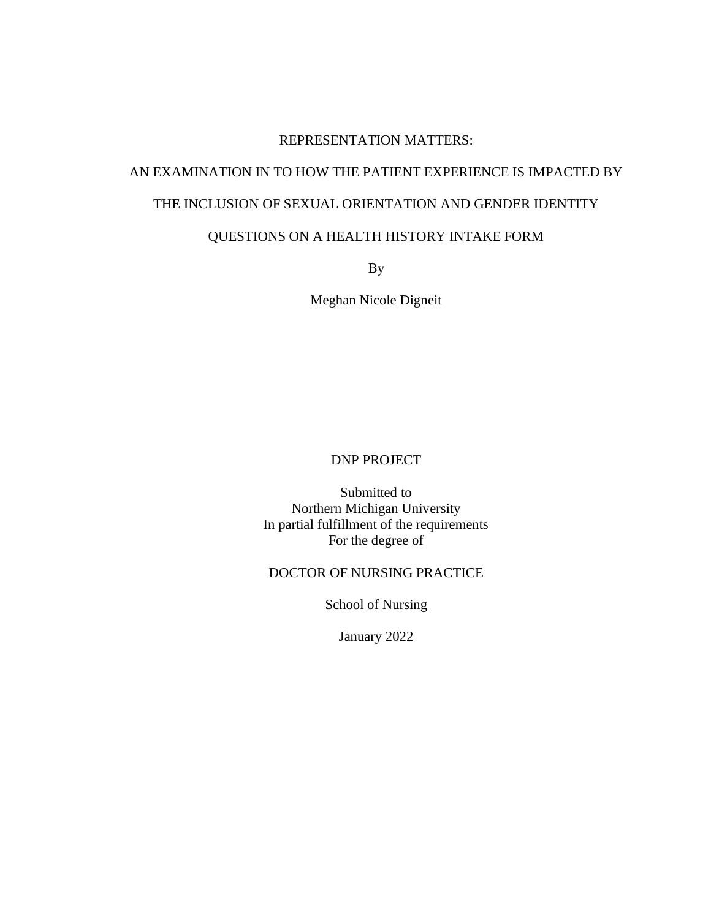## REPRESENTATION MATTERS:

# AN EXAMINATION IN TO HOW THE PATIENT EXPERIENCE IS IMPACTED BY THE INCLUSION OF SEXUAL ORIENTATION AND GENDER IDENTITY

### QUESTIONS ON A HEALTH HISTORY INTAKE FORM

By

Meghan Nicole Digneit

## DNP PROJECT

Submitted to Northern Michigan University In partial fulfillment of the requirements For the degree of

### DOCTOR OF NURSING PRACTICE

School of Nursing

January 2022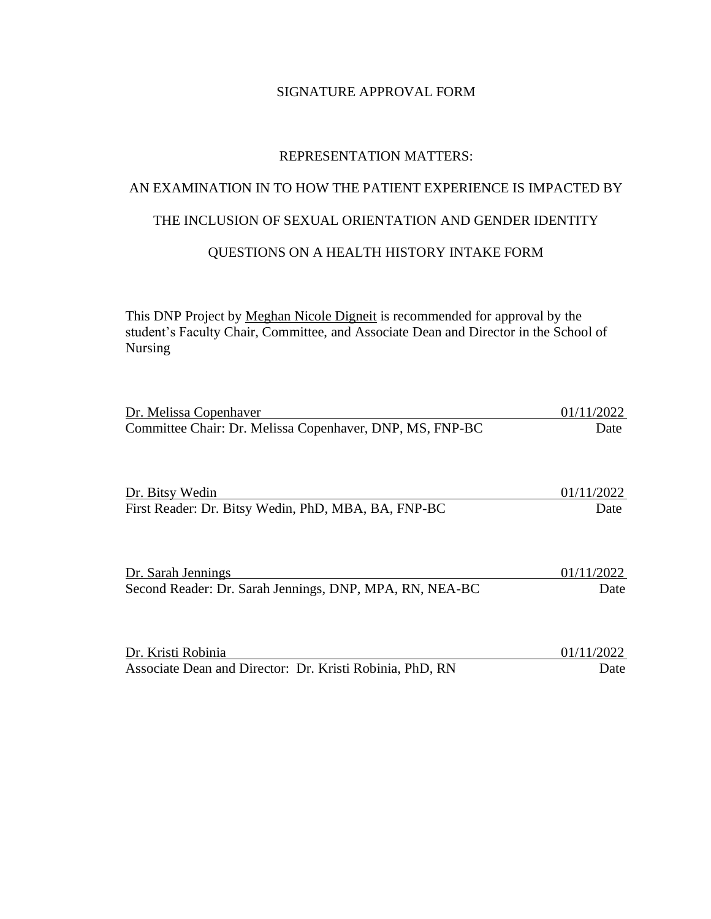## SIGNATURE APPROVAL FORM

### REPRESENTATION MATTERS:

# AN EXAMINATION IN TO HOW THE PATIENT EXPERIENCE IS IMPACTED BY

# THE INCLUSION OF SEXUAL ORIENTATION AND GENDER IDENTITY

## QUESTIONS ON A HEALTH HISTORY INTAKE FORM

This DNP Project by Meghan Nicole Digneit is recommended for approval by the student's Faculty Chair, Committee, and Associate Dean and Director in the School of Nursing

| Dr. Melissa Copenhaver                                   | 01/11/2022 |
|----------------------------------------------------------|------------|
| Committee Chair: Dr. Melissa Copenhaver, DNP, MS, FNP-BC | Date       |
|                                                          |            |
|                                                          |            |
|                                                          |            |
|                                                          |            |
| Dr. Bitsy Wedin                                          | 01/11/2022 |
| First Reader: Dr. Bitsy Wedin, PhD, MBA, BA, FNP-BC      | Date       |
|                                                          |            |
|                                                          |            |
|                                                          |            |
|                                                          |            |
| Dr. Sarah Jennings                                       | 01/11/2022 |
| Second Reader: Dr. Sarah Jennings, DNP, MPA, RN, NEA-BC  | Date       |
|                                                          |            |
|                                                          |            |
|                                                          |            |
|                                                          |            |
| Dr. Kristi Robinia                                       | 01/11/2022 |

Associate Dean and Director: Dr. Kristi Robinia, PhD, RN Date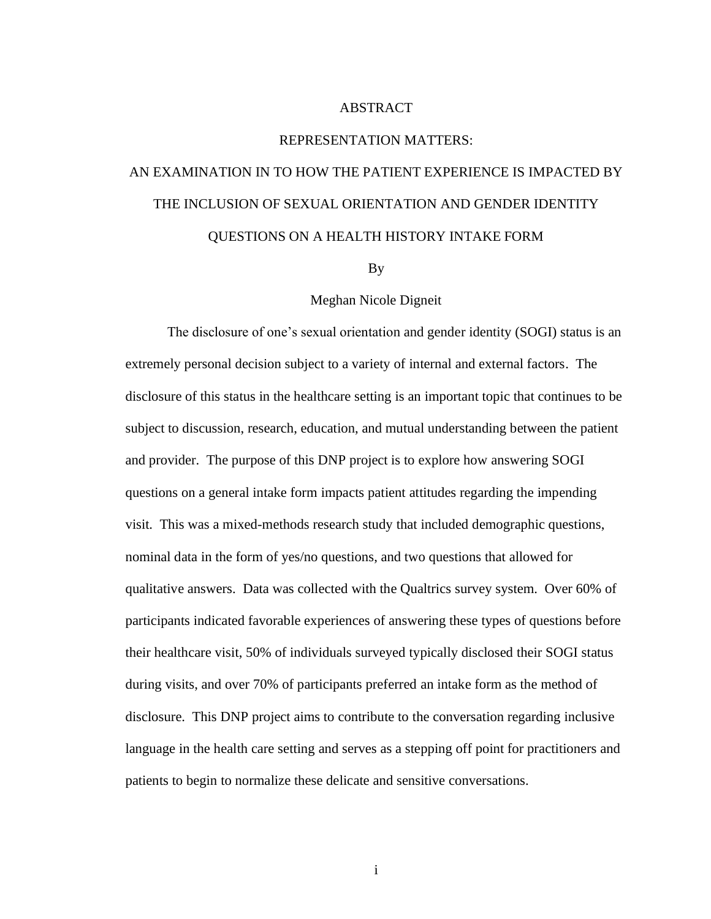### ABSTRACT

### REPRESENTATION MATTERS:

# AN EXAMINATION IN TO HOW THE PATIENT EXPERIENCE IS IMPACTED BY THE INCLUSION OF SEXUAL ORIENTATION AND GENDER IDENTITY QUESTIONS ON A HEALTH HISTORY INTAKE FORM

By

### Meghan Nicole Digneit

The disclosure of one's sexual orientation and gender identity (SOGI) status is an extremely personal decision subject to a variety of internal and external factors. The disclosure of this status in the healthcare setting is an important topic that continues to be subject to discussion, research, education, and mutual understanding between the patient and provider. The purpose of this DNP project is to explore how answering SOGI questions on a general intake form impacts patient attitudes regarding the impending visit. This was a mixed-methods research study that included demographic questions, nominal data in the form of yes/no questions, and two questions that allowed for qualitative answers. Data was collected with the Qualtrics survey system. Over 60% of participants indicated favorable experiences of answering these types of questions before their healthcare visit, 50% of individuals surveyed typically disclosed their SOGI status during visits, and over 70% of participants preferred an intake form as the method of disclosure. This DNP project aims to contribute to the conversation regarding inclusive language in the health care setting and serves as a stepping off point for practitioners and patients to begin to normalize these delicate and sensitive conversations.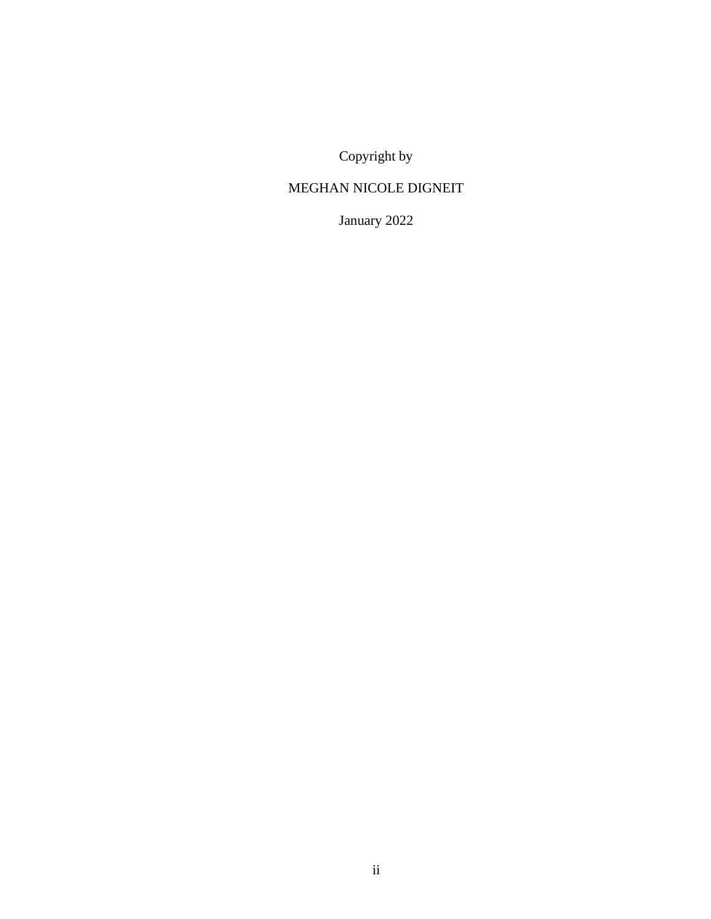Copyright by

# MEGHAN NICOLE DIGNEIT

January 2022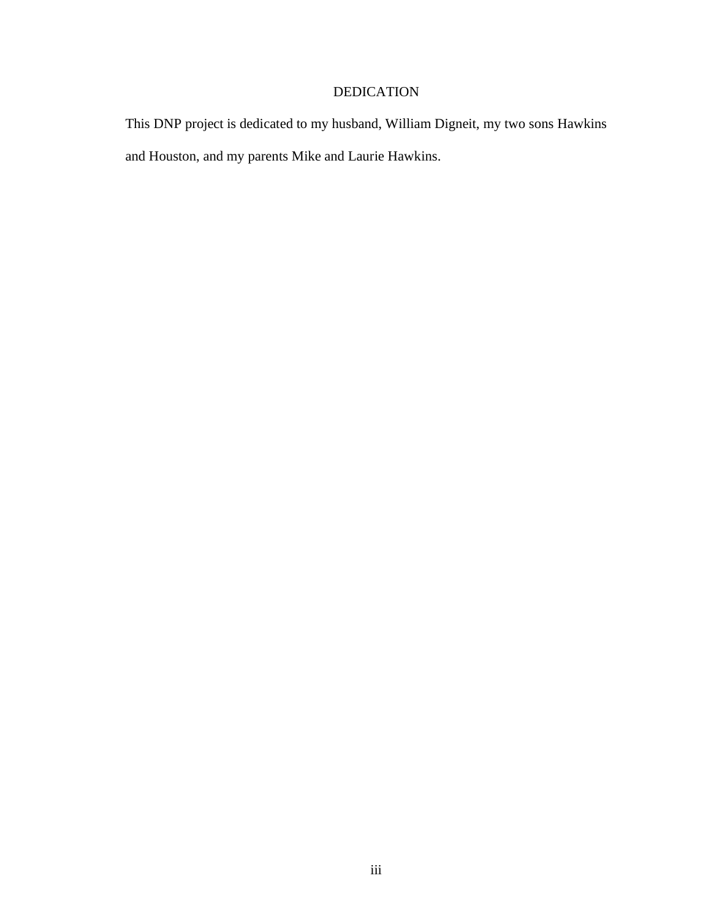# DEDICATION

This DNP project is dedicated to my husband, William Digneit, my two sons Hawkins and Houston, and my parents Mike and Laurie Hawkins.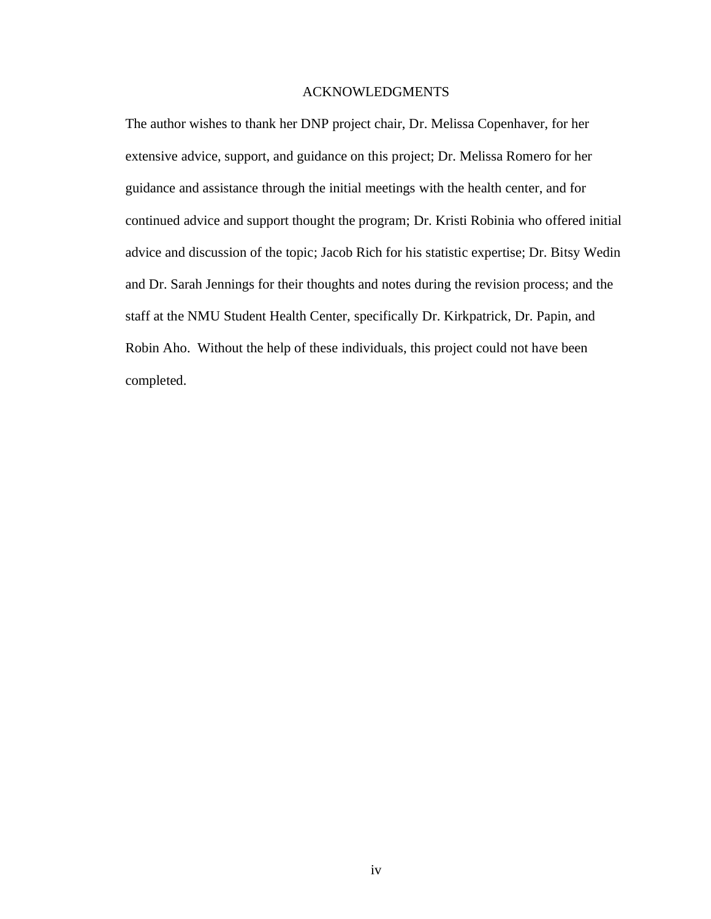### ACKNOWLEDGMENTS

The author wishes to thank her DNP project chair, Dr. Melissa Copenhaver, for her extensive advice, support, and guidance on this project; Dr. Melissa Romero for her guidance and assistance through the initial meetings with the health center, and for continued advice and support thought the program; Dr. Kristi Robinia who offered initial advice and discussion of the topic; Jacob Rich for his statistic expertise; Dr. Bitsy Wedin and Dr. Sarah Jennings for their thoughts and notes during the revision process; and the staff at the NMU Student Health Center, specifically Dr. Kirkpatrick, Dr. Papin, and Robin Aho. Without the help of these individuals, this project could not have been completed.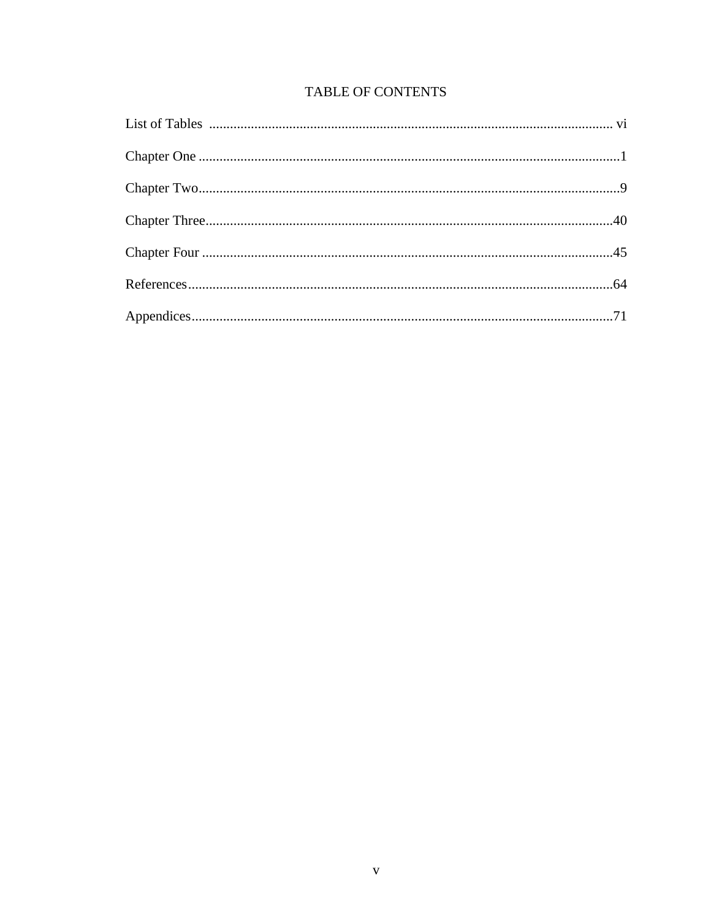# TABLE OF CONTENTS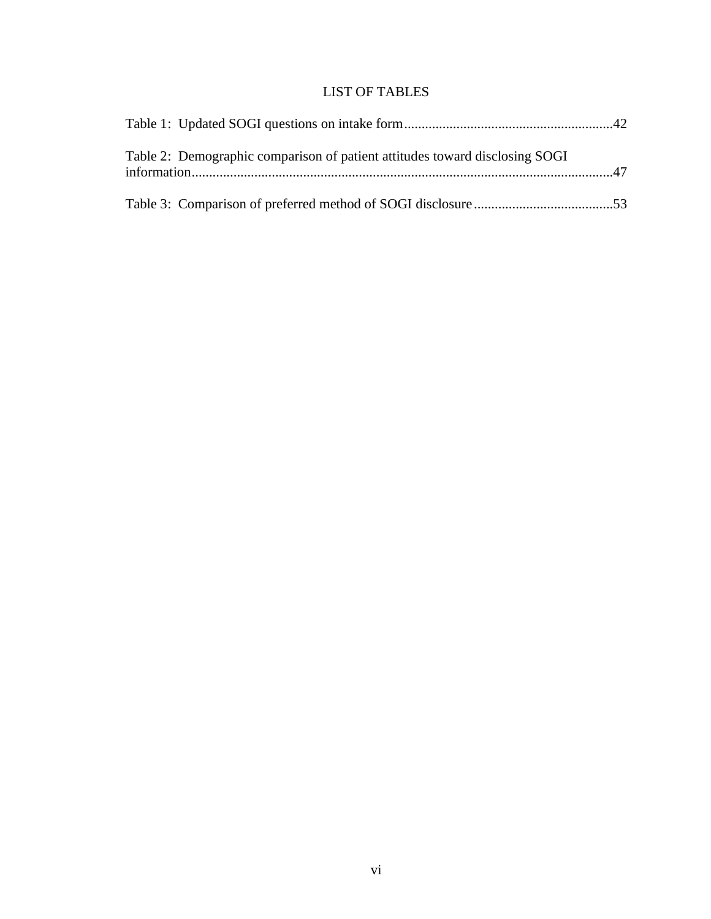# LIST OF TABLES

| Table 2: Demographic comparison of patient attitudes toward disclosing SOGI |  |
|-----------------------------------------------------------------------------|--|
|                                                                             |  |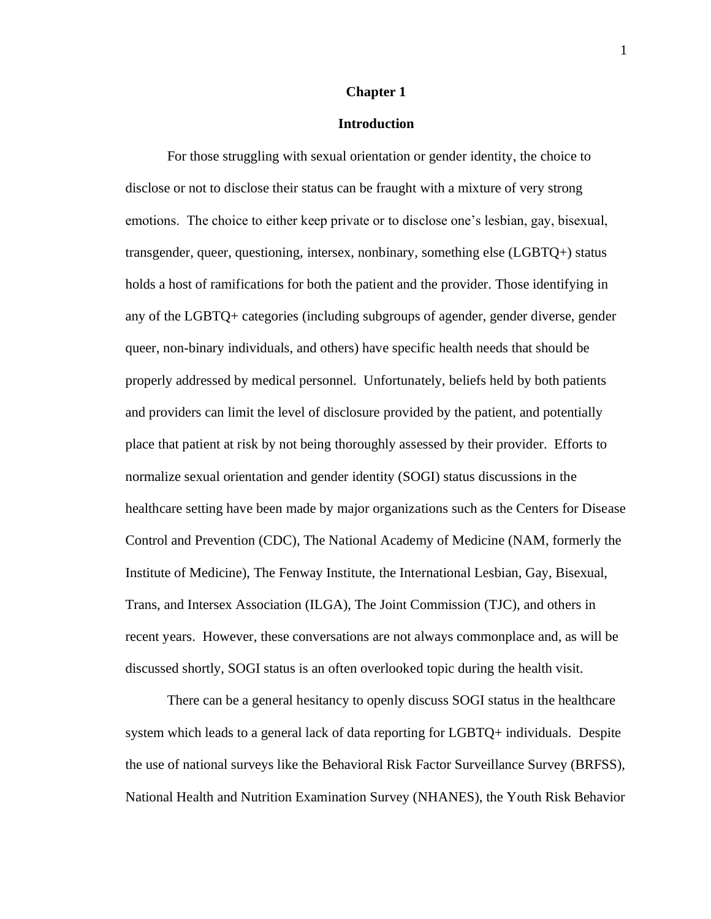### **Chapter 1**

### **Introduction**

For those struggling with sexual orientation or gender identity, the choice to disclose or not to disclose their status can be fraught with a mixture of very strong emotions. The choice to either keep private or to disclose one's lesbian, gay, bisexual, transgender, queer, questioning, intersex, nonbinary, something else (LGBTQ+) status holds a host of ramifications for both the patient and the provider. Those identifying in any of the LGBTQ+ categories (including subgroups of agender, gender diverse, gender queer, non-binary individuals, and others) have specific health needs that should be properly addressed by medical personnel. Unfortunately, beliefs held by both patients and providers can limit the level of disclosure provided by the patient, and potentially place that patient at risk by not being thoroughly assessed by their provider. Efforts to normalize sexual orientation and gender identity (SOGI) status discussions in the healthcare setting have been made by major organizations such as the Centers for Disease Control and Prevention (CDC), The National Academy of Medicine (NAM, formerly the Institute of Medicine), The Fenway Institute, the International Lesbian, Gay, Bisexual, Trans, and Intersex Association (ILGA), The Joint Commission (TJC), and others in recent years. However, these conversations are not always commonplace and, as will be discussed shortly, SOGI status is an often overlooked topic during the health visit.

There can be a general hesitancy to openly discuss SOGI status in the healthcare system which leads to a general lack of data reporting for LGBTQ+ individuals. Despite the use of national surveys like the Behavioral Risk Factor Surveillance Survey (BRFSS), National Health and Nutrition Examination Survey (NHANES), the Youth Risk Behavior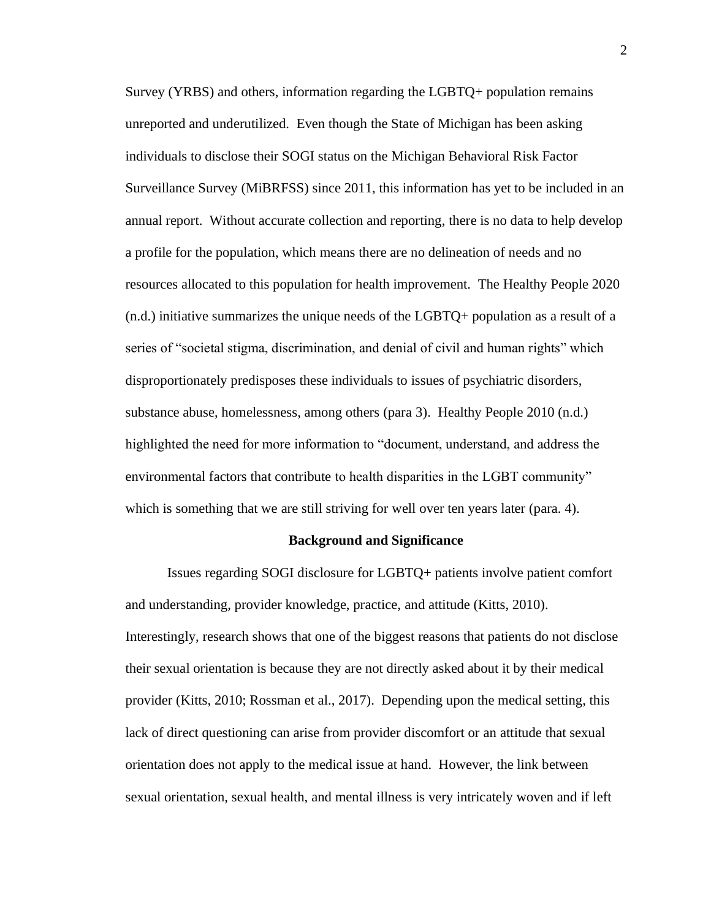Survey (YRBS) and others, information regarding the LGBTQ+ population remains unreported and underutilized. Even though the State of Michigan has been asking individuals to disclose their SOGI status on the Michigan Behavioral Risk Factor Surveillance Survey (MiBRFSS) since 2011, this information has yet to be included in an annual report. Without accurate collection and reporting, there is no data to help develop a profile for the population, which means there are no delineation of needs and no resources allocated to this population for health improvement. The Healthy People 2020 (n.d.) initiative summarizes the unique needs of the LGBTQ+ population as a result of a series of "societal stigma, discrimination, and denial of civil and human rights" which disproportionately predisposes these individuals to issues of psychiatric disorders, substance abuse, homelessness, among others (para 3). Healthy People 2010 (n.d.) highlighted the need for more information to "document, understand, and address the environmental factors that contribute to health disparities in the LGBT community" which is something that we are still striving for well over ten years later (para. 4).

#### **Background and Significance**

Issues regarding SOGI disclosure for LGBTQ+ patients involve patient comfort and understanding, provider knowledge, practice, and attitude (Kitts, 2010). Interestingly, research shows that one of the biggest reasons that patients do not disclose their sexual orientation is because they are not directly asked about it by their medical provider (Kitts, 2010; Rossman et al., 2017). Depending upon the medical setting, this lack of direct questioning can arise from provider discomfort or an attitude that sexual orientation does not apply to the medical issue at hand. However, the link between sexual orientation, sexual health, and mental illness is very intricately woven and if left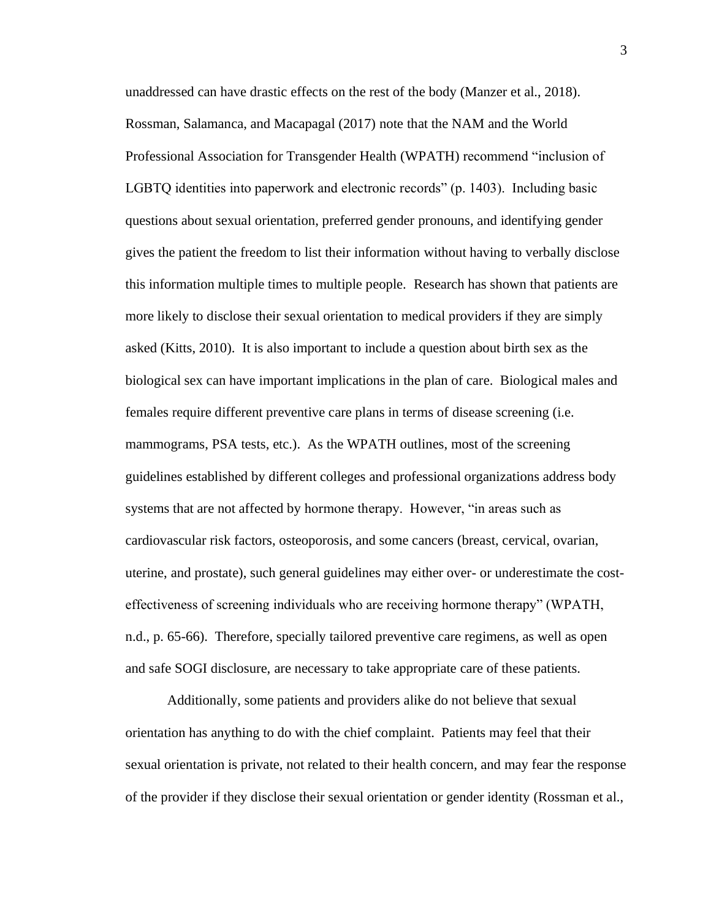unaddressed can have drastic effects on the rest of the body (Manzer et al., 2018). Rossman, Salamanca, and Macapagal (2017) note that the NAM and the World Professional Association for Transgender Health (WPATH) recommend "inclusion of LGBTQ identities into paperwork and electronic records" (p. 1403). Including basic questions about sexual orientation, preferred gender pronouns, and identifying gender gives the patient the freedom to list their information without having to verbally disclose this information multiple times to multiple people. Research has shown that patients are more likely to disclose their sexual orientation to medical providers if they are simply asked (Kitts, 2010). It is also important to include a question about birth sex as the biological sex can have important implications in the plan of care. Biological males and females require different preventive care plans in terms of disease screening (i.e. mammograms, PSA tests, etc.). As the WPATH outlines, most of the screening guidelines established by different colleges and professional organizations address body systems that are not affected by hormone therapy. However, "in areas such as cardiovascular risk factors, osteoporosis, and some cancers (breast, cervical, ovarian, uterine, and prostate), such general guidelines may either over- or underestimate the costeffectiveness of screening individuals who are receiving hormone therapy" (WPATH, n.d., p. 65-66). Therefore, specially tailored preventive care regimens, as well as open and safe SOGI disclosure, are necessary to take appropriate care of these patients.

Additionally, some patients and providers alike do not believe that sexual orientation has anything to do with the chief complaint. Patients may feel that their sexual orientation is private, not related to their health concern, and may fear the response of the provider if they disclose their sexual orientation or gender identity (Rossman et al.,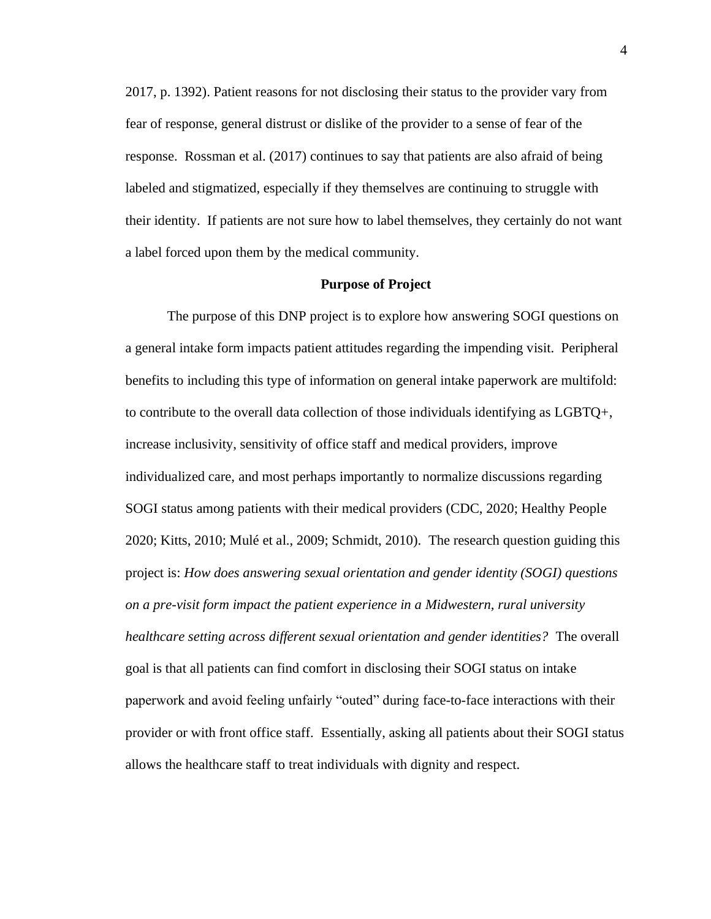2017, p. 1392). Patient reasons for not disclosing their status to the provider vary from fear of response, general distrust or dislike of the provider to a sense of fear of the response. Rossman et al. (2017) continues to say that patients are also afraid of being labeled and stigmatized, especially if they themselves are continuing to struggle with their identity. If patients are not sure how to label themselves, they certainly do not want a label forced upon them by the medical community.

#### **Purpose of Project**

The purpose of this DNP project is to explore how answering SOGI questions on a general intake form impacts patient attitudes regarding the impending visit. Peripheral benefits to including this type of information on general intake paperwork are multifold: to contribute to the overall data collection of those individuals identifying as LGBTQ+, increase inclusivity, sensitivity of office staff and medical providers, improve individualized care, and most perhaps importantly to normalize discussions regarding SOGI status among patients with their medical providers (CDC, 2020; Healthy People 2020; Kitts, 2010; Mulé et al., 2009; Schmidt, 2010). The research question guiding this project is: *How does answering sexual orientation and gender identity (SOGI) questions on a pre-visit form impact the patient experience in a Midwestern, rural university healthcare setting across different sexual orientation and gender identities?* The overall goal is that all patients can find comfort in disclosing their SOGI status on intake paperwork and avoid feeling unfairly "outed" during face-to-face interactions with their provider or with front office staff. Essentially, asking all patients about their SOGI status allows the healthcare staff to treat individuals with dignity and respect.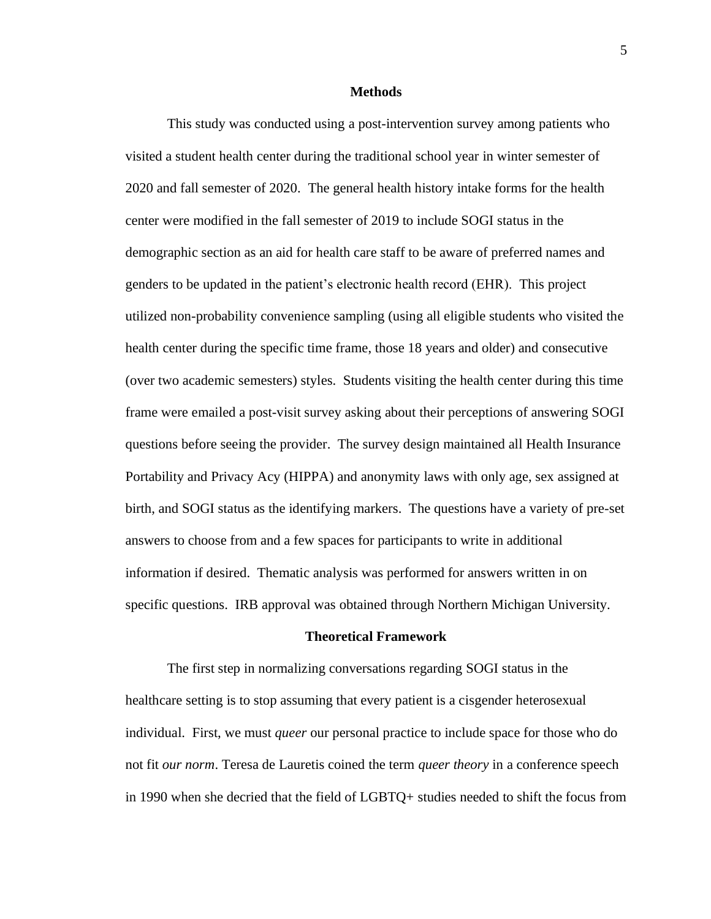### **Methods**

This study was conducted using a post-intervention survey among patients who visited a student health center during the traditional school year in winter semester of 2020 and fall semester of 2020. The general health history intake forms for the health center were modified in the fall semester of 2019 to include SOGI status in the demographic section as an aid for health care staff to be aware of preferred names and genders to be updated in the patient's electronic health record (EHR). This project utilized non-probability convenience sampling (using all eligible students who visited the health center during the specific time frame, those 18 years and older) and consecutive (over two academic semesters) styles. Students visiting the health center during this time frame were emailed a post-visit survey asking about their perceptions of answering SOGI questions before seeing the provider. The survey design maintained all Health Insurance Portability and Privacy Acy (HIPPA) and anonymity laws with only age, sex assigned at birth, and SOGI status as the identifying markers. The questions have a variety of pre-set answers to choose from and a few spaces for participants to write in additional information if desired. Thematic analysis was performed for answers written in on specific questions. IRB approval was obtained through Northern Michigan University.

### **Theoretical Framework**

The first step in normalizing conversations regarding SOGI status in the healthcare setting is to stop assuming that every patient is a cisgender heterosexual individual. First, we must *queer* our personal practice to include space for those who do not fit *our norm*. Teresa de Lauretis coined the term *queer theory* in a conference speech in 1990 when she decried that the field of LGBTQ+ studies needed to shift the focus from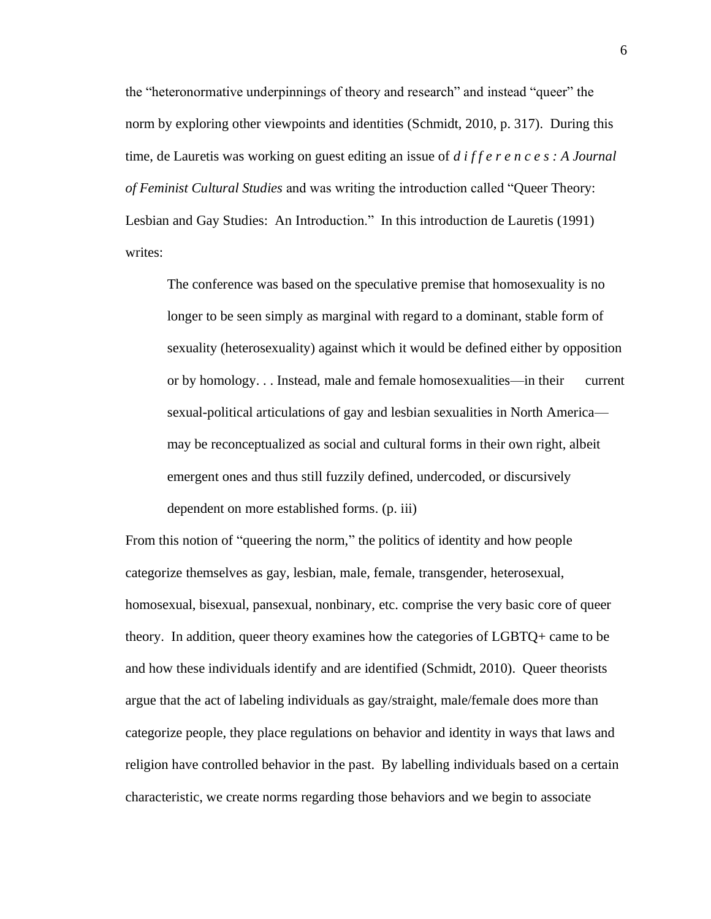the "heteronormative underpinnings of theory and research" and instead "queer" the norm by exploring other viewpoints and identities (Schmidt, 2010, p. 317). During this time, de Lauretis was working on guest editing an issue of *d i f f e r e n c e s : A Journal of Feminist Cultural Studies* and was writing the introduction called "Queer Theory: Lesbian and Gay Studies: An Introduction." In this introduction de Lauretis (1991) writes:

The conference was based on the speculative premise that homosexuality is no longer to be seen simply as marginal with regard to a dominant, stable form of sexuality (heterosexuality) against which it would be defined either by opposition or by homology. . . Instead, male and female homosexualities—in their current sexual-political articulations of gay and lesbian sexualities in North America may be reconceptualized as social and cultural forms in their own right, albeit emergent ones and thus still fuzzily defined, undercoded, or discursively dependent on more established forms. (p. iii)

From this notion of "queering the norm," the politics of identity and how people categorize themselves as gay, lesbian, male, female, transgender, heterosexual, homosexual, bisexual, pansexual, nonbinary, etc. comprise the very basic core of queer theory. In addition, queer theory examines how the categories of LGBTQ+ came to be and how these individuals identify and are identified (Schmidt, 2010). Queer theorists argue that the act of labeling individuals as gay/straight, male/female does more than categorize people, they place regulations on behavior and identity in ways that laws and religion have controlled behavior in the past. By labelling individuals based on a certain characteristic, we create norms regarding those behaviors and we begin to associate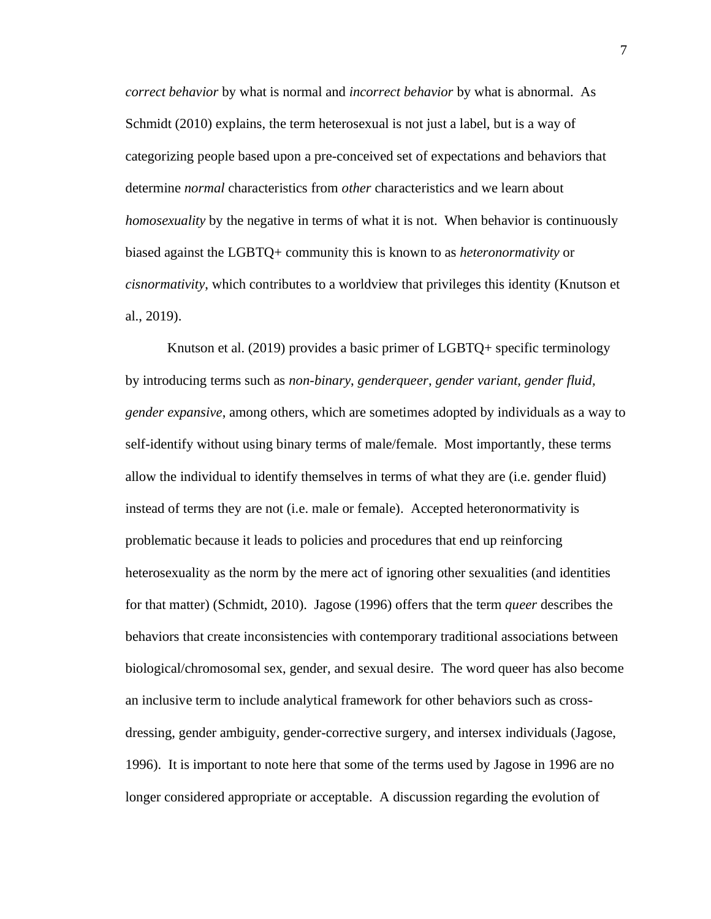*correct behavior* by what is normal and *incorrect behavior* by what is abnormal. As Schmidt (2010) explains, the term heterosexual is not just a label, but is a way of categorizing people based upon a pre-conceived set of expectations and behaviors that determine *normal* characteristics from *other* characteristics and we learn about *homosexuality* by the negative in terms of what it is not. When behavior is continuously biased against the LGBTQ+ community this is known to as *heteronormativity* or *cisnormativity*, which contributes to a worldview that privileges this identity (Knutson et al., 2019).

Knutson et al. (2019) provides a basic primer of LGBTQ+ specific terminology by introducing terms such as *non-binary*, *genderqueer*, *gender variant, gender fluid, gender expansive*, among others, which are sometimes adopted by individuals as a way to self-identify without using binary terms of male/female. Most importantly, these terms allow the individual to identify themselves in terms of what they are (i.e. gender fluid) instead of terms they are not (i.e. male or female). Accepted heteronormativity is problematic because it leads to policies and procedures that end up reinforcing heterosexuality as the norm by the mere act of ignoring other sexualities (and identities for that matter) (Schmidt, 2010). Jagose (1996) offers that the term *queer* describes the behaviors that create inconsistencies with contemporary traditional associations between biological/chromosomal sex, gender, and sexual desire. The word queer has also become an inclusive term to include analytical framework for other behaviors such as crossdressing, gender ambiguity, gender-corrective surgery, and intersex individuals (Jagose, 1996). It is important to note here that some of the terms used by Jagose in 1996 are no longer considered appropriate or acceptable. A discussion regarding the evolution of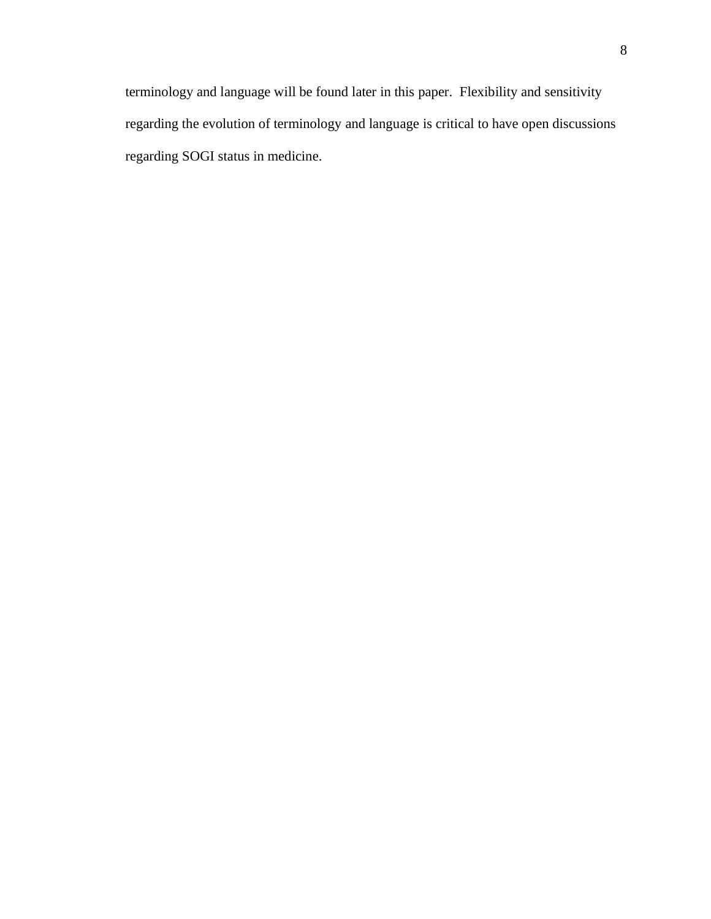terminology and language will be found later in this paper. Flexibility and sensitivity regarding the evolution of terminology and language is critical to have open discussions regarding SOGI status in medicine.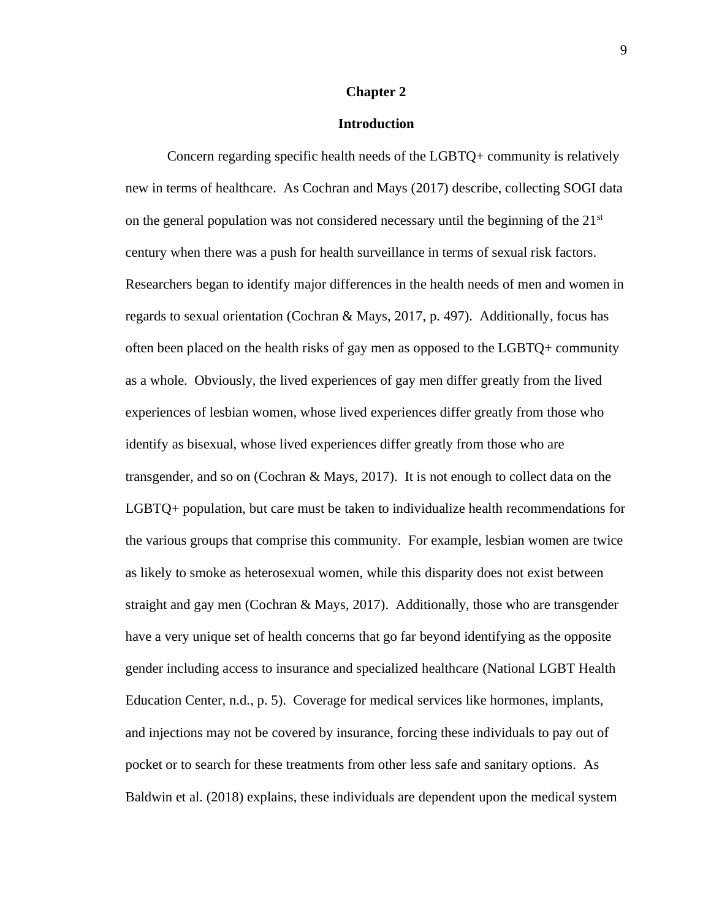#### **Chapter 2**

### **Introduction**

Concern regarding specific health needs of the LGBTQ+ community is relatively new in terms of healthcare. As Cochran and Mays (2017) describe, collecting SOGI data on the general population was not considered necessary until the beginning of the  $21<sup>st</sup>$ century when there was a push for health surveillance in terms of sexual risk factors. Researchers began to identify major differences in the health needs of men and women in regards to sexual orientation (Cochran & Mays, 2017, p. 497). Additionally, focus has often been placed on the health risks of gay men as opposed to the LGBTQ+ community as a whole. Obviously, the lived experiences of gay men differ greatly from the lived experiences of lesbian women, whose lived experiences differ greatly from those who identify as bisexual, whose lived experiences differ greatly from those who are transgender, and so on (Cochran  $\&$  Mays, 2017). It is not enough to collect data on the LGBTQ+ population, but care must be taken to individualize health recommendations for the various groups that comprise this community. For example, lesbian women are twice as likely to smoke as heterosexual women, while this disparity does not exist between straight and gay men (Cochran & Mays, 2017). Additionally, those who are transgender have a very unique set of health concerns that go far beyond identifying as the opposite gender including access to insurance and specialized healthcare (National LGBT Health Education Center, n.d., p. 5). Coverage for medical services like hormones, implants, and injections may not be covered by insurance, forcing these individuals to pay out of pocket or to search for these treatments from other less safe and sanitary options. As Baldwin et al. (2018) explains, these individuals are dependent upon the medical system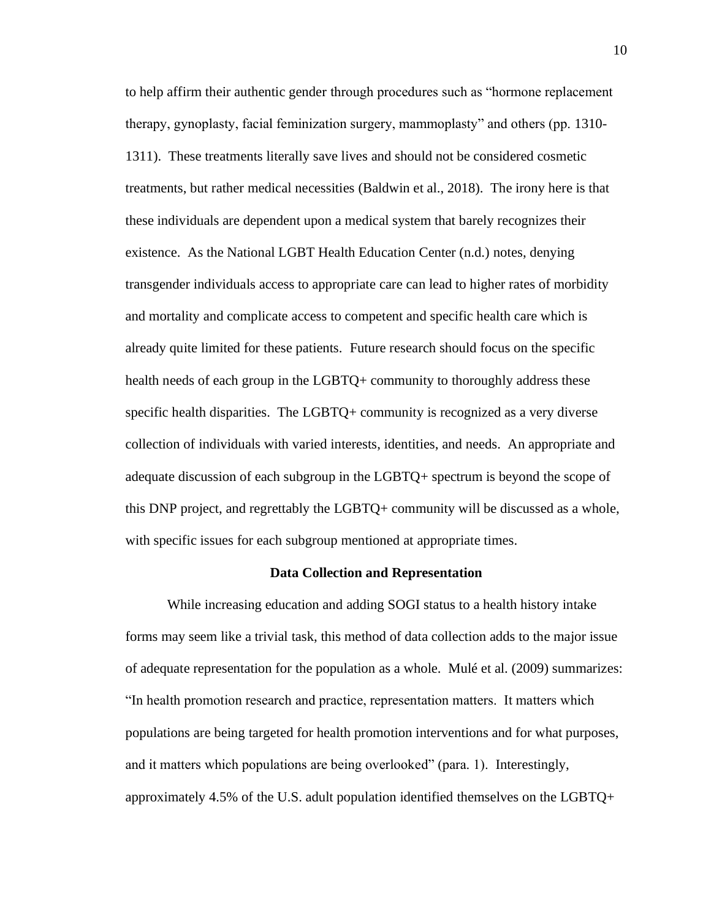to help affirm their authentic gender through procedures such as "hormone replacement therapy, gynoplasty, facial feminization surgery, mammoplasty" and others (pp. 1310- 1311). These treatments literally save lives and should not be considered cosmetic treatments, but rather medical necessities (Baldwin et al., 2018). The irony here is that these individuals are dependent upon a medical system that barely recognizes their existence. As the National LGBT Health Education Center (n.d.) notes, denying transgender individuals access to appropriate care can lead to higher rates of morbidity and mortality and complicate access to competent and specific health care which is already quite limited for these patients. Future research should focus on the specific health needs of each group in the LGBTQ+ community to thoroughly address these specific health disparities. The LGBTQ+ community is recognized as a very diverse collection of individuals with varied interests, identities, and needs. An appropriate and adequate discussion of each subgroup in the LGBTQ+ spectrum is beyond the scope of this DNP project, and regrettably the LGBTQ+ community will be discussed as a whole, with specific issues for each subgroup mentioned at appropriate times.

#### **Data Collection and Representation**

While increasing education and adding SOGI status to a health history intake forms may seem like a trivial task, this method of data collection adds to the major issue of adequate representation for the population as a whole. Mulé et al. (2009) summarizes: "In health promotion research and practice, representation matters. It matters which populations are being targeted for health promotion interventions and for what purposes, and it matters which populations are being overlooked" (para. 1). Interestingly, approximately 4.5% of the U.S. adult population identified themselves on the LGBTQ+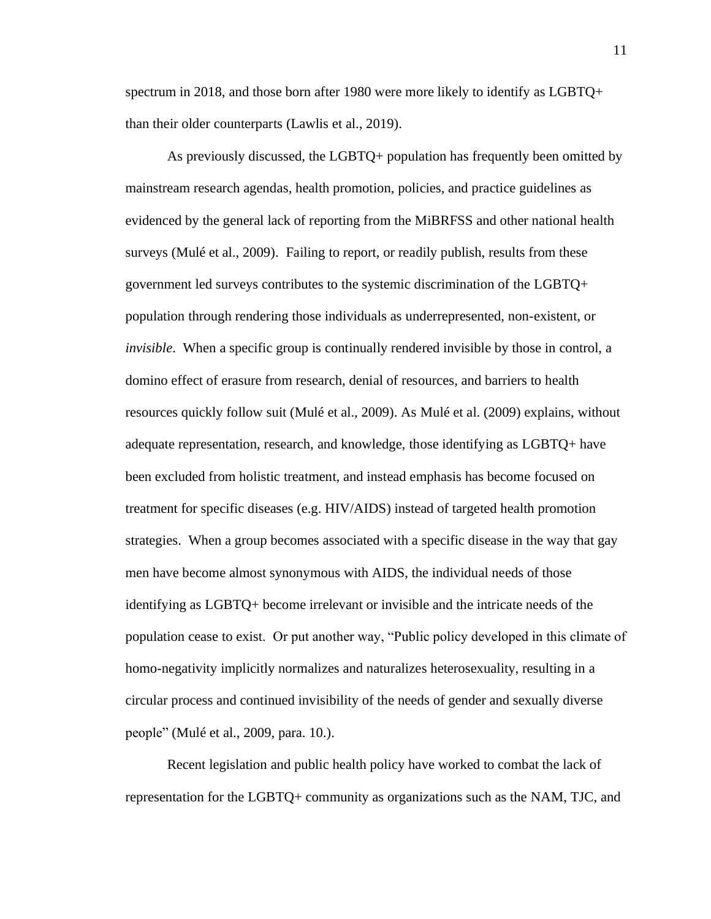spectrum in 2018, and those born after 1980 were more likely to identify as LGBTQ+ than their older counterparts (Lawlis et al., 2019).

As previously discussed, the LGBTQ+ population has frequently been omitted by mainstream research agendas, health promotion, policies, and practice guidelines as evidenced by the general lack of reporting from the MiBRFSS and other national health surveys (Mulé et al., 2009). Failing to report, or readily publish, results from these government led surveys contributes to the systemic discrimination of the LGBTQ+ population through rendering those individuals as underrepresented, non-existent, or *invisible*. When a specific group is continually rendered invisible by those in control, a domino effect of erasure from research, denial of resources, and barriers to health resources quickly follow suit (Mulé et al., 2009). As Mulé et al. (2009) explains, without adequate representation, research, and knowledge, those identifying as LGBTQ+ have been excluded from holistic treatment, and instead emphasis has become focused on treatment for specific diseases (e.g. HIV/AIDS) instead of targeted health promotion strategies. When a group becomes associated with a specific disease in the way that gay men have become almost synonymous with AIDS, the individual needs of those identifying as LGBTQ+ become irrelevant or invisible and the intricate needs of the population cease to exist. Or put another way, "Public policy developed in this climate of homo-negativity implicitly normalizes and naturalizes heterosexuality, resulting in a circular process and continued invisibility of the needs of gender and sexually diverse people" (Mulé et al., 2009, para. 10.).

Recent legislation and public health policy have worked to combat the lack of representation for the LGBTQ+ community as organizations such as the NAM, TJC, and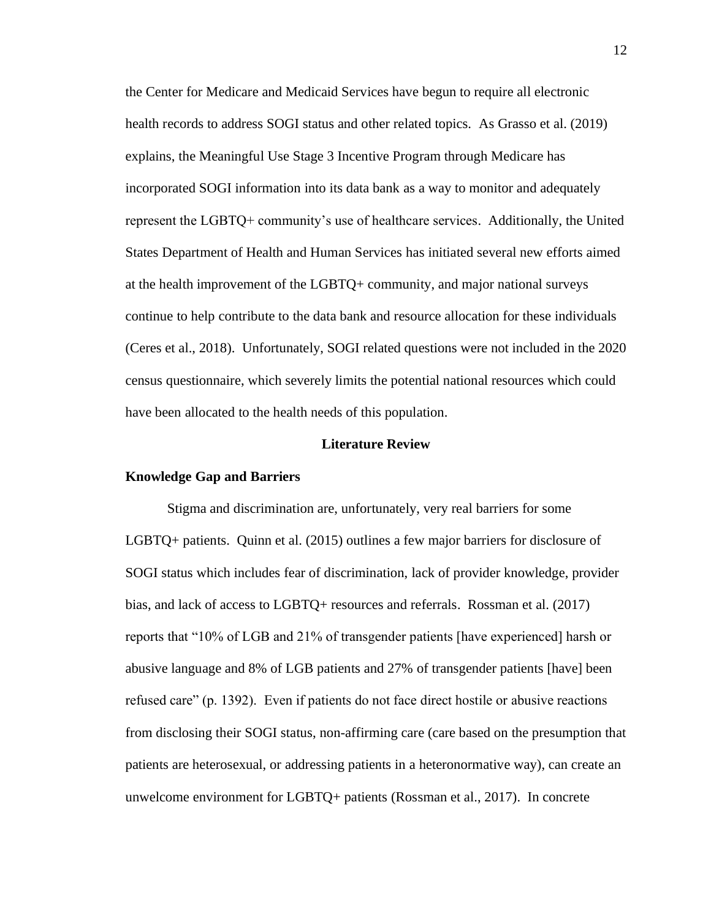the Center for Medicare and Medicaid Services have begun to require all electronic health records to address SOGI status and other related topics. As Grasso et al. (2019) explains, the Meaningful Use Stage 3 Incentive Program through Medicare has incorporated SOGI information into its data bank as a way to monitor and adequately represent the LGBTQ+ community's use of healthcare services. Additionally, the United States Department of Health and Human Services has initiated several new efforts aimed at the health improvement of the LGBTQ+ community, and major national surveys continue to help contribute to the data bank and resource allocation for these individuals (Ceres et al., 2018). Unfortunately, SOGI related questions were not included in the 2020 census questionnaire, which severely limits the potential national resources which could have been allocated to the health needs of this population.

### **Literature Review**

### **Knowledge Gap and Barriers**

Stigma and discrimination are, unfortunately, very real barriers for some LGBTQ+ patients. Quinn et al. (2015) outlines a few major barriers for disclosure of SOGI status which includes fear of discrimination, lack of provider knowledge, provider bias, and lack of access to LGBTQ+ resources and referrals. Rossman et al. (2017) reports that "10% of LGB and 21% of transgender patients [have experienced] harsh or abusive language and 8% of LGB patients and 27% of transgender patients [have] been refused care" (p. 1392). Even if patients do not face direct hostile or abusive reactions from disclosing their SOGI status, non-affirming care (care based on the presumption that patients are heterosexual, or addressing patients in a heteronormative way), can create an unwelcome environment for LGBTQ+ patients (Rossman et al., 2017). In concrete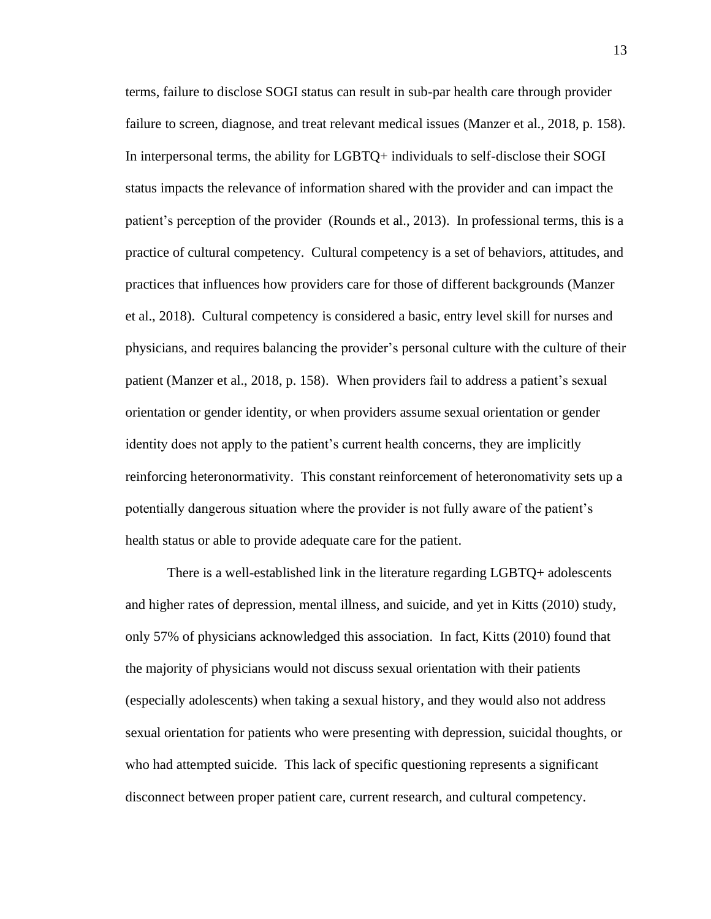terms, failure to disclose SOGI status can result in sub-par health care through provider failure to screen, diagnose, and treat relevant medical issues (Manzer et al., 2018, p. 158). In interpersonal terms, the ability for LGBTQ+ individuals to self-disclose their SOGI status impacts the relevance of information shared with the provider and can impact the patient's perception of the provider (Rounds et al., 2013). In professional terms, this is a practice of cultural competency. Cultural competency is a set of behaviors, attitudes, and practices that influences how providers care for those of different backgrounds (Manzer et al., 2018). Cultural competency is considered a basic, entry level skill for nurses and physicians, and requires balancing the provider's personal culture with the culture of their patient (Manzer et al., 2018, p. 158). When providers fail to address a patient's sexual orientation or gender identity, or when providers assume sexual orientation or gender identity does not apply to the patient's current health concerns, they are implicitly reinforcing heteronormativity. This constant reinforcement of heteronomativity sets up a potentially dangerous situation where the provider is not fully aware of the patient's health status or able to provide adequate care for the patient.

There is a well-established link in the literature regarding LGBTQ+ adolescents and higher rates of depression, mental illness, and suicide, and yet in Kitts (2010) study, only 57% of physicians acknowledged this association. In fact, Kitts (2010) found that the majority of physicians would not discuss sexual orientation with their patients (especially adolescents) when taking a sexual history, and they would also not address sexual orientation for patients who were presenting with depression, suicidal thoughts, or who had attempted suicide. This lack of specific questioning represents a significant disconnect between proper patient care, current research, and cultural competency.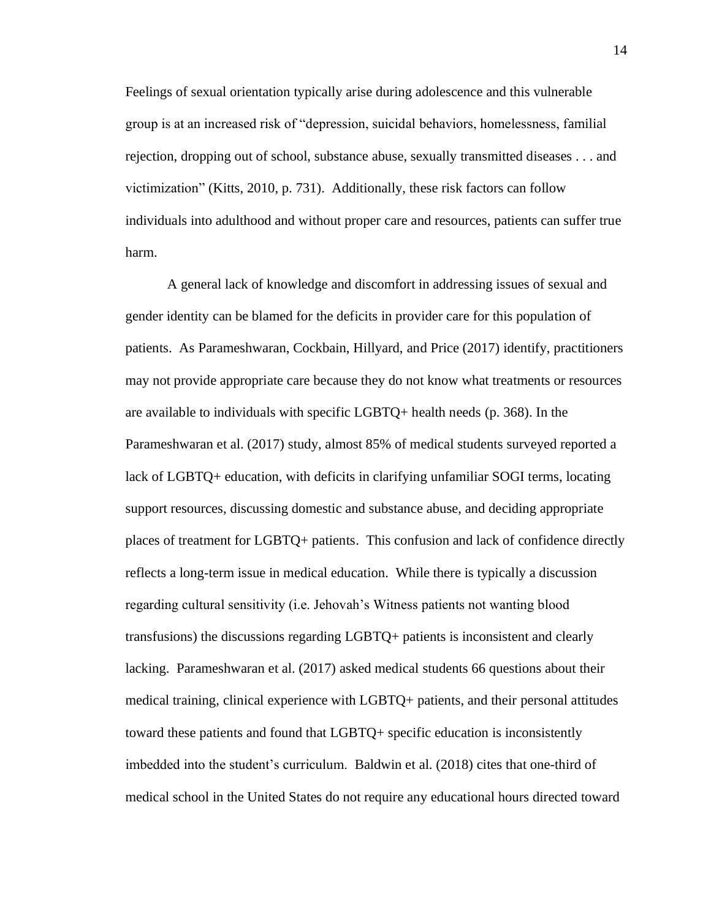Feelings of sexual orientation typically arise during adolescence and this vulnerable group is at an increased risk of "depression, suicidal behaviors, homelessness, familial rejection, dropping out of school, substance abuse, sexually transmitted diseases . . . and victimization" (Kitts, 2010, p. 731). Additionally, these risk factors can follow individuals into adulthood and without proper care and resources, patients can suffer true harm.

A general lack of knowledge and discomfort in addressing issues of sexual and gender identity can be blamed for the deficits in provider care for this population of patients. As Parameshwaran, Cockbain, Hillyard, and Price (2017) identify, practitioners may not provide appropriate care because they do not know what treatments or resources are available to individuals with specific LGBTQ+ health needs (p. 368). In the Parameshwaran et al. (2017) study, almost 85% of medical students surveyed reported a lack of LGBTQ+ education, with deficits in clarifying unfamiliar SOGI terms, locating support resources, discussing domestic and substance abuse, and deciding appropriate places of treatment for LGBTQ+ patients. This confusion and lack of confidence directly reflects a long-term issue in medical education. While there is typically a discussion regarding cultural sensitivity (i.e. Jehovah's Witness patients not wanting blood transfusions) the discussions regarding LGBTQ+ patients is inconsistent and clearly lacking. Parameshwaran et al. (2017) asked medical students 66 questions about their medical training, clinical experience with LGBTQ+ patients, and their personal attitudes toward these patients and found that LGBTQ+ specific education is inconsistently imbedded into the student's curriculum. Baldwin et al. (2018) cites that one-third of medical school in the United States do not require any educational hours directed toward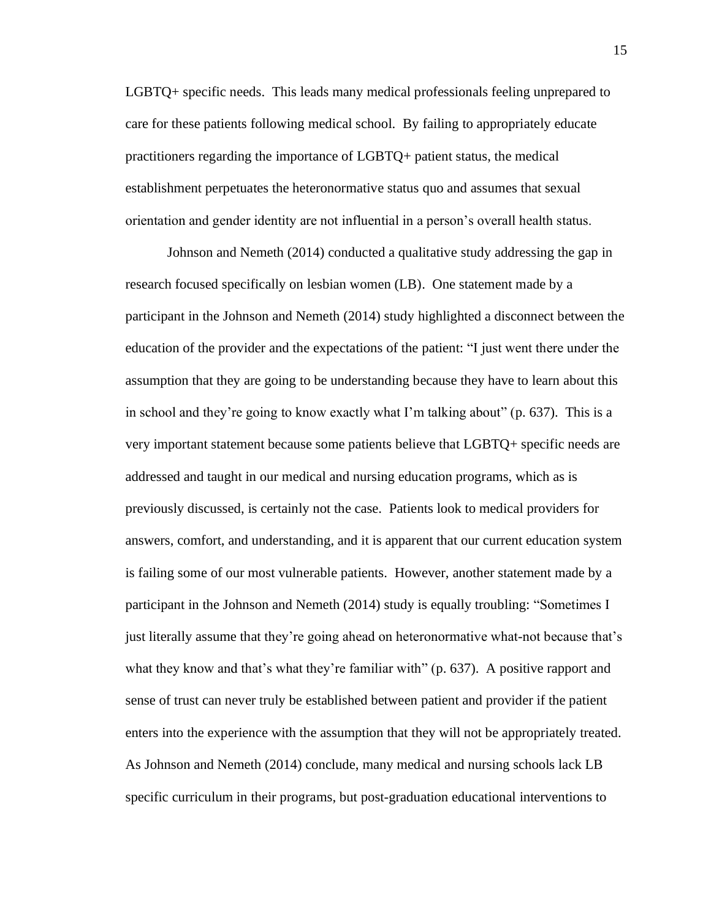LGBTQ+ specific needs. This leads many medical professionals feeling unprepared to care for these patients following medical school. By failing to appropriately educate practitioners regarding the importance of LGBTQ+ patient status, the medical establishment perpetuates the heteronormative status quo and assumes that sexual orientation and gender identity are not influential in a person's overall health status.

Johnson and Nemeth (2014) conducted a qualitative study addressing the gap in research focused specifically on lesbian women (LB). One statement made by a participant in the Johnson and Nemeth (2014) study highlighted a disconnect between the education of the provider and the expectations of the patient: "I just went there under the assumption that they are going to be understanding because they have to learn about this in school and they're going to know exactly what I'm talking about" (p. 637). This is a very important statement because some patients believe that LGBTQ+ specific needs are addressed and taught in our medical and nursing education programs, which as is previously discussed, is certainly not the case. Patients look to medical providers for answers, comfort, and understanding, and it is apparent that our current education system is failing some of our most vulnerable patients. However, another statement made by a participant in the Johnson and Nemeth (2014) study is equally troubling: "Sometimes I just literally assume that they're going ahead on heteronormative what-not because that's what they know and that's what they're familiar with" (p. 637). A positive rapport and sense of trust can never truly be established between patient and provider if the patient enters into the experience with the assumption that they will not be appropriately treated. As Johnson and Nemeth (2014) conclude, many medical and nursing schools lack LB specific curriculum in their programs, but post-graduation educational interventions to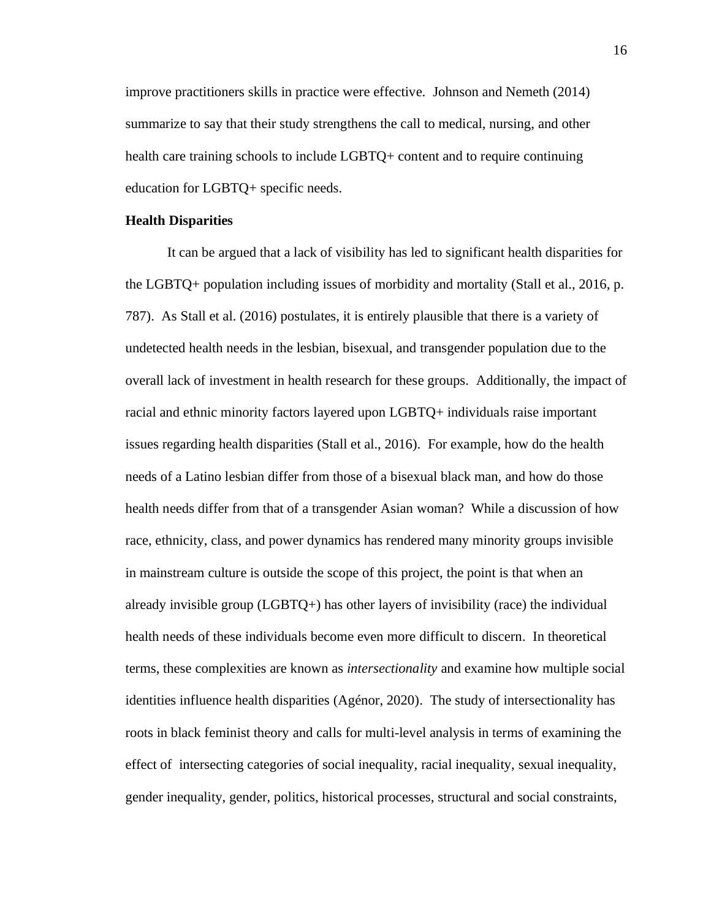improve practitioners skills in practice were effective. Johnson and Nemeth (2014) summarize to say that their study strengthens the call to medical, nursing, and other health care training schools to include LGBTQ+ content and to require continuing education for LGBTQ+ specific needs.

### **Health Disparities**

It can be argued that a lack of visibility has led to significant health disparities for the LGBTQ+ population including issues of morbidity and mortality (Stall et al., 2016, p. 787). As Stall et al. (2016) postulates, it is entirely plausible that there is a variety of undetected health needs in the lesbian, bisexual, and transgender population due to the overall lack of investment in health research for these groups. Additionally, the impact of racial and ethnic minority factors layered upon LGBTQ+ individuals raise important issues regarding health disparities (Stall et al., 2016). For example, how do the health needs of a Latino lesbian differ from those of a bisexual black man, and how do those health needs differ from that of a transgender Asian woman? While a discussion of how race, ethnicity, class, and power dynamics has rendered many minority groups invisible in mainstream culture is outside the scope of this project, the point is that when an already invisible group  $(LGBTQ+)$  has other layers of invisibility (race) the individual health needs of these individuals become even more difficult to discern. In theoretical terms, these complexities are known as *intersectionality* and examine how multiple social identities influence health disparities (Agénor, 2020). The study of intersectionality has roots in black feminist theory and calls for multi-level analysis in terms of examining the effect of intersecting categories of social inequality, racial inequality, sexual inequality, gender inequality, gender, politics, historical processes, structural and social constraints,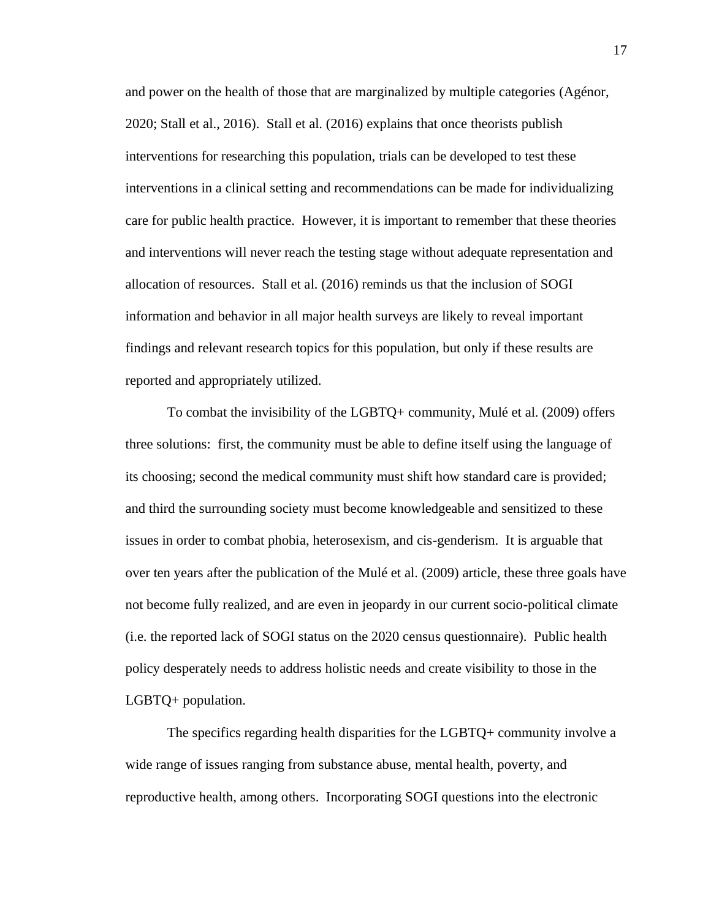and power on the health of those that are marginalized by multiple categories (Agénor, 2020; Stall et al., 2016). Stall et al. (2016) explains that once theorists publish interventions for researching this population, trials can be developed to test these interventions in a clinical setting and recommendations can be made for individualizing care for public health practice. However, it is important to remember that these theories and interventions will never reach the testing stage without adequate representation and allocation of resources. Stall et al. (2016) reminds us that the inclusion of SOGI information and behavior in all major health surveys are likely to reveal important findings and relevant research topics for this population, but only if these results are reported and appropriately utilized.

To combat the invisibility of the LGBTQ+ community, Mulé et al. (2009) offers three solutions: first, the community must be able to define itself using the language of its choosing; second the medical community must shift how standard care is provided; and third the surrounding society must become knowledgeable and sensitized to these issues in order to combat phobia, heterosexism, and cis-genderism. It is arguable that over ten years after the publication of the Mulé et al. (2009) article, these three goals have not become fully realized, and are even in jeopardy in our current socio-political climate (i.e. the reported lack of SOGI status on the 2020 census questionnaire). Public health policy desperately needs to address holistic needs and create visibility to those in the LGBTQ+ population.

The specifics regarding health disparities for the LGBTQ+ community involve a wide range of issues ranging from substance abuse, mental health, poverty, and reproductive health, among others. Incorporating SOGI questions into the electronic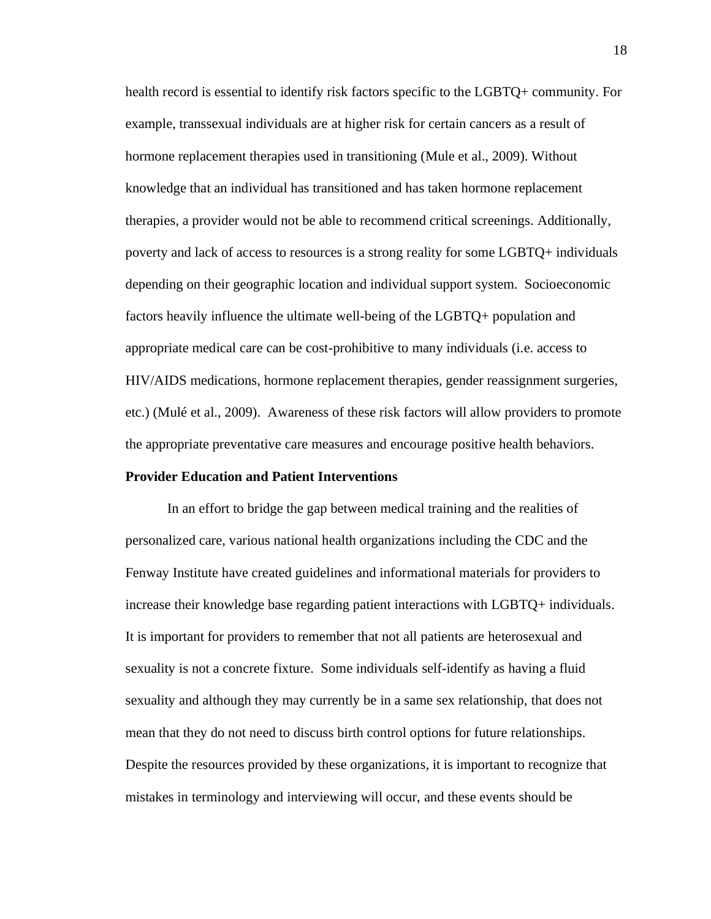health record is essential to identify risk factors specific to the LGBTQ+ community. For example, transsexual individuals are at higher risk for certain cancers as a result of hormone replacement therapies used in transitioning (Mule et al., 2009). Without knowledge that an individual has transitioned and has taken hormone replacement therapies, a provider would not be able to recommend critical screenings. Additionally, poverty and lack of access to resources is a strong reality for some LGBTQ+ individuals depending on their geographic location and individual support system. Socioeconomic factors heavily influence the ultimate well-being of the LGBTQ+ population and appropriate medical care can be cost-prohibitive to many individuals (i.e. access to HIV/AIDS medications, hormone replacement therapies, gender reassignment surgeries, etc.) (Mulé et al., 2009). Awareness of these risk factors will allow providers to promote the appropriate preventative care measures and encourage positive health behaviors.

### **Provider Education and Patient Interventions**

In an effort to bridge the gap between medical training and the realities of personalized care, various national health organizations including the CDC and the Fenway Institute have created guidelines and informational materials for providers to increase their knowledge base regarding patient interactions with LGBTQ+ individuals. It is important for providers to remember that not all patients are heterosexual and sexuality is not a concrete fixture. Some individuals self-identify as having a fluid sexuality and although they may currently be in a same sex relationship, that does not mean that they do not need to discuss birth control options for future relationships. Despite the resources provided by these organizations, it is important to recognize that mistakes in terminology and interviewing will occur, and these events should be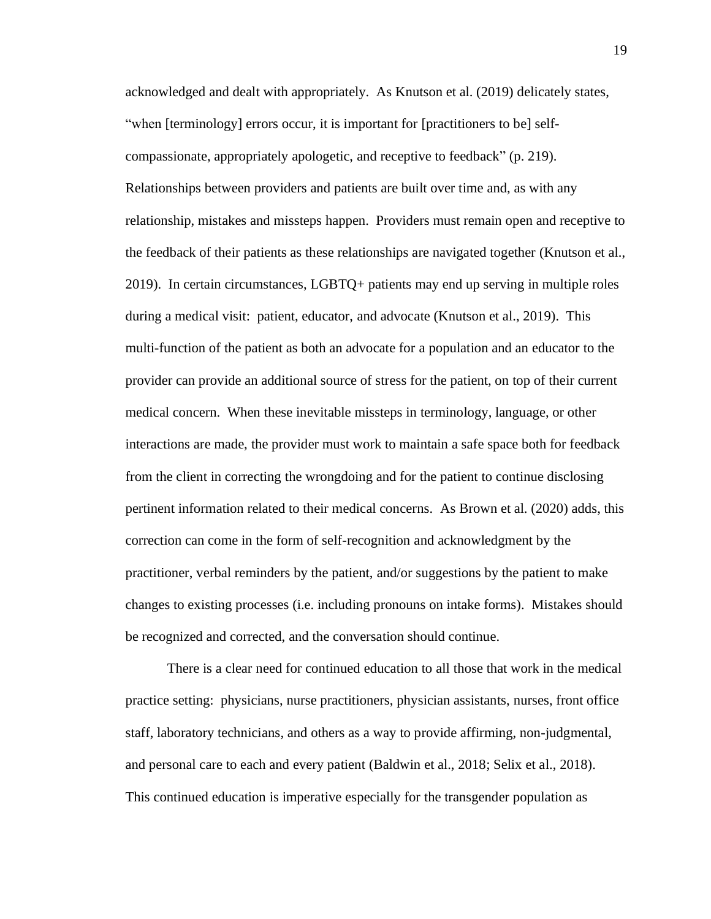acknowledged and dealt with appropriately. As Knutson et al. (2019) delicately states, "when [terminology] errors occur, it is important for [practitioners to be] selfcompassionate, appropriately apologetic, and receptive to feedback" (p. 219). Relationships between providers and patients are built over time and, as with any relationship, mistakes and missteps happen. Providers must remain open and receptive to the feedback of their patients as these relationships are navigated together (Knutson et al., 2019). In certain circumstances, LGBTQ+ patients may end up serving in multiple roles during a medical visit: patient, educator, and advocate (Knutson et al., 2019). This multi-function of the patient as both an advocate for a population and an educator to the provider can provide an additional source of stress for the patient, on top of their current medical concern. When these inevitable missteps in terminology, language, or other interactions are made, the provider must work to maintain a safe space both for feedback from the client in correcting the wrongdoing and for the patient to continue disclosing pertinent information related to their medical concerns. As Brown et al. (2020) adds, this correction can come in the form of self-recognition and acknowledgment by the practitioner, verbal reminders by the patient, and/or suggestions by the patient to make changes to existing processes (i.e. including pronouns on intake forms). Mistakes should be recognized and corrected, and the conversation should continue.

There is a clear need for continued education to all those that work in the medical practice setting: physicians, nurse practitioners, physician assistants, nurses, front office staff, laboratory technicians, and others as a way to provide affirming, non-judgmental, and personal care to each and every patient (Baldwin et al., 2018; Selix et al., 2018). This continued education is imperative especially for the transgender population as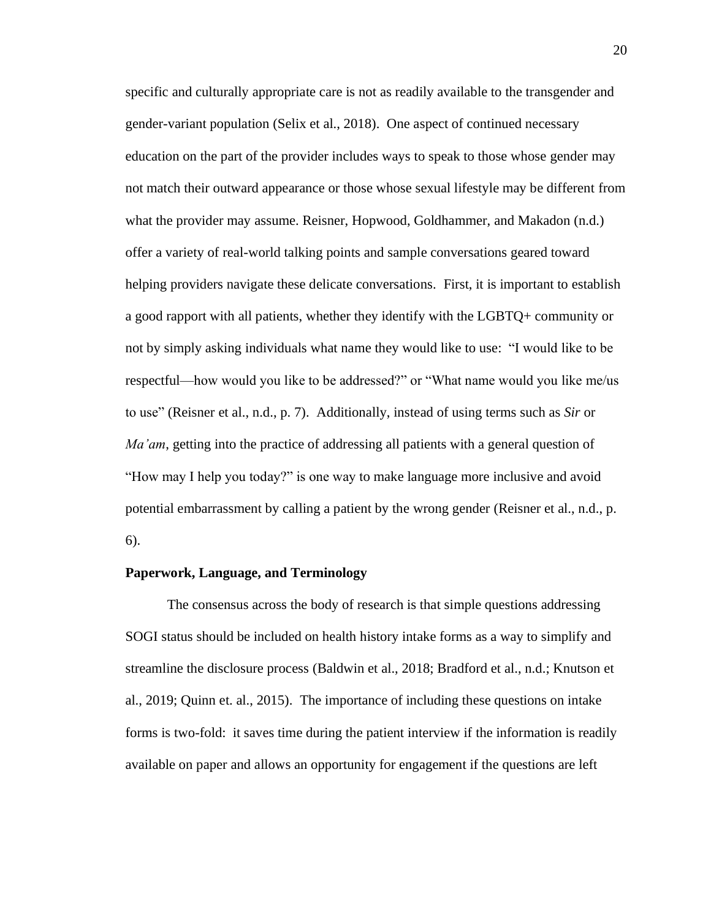specific and culturally appropriate care is not as readily available to the transgender and gender-variant population (Selix et al., 2018). One aspect of continued necessary education on the part of the provider includes ways to speak to those whose gender may not match their outward appearance or those whose sexual lifestyle may be different from what the provider may assume. Reisner, Hopwood, Goldhammer, and Makadon (n.d.) offer a variety of real-world talking points and sample conversations geared toward helping providers navigate these delicate conversations. First, it is important to establish a good rapport with all patients, whether they identify with the LGBTQ+ community or not by simply asking individuals what name they would like to use: "I would like to be respectful—how would you like to be addressed?" or "What name would you like me/us to use" (Reisner et al., n.d., p. 7). Additionally, instead of using terms such as *Sir* or *Ma'am*, getting into the practice of addressing all patients with a general question of "How may I help you today?" is one way to make language more inclusive and avoid potential embarrassment by calling a patient by the wrong gender (Reisner et al., n.d., p. 6).

### **Paperwork, Language, and Terminology**

The consensus across the body of research is that simple questions addressing SOGI status should be included on health history intake forms as a way to simplify and streamline the disclosure process (Baldwin et al., 2018; Bradford et al., n.d.; Knutson et al., 2019; Quinn et. al., 2015). The importance of including these questions on intake forms is two-fold: it saves time during the patient interview if the information is readily available on paper and allows an opportunity for engagement if the questions are left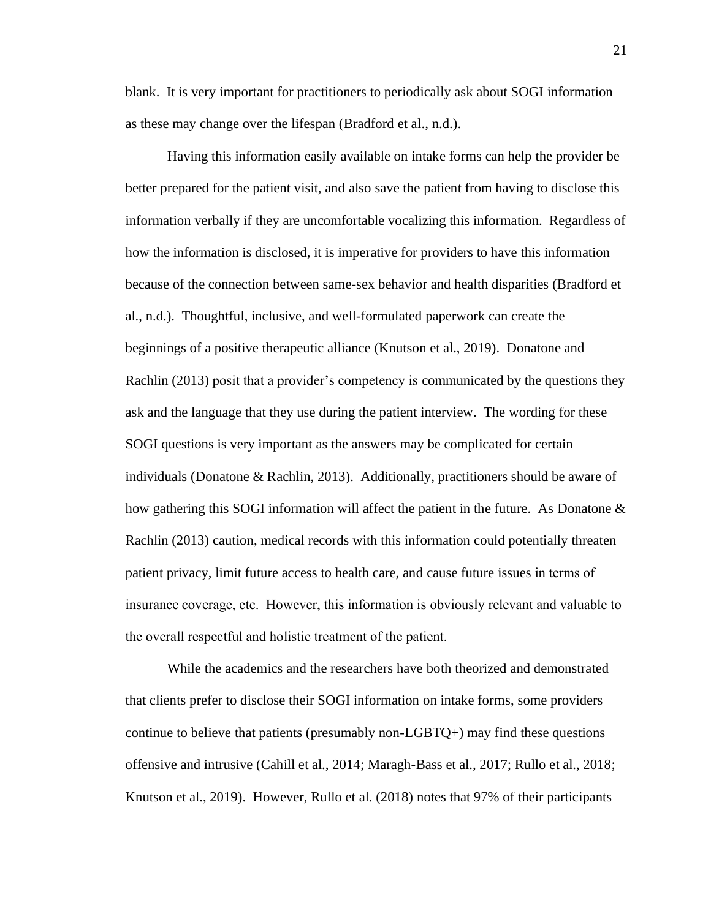blank. It is very important for practitioners to periodically ask about SOGI information as these may change over the lifespan (Bradford et al., n.d.).

Having this information easily available on intake forms can help the provider be better prepared for the patient visit, and also save the patient from having to disclose this information verbally if they are uncomfortable vocalizing this information. Regardless of how the information is disclosed, it is imperative for providers to have this information because of the connection between same-sex behavior and health disparities (Bradford et al., n.d.). Thoughtful, inclusive, and well-formulated paperwork can create the beginnings of a positive therapeutic alliance (Knutson et al., 2019). Donatone and Rachlin (2013) posit that a provider's competency is communicated by the questions they ask and the language that they use during the patient interview. The wording for these SOGI questions is very important as the answers may be complicated for certain individuals (Donatone & Rachlin, 2013). Additionally, practitioners should be aware of how gathering this SOGI information will affect the patient in the future. As Donatone  $\&$ Rachlin (2013) caution, medical records with this information could potentially threaten patient privacy, limit future access to health care, and cause future issues in terms of insurance coverage, etc. However, this information is obviously relevant and valuable to the overall respectful and holistic treatment of the patient.

While the academics and the researchers have both theorized and demonstrated that clients prefer to disclose their SOGI information on intake forms, some providers continue to believe that patients (presumably non-LGBTQ+) may find these questions offensive and intrusive (Cahill et al., 2014; Maragh-Bass et al., 2017; Rullo et al., 2018; Knutson et al., 2019). However, Rullo et al. (2018) notes that 97% of their participants

21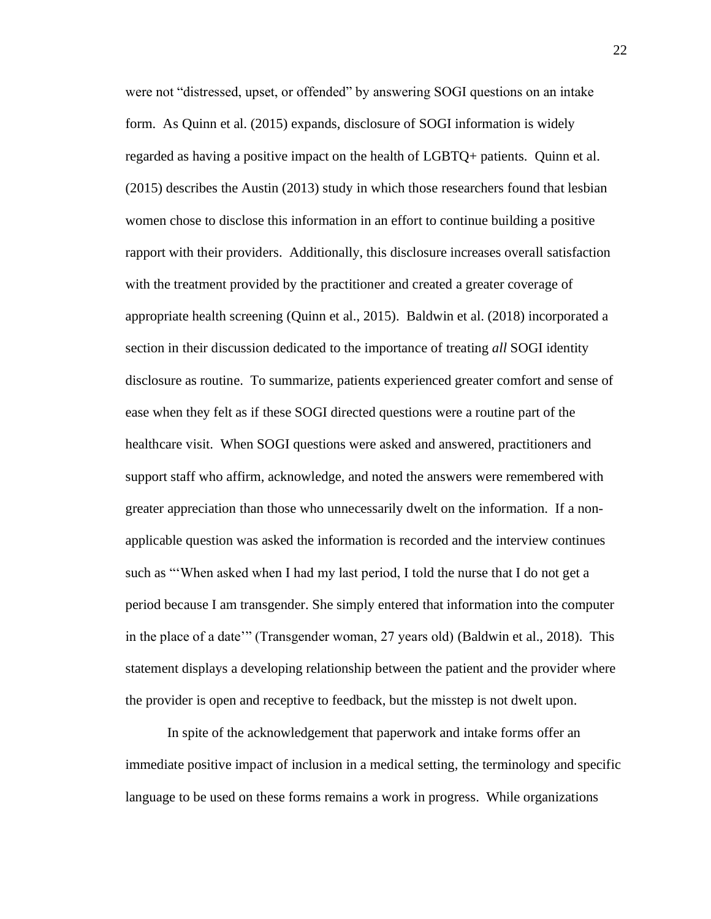were not "distressed, upset, or offended" by answering SOGI questions on an intake form. As Quinn et al. (2015) expands, disclosure of SOGI information is widely regarded as having a positive impact on the health of LGBTQ+ patients. Quinn et al. (2015) describes the Austin (2013) study in which those researchers found that lesbian women chose to disclose this information in an effort to continue building a positive rapport with their providers. Additionally, this disclosure increases overall satisfaction with the treatment provided by the practitioner and created a greater coverage of appropriate health screening (Quinn et al., 2015). Baldwin et al. (2018) incorporated a section in their discussion dedicated to the importance of treating *all* SOGI identity disclosure as routine. To summarize, patients experienced greater comfort and sense of ease when they felt as if these SOGI directed questions were a routine part of the healthcare visit. When SOGI questions were asked and answered, practitioners and support staff who affirm, acknowledge, and noted the answers were remembered with greater appreciation than those who unnecessarily dwelt on the information. If a nonapplicable question was asked the information is recorded and the interview continues such as "'When asked when I had my last period, I told the nurse that I do not get a period because I am transgender. She simply entered that information into the computer in the place of a date'" (Transgender woman, 27 years old) (Baldwin et al., 2018). This statement displays a developing relationship between the patient and the provider where the provider is open and receptive to feedback, but the misstep is not dwelt upon.

In spite of the acknowledgement that paperwork and intake forms offer an immediate positive impact of inclusion in a medical setting, the terminology and specific language to be used on these forms remains a work in progress. While organizations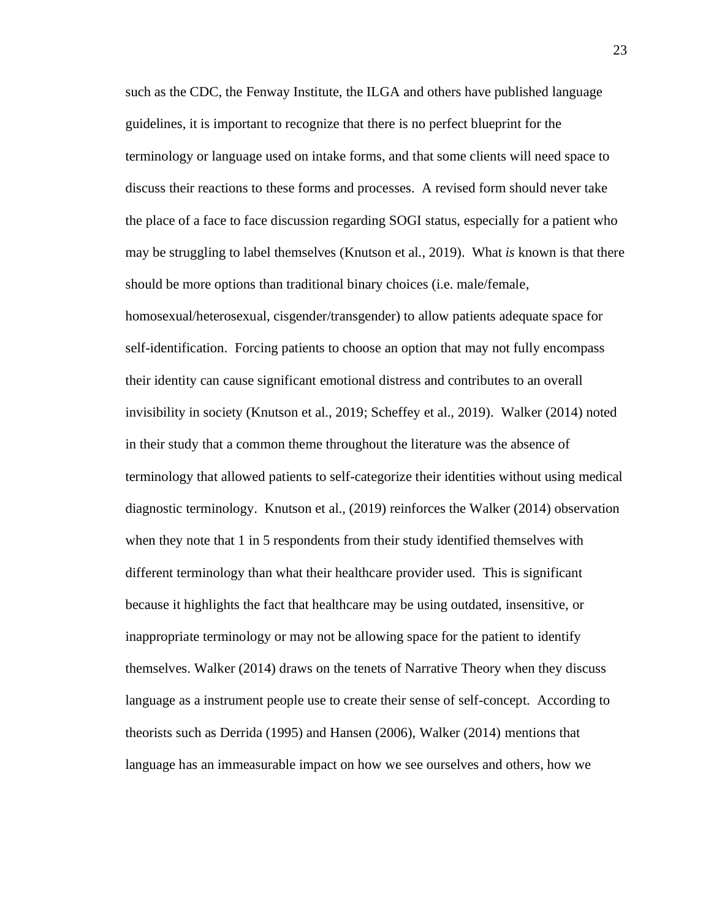such as the CDC, the Fenway Institute, the ILGA and others have published language guidelines, it is important to recognize that there is no perfect blueprint for the terminology or language used on intake forms, and that some clients will need space to discuss their reactions to these forms and processes. A revised form should never take the place of a face to face discussion regarding SOGI status, especially for a patient who may be struggling to label themselves (Knutson et al., 2019). What *is* known is that there should be more options than traditional binary choices (i.e. male/female, homosexual/heterosexual, cisgender/transgender) to allow patients adequate space for self-identification. Forcing patients to choose an option that may not fully encompass their identity can cause significant emotional distress and contributes to an overall invisibility in society (Knutson et al., 2019; Scheffey et al., 2019). Walker (2014) noted in their study that a common theme throughout the literature was the absence of terminology that allowed patients to self-categorize their identities without using medical diagnostic terminology. Knutson et al., (2019) reinforces the Walker (2014) observation when they note that 1 in 5 respondents from their study identified themselves with different terminology than what their healthcare provider used. This is significant because it highlights the fact that healthcare may be using outdated, insensitive, or inappropriate terminology or may not be allowing space for the patient to identify themselves. Walker (2014) draws on the tenets of Narrative Theory when they discuss language as a instrument people use to create their sense of self-concept. According to theorists such as Derrida (1995) and Hansen (2006), Walker (2014) mentions that language has an immeasurable impact on how we see ourselves and others, how we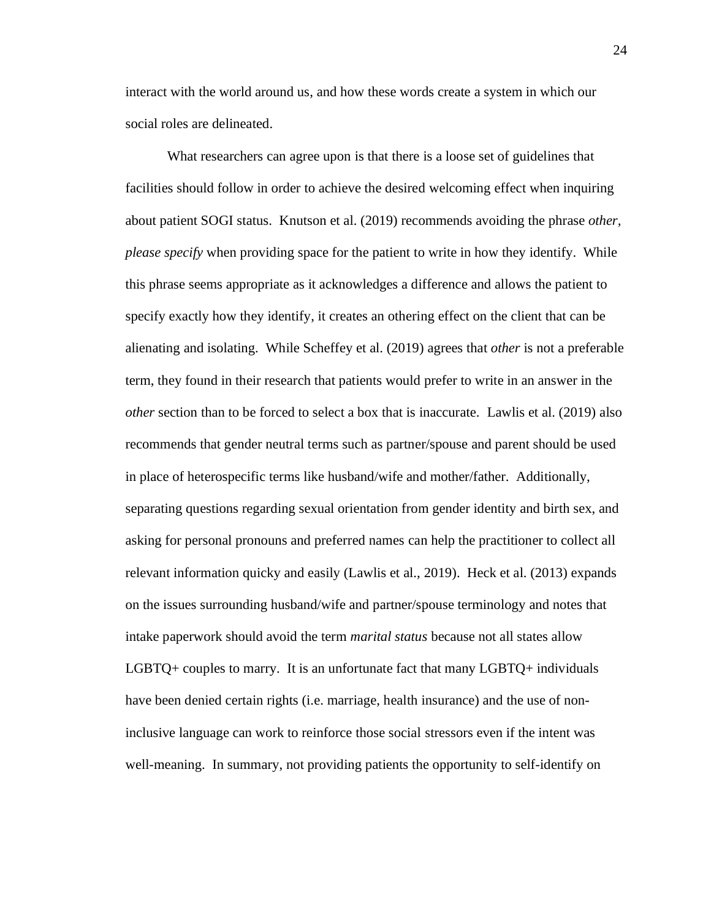interact with the world around us, and how these words create a system in which our social roles are delineated.

What researchers can agree upon is that there is a loose set of guidelines that facilities should follow in order to achieve the desired welcoming effect when inquiring about patient SOGI status. Knutson et al. (2019) recommends avoiding the phrase *other, please specify* when providing space for the patient to write in how they identify. While this phrase seems appropriate as it acknowledges a difference and allows the patient to specify exactly how they identify, it creates an othering effect on the client that can be alienating and isolating. While Scheffey et al. (2019) agrees that *other* is not a preferable term, they found in their research that patients would prefer to write in an answer in the *other* section than to be forced to select a box that is inaccurate. Lawlis et al. (2019) also recommends that gender neutral terms such as partner/spouse and parent should be used in place of heterospecific terms like husband/wife and mother/father. Additionally, separating questions regarding sexual orientation from gender identity and birth sex, and asking for personal pronouns and preferred names can help the practitioner to collect all relevant information quicky and easily (Lawlis et al., 2019). Heck et al. (2013) expands on the issues surrounding husband/wife and partner/spouse terminology and notes that intake paperwork should avoid the term *marital status* because not all states allow LGBTQ+ couples to marry. It is an unfortunate fact that many LGBTQ+ individuals have been denied certain rights (i.e. marriage, health insurance) and the use of noninclusive language can work to reinforce those social stressors even if the intent was well-meaning. In summary, not providing patients the opportunity to self-identify on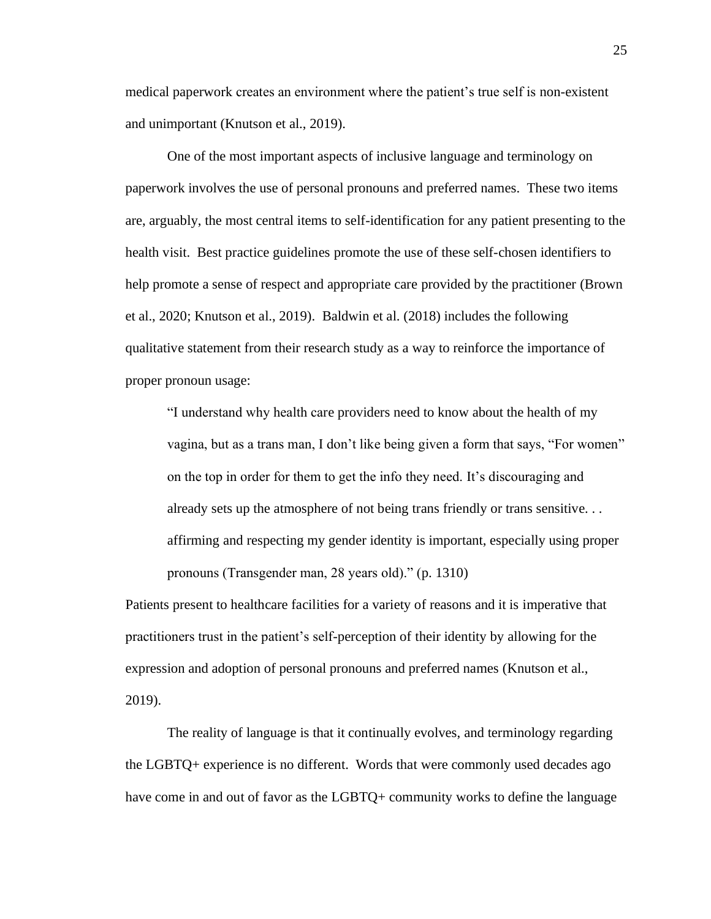medical paperwork creates an environment where the patient's true self is non-existent and unimportant (Knutson et al., 2019).

One of the most important aspects of inclusive language and terminology on paperwork involves the use of personal pronouns and preferred names. These two items are, arguably, the most central items to self-identification for any patient presenting to the health visit. Best practice guidelines promote the use of these self-chosen identifiers to help promote a sense of respect and appropriate care provided by the practitioner (Brown et al., 2020; Knutson et al., 2019). Baldwin et al. (2018) includes the following qualitative statement from their research study as a way to reinforce the importance of proper pronoun usage:

"I understand why health care providers need to know about the health of my vagina, but as a trans man, I don't like being given a form that says, "For women" on the top in order for them to get the info they need. It's discouraging and already sets up the atmosphere of not being trans friendly or trans sensitive. . . affirming and respecting my gender identity is important, especially using proper pronouns (Transgender man, 28 years old)." (p. 1310)

Patients present to healthcare facilities for a variety of reasons and it is imperative that practitioners trust in the patient's self-perception of their identity by allowing for the expression and adoption of personal pronouns and preferred names (Knutson et al., 2019).

The reality of language is that it continually evolves, and terminology regarding the LGBTQ+ experience is no different. Words that were commonly used decades ago have come in and out of favor as the LGBTQ+ community works to define the language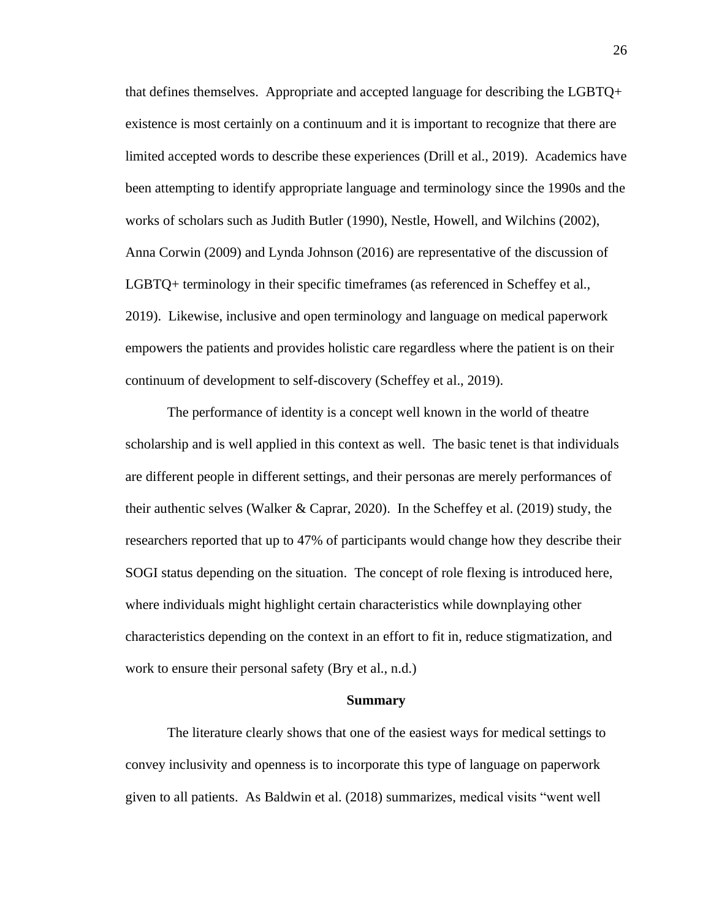that defines themselves. Appropriate and accepted language for describing the LGBTQ+ existence is most certainly on a continuum and it is important to recognize that there are limited accepted words to describe these experiences (Drill et al., 2019). Academics have been attempting to identify appropriate language and terminology since the 1990s and the works of scholars such as Judith Butler (1990), Nestle, Howell, and Wilchins (2002), Anna Corwin (2009) and Lynda Johnson (2016) are representative of the discussion of LGBTQ+ terminology in their specific timeframes (as referenced in Scheffey et al., 2019). Likewise, inclusive and open terminology and language on medical paperwork empowers the patients and provides holistic care regardless where the patient is on their continuum of development to self-discovery (Scheffey et al., 2019).

The performance of identity is a concept well known in the world of theatre scholarship and is well applied in this context as well. The basic tenet is that individuals are different people in different settings, and their personas are merely performances of their authentic selves (Walker & Caprar, 2020). In the Scheffey et al. (2019) study, the researchers reported that up to 47% of participants would change how they describe their SOGI status depending on the situation. The concept of role flexing is introduced here, where individuals might highlight certain characteristics while downplaying other characteristics depending on the context in an effort to fit in, reduce stigmatization, and work to ensure their personal safety (Bry et al., n.d.)

### **Summary**

The literature clearly shows that one of the easiest ways for medical settings to convey inclusivity and openness is to incorporate this type of language on paperwork given to all patients. As Baldwin et al. (2018) summarizes, medical visits "went well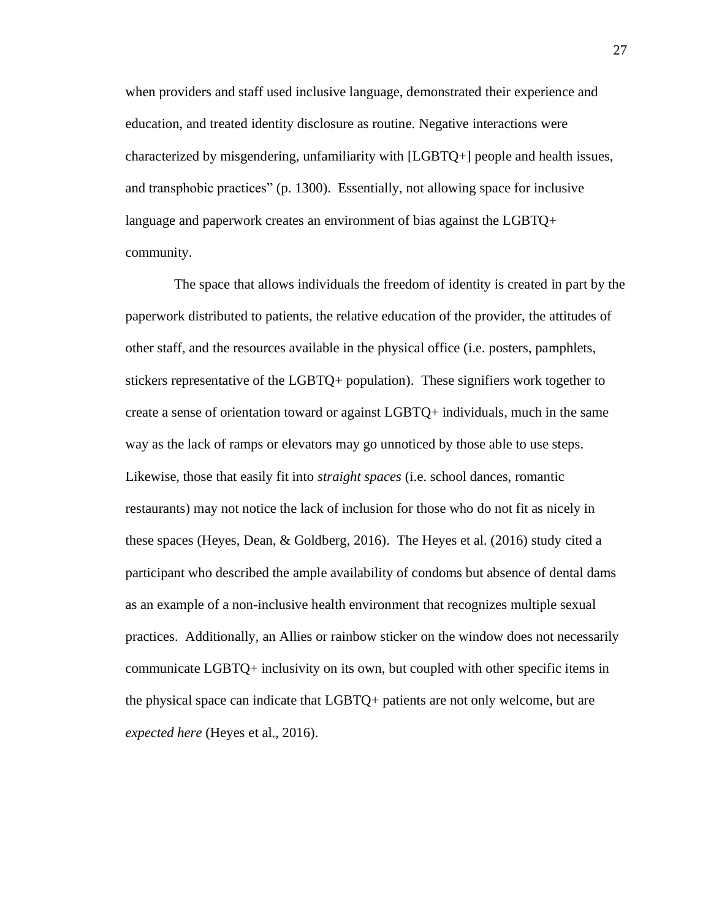when providers and staff used inclusive language, demonstrated their experience and education, and treated identity disclosure as routine. Negative interactions were characterized by misgendering, unfamiliarity with [LGBTQ+] people and health issues, and transphobic practices" (p. 1300). Essentially, not allowing space for inclusive language and paperwork creates an environment of bias against the LGBTQ+ community.

 The space that allows individuals the freedom of identity is created in part by the paperwork distributed to patients, the relative education of the provider, the attitudes of other staff, and the resources available in the physical office (i.e. posters, pamphlets, stickers representative of the LGBTQ+ population). These signifiers work together to create a sense of orientation toward or against LGBTQ+ individuals, much in the same way as the lack of ramps or elevators may go unnoticed by those able to use steps. Likewise, those that easily fit into *straight spaces* (i.e. school dances, romantic restaurants) may not notice the lack of inclusion for those who do not fit as nicely in these spaces (Heyes, Dean, & Goldberg, 2016). The Heyes et al. (2016) study cited a participant who described the ample availability of condoms but absence of dental dams as an example of a non-inclusive health environment that recognizes multiple sexual practices. Additionally, an Allies or rainbow sticker on the window does not necessarily communicate LGBTQ+ inclusivity on its own, but coupled with other specific items in the physical space can indicate that LGBTQ+ patients are not only welcome, but are *expected here* (Heyes et al., 2016).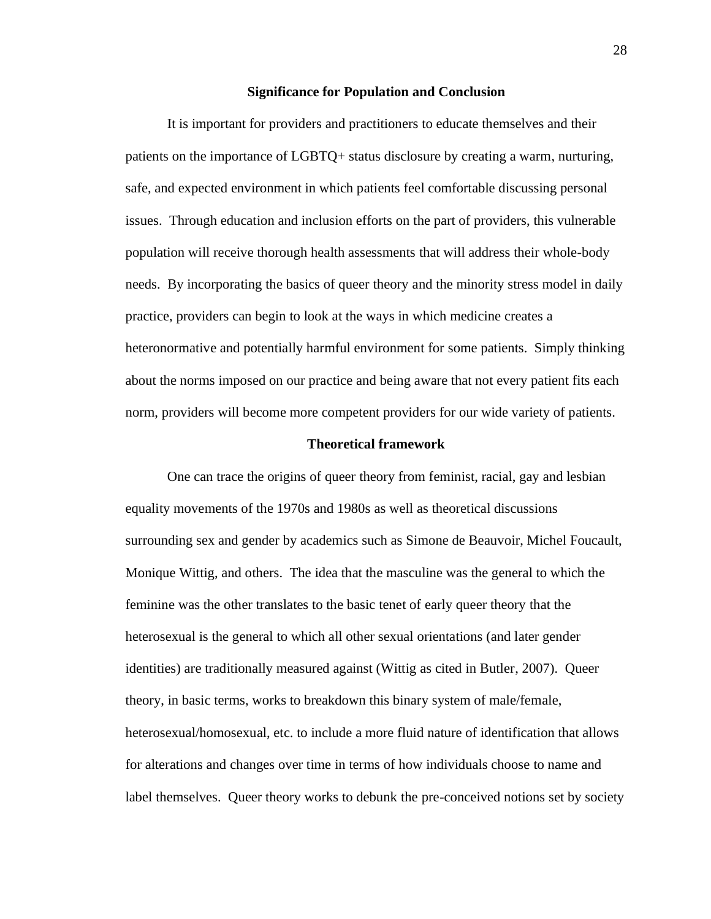### **Significance for Population and Conclusion**

It is important for providers and practitioners to educate themselves and their patients on the importance of LGBTQ+ status disclosure by creating a warm, nurturing, safe, and expected environment in which patients feel comfortable discussing personal issues. Through education and inclusion efforts on the part of providers, this vulnerable population will receive thorough health assessments that will address their whole-body needs. By incorporating the basics of queer theory and the minority stress model in daily practice, providers can begin to look at the ways in which medicine creates a heteronormative and potentially harmful environment for some patients. Simply thinking about the norms imposed on our practice and being aware that not every patient fits each norm, providers will become more competent providers for our wide variety of patients.

### **Theoretical framework**

One can trace the origins of queer theory from feminist, racial, gay and lesbian equality movements of the 1970s and 1980s as well as theoretical discussions surrounding sex and gender by academics such as Simone de Beauvoir, Michel Foucault, Monique Wittig, and others. The idea that the masculine was the general to which the feminine was the other translates to the basic tenet of early queer theory that the heterosexual is the general to which all other sexual orientations (and later gender identities) are traditionally measured against (Wittig as cited in Butler, 2007). Queer theory, in basic terms, works to breakdown this binary system of male/female, heterosexual/homosexual, etc. to include a more fluid nature of identification that allows for alterations and changes over time in terms of how individuals choose to name and label themselves. Queer theory works to debunk the pre-conceived notions set by society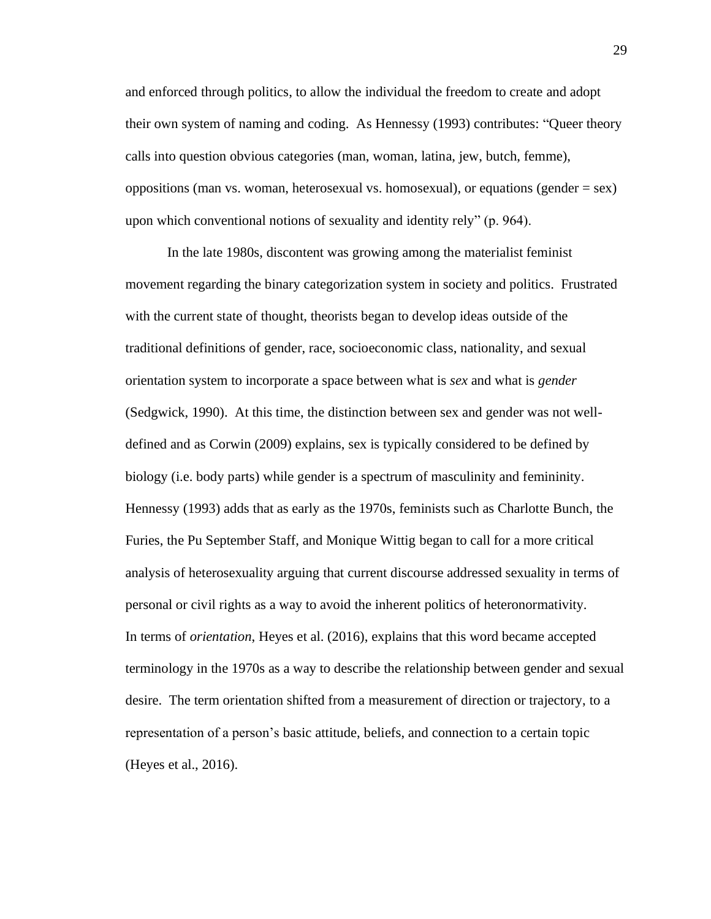and enforced through politics, to allow the individual the freedom to create and adopt their own system of naming and coding. As Hennessy (1993) contributes: "Queer theory calls into question obvious categories (man, woman, latina, jew, butch, femme), oppositions (man vs. woman, heterosexual vs. homosexual), or equations (gender  $=$  sex) upon which conventional notions of sexuality and identity rely" (p. 964).

In the late 1980s, discontent was growing among the materialist feminist movement regarding the binary categorization system in society and politics. Frustrated with the current state of thought, theorists began to develop ideas outside of the traditional definitions of gender, race, socioeconomic class, nationality, and sexual orientation system to incorporate a space between what is *sex* and what is *gender* (Sedgwick, 1990). At this time, the distinction between sex and gender was not welldefined and as Corwin (2009) explains, sex is typically considered to be defined by biology (i.e. body parts) while gender is a spectrum of masculinity and femininity. Hennessy (1993) adds that as early as the 1970s, feminists such as Charlotte Bunch, the Furies, the Pu September Staff, and Monique Wittig began to call for a more critical analysis of heterosexuality arguing that current discourse addressed sexuality in terms of personal or civil rights as a way to avoid the inherent politics of heteronormativity. In terms of *orientation*, Heyes et al. (2016), explains that this word became accepted terminology in the 1970s as a way to describe the relationship between gender and sexual desire. The term orientation shifted from a measurement of direction or trajectory, to a representation of a person's basic attitude, beliefs, and connection to a certain topic (Heyes et al., 2016).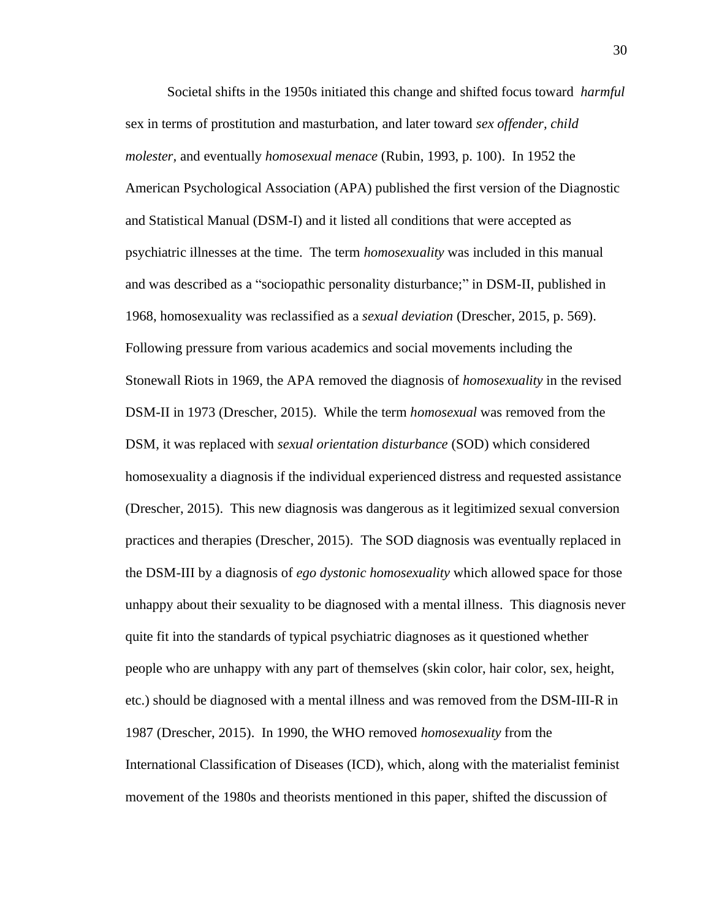Societal shifts in the 1950s initiated this change and shifted focus toward *harmful* sex in terms of prostitution and masturbation, and later toward *sex offender, child molester,* and eventually *homosexual menace* (Rubin, 1993, p. 100). In 1952 the American Psychological Association (APA) published the first version of the Diagnostic and Statistical Manual (DSM-I) and it listed all conditions that were accepted as psychiatric illnesses at the time. The term *homosexuality* was included in this manual and was described as a "sociopathic personality disturbance;" in DSM-II, published in 1968, homosexuality was reclassified as a *sexual deviation* (Drescher, 2015, p. 569). Following pressure from various academics and social movements including the Stonewall Riots in 1969, the APA removed the diagnosis of *homosexuality* in the revised DSM-II in 1973 (Drescher, 2015). While the term *homosexual* was removed from the DSM, it was replaced with *sexual orientation disturbance* (SOD) which considered homosexuality a diagnosis if the individual experienced distress and requested assistance (Drescher, 2015). This new diagnosis was dangerous as it legitimized sexual conversion practices and therapies (Drescher, 2015). The SOD diagnosis was eventually replaced in the DSM-III by a diagnosis of *ego dystonic homosexuality* which allowed space for those unhappy about their sexuality to be diagnosed with a mental illness. This diagnosis never quite fit into the standards of typical psychiatric diagnoses as it questioned whether people who are unhappy with any part of themselves (skin color, hair color, sex, height, etc.) should be diagnosed with a mental illness and was removed from the DSM-III-R in 1987 (Drescher, 2015). In 1990, the WHO removed *homosexuality* from the International Classification of Diseases (ICD), which, along with the materialist feminist movement of the 1980s and theorists mentioned in this paper, shifted the discussion of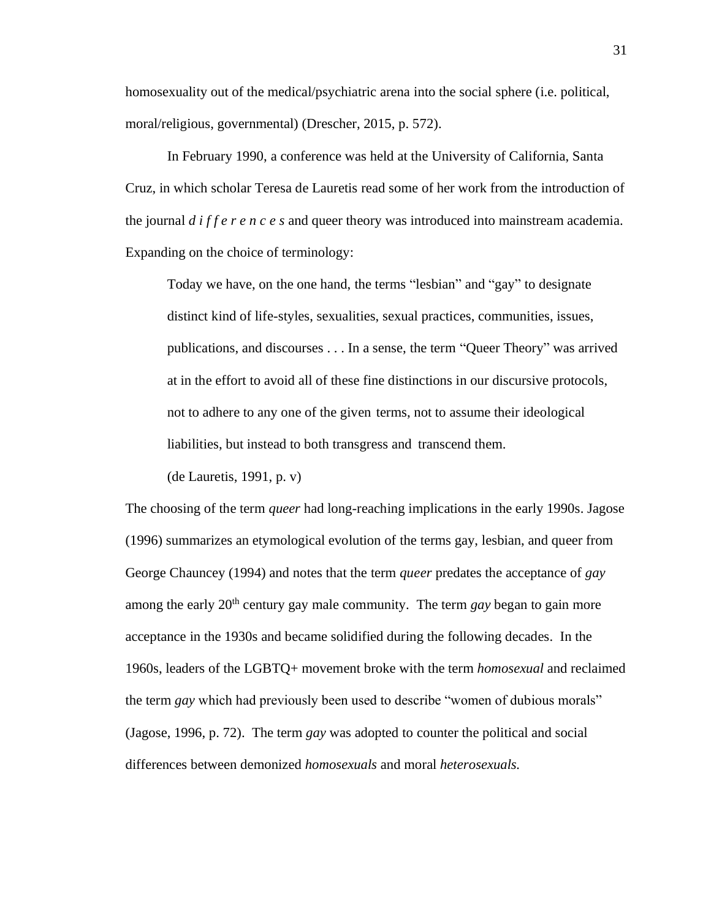homosexuality out of the medical/psychiatric arena into the social sphere (i.e. political, moral/religious, governmental) (Drescher, 2015, p. 572).

In February 1990, a conference was held at the University of California, Santa Cruz, in which scholar Teresa de Lauretis read some of her work from the introduction of the journal *d i f f e r e n c e s* and queer theory was introduced into mainstream academia. Expanding on the choice of terminology:

Today we have, on the one hand, the terms "lesbian" and "gay" to designate distinct kind of life-styles, sexualities, sexual practices, communities, issues, publications, and discourses . . . In a sense, the term "Queer Theory" was arrived at in the effort to avoid all of these fine distinctions in our discursive protocols, not to adhere to any one of the given terms, not to assume their ideological liabilities, but instead to both transgress and transcend them.

(de Lauretis, 1991, p. v)

The choosing of the term *queer* had long-reaching implications in the early 1990s. Jagose (1996) summarizes an etymological evolution of the terms gay, lesbian, and queer from George Chauncey (1994) and notes that the term *queer* predates the acceptance of *gay* among the early 20<sup>th</sup> century gay male community. The term *gay* began to gain more acceptance in the 1930s and became solidified during the following decades. In the 1960s, leaders of the LGBTQ+ movement broke with the term *homosexual* and reclaimed the term *gay* which had previously been used to describe "women of dubious morals" (Jagose, 1996, p. 72). The term *gay* was adopted to counter the political and social differences between demonized *homosexuals* and moral *heterosexuals.*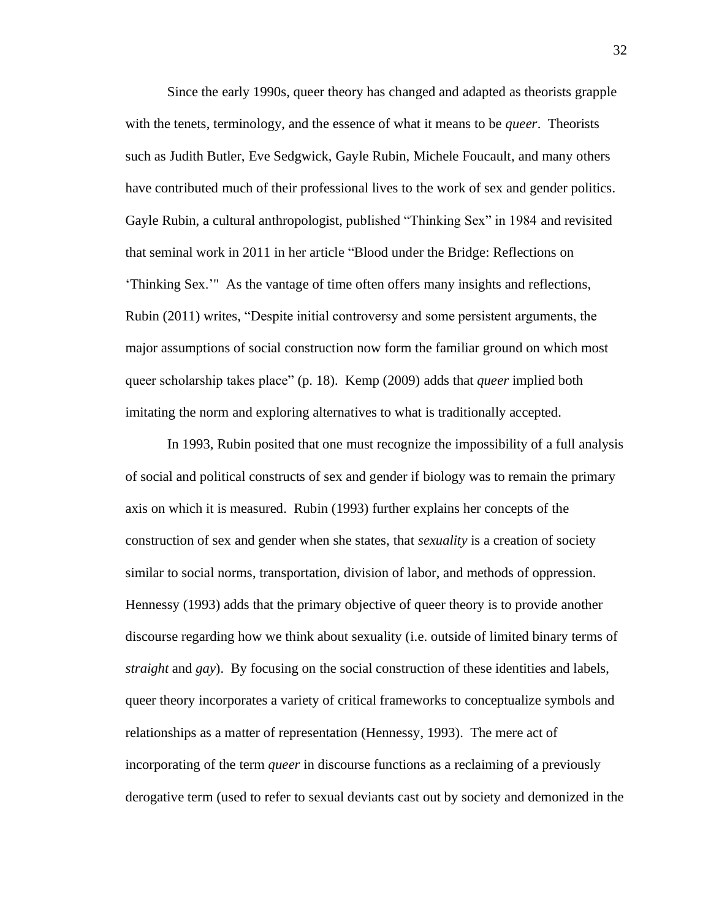Since the early 1990s, queer theory has changed and adapted as theorists grapple with the tenets, terminology, and the essence of what it means to be *queer*. Theorists such as Judith Butler, Eve Sedgwick, Gayle Rubin, Michele Foucault, and many others have contributed much of their professional lives to the work of sex and gender politics. Gayle Rubin, a cultural anthropologist, published "Thinking Sex" in 1984 and revisited that seminal work in 2011 in her article "Blood under the Bridge: Reflections on 'Thinking Sex.'" As the vantage of time often offers many insights and reflections, Rubin (2011) writes, "Despite initial controversy and some persistent arguments, the major assumptions of social construction now form the familiar ground on which most queer scholarship takes place" (p. 18). Kemp (2009) adds that *queer* implied both imitating the norm and exploring alternatives to what is traditionally accepted.

In 1993, Rubin posited that one must recognize the impossibility of a full analysis of social and political constructs of sex and gender if biology was to remain the primary axis on which it is measured. Rubin (1993) further explains her concepts of the construction of sex and gender when she states, that *sexuality* is a creation of society similar to social norms, transportation, division of labor, and methods of oppression. Hennessy (1993) adds that the primary objective of queer theory is to provide another discourse regarding how we think about sexuality (i.e. outside of limited binary terms of *straight* and *gay*). By focusing on the social construction of these identities and labels, queer theory incorporates a variety of critical frameworks to conceptualize symbols and relationships as a matter of representation (Hennessy, 1993). The mere act of incorporating of the term *queer* in discourse functions as a reclaiming of a previously derogative term (used to refer to sexual deviants cast out by society and demonized in the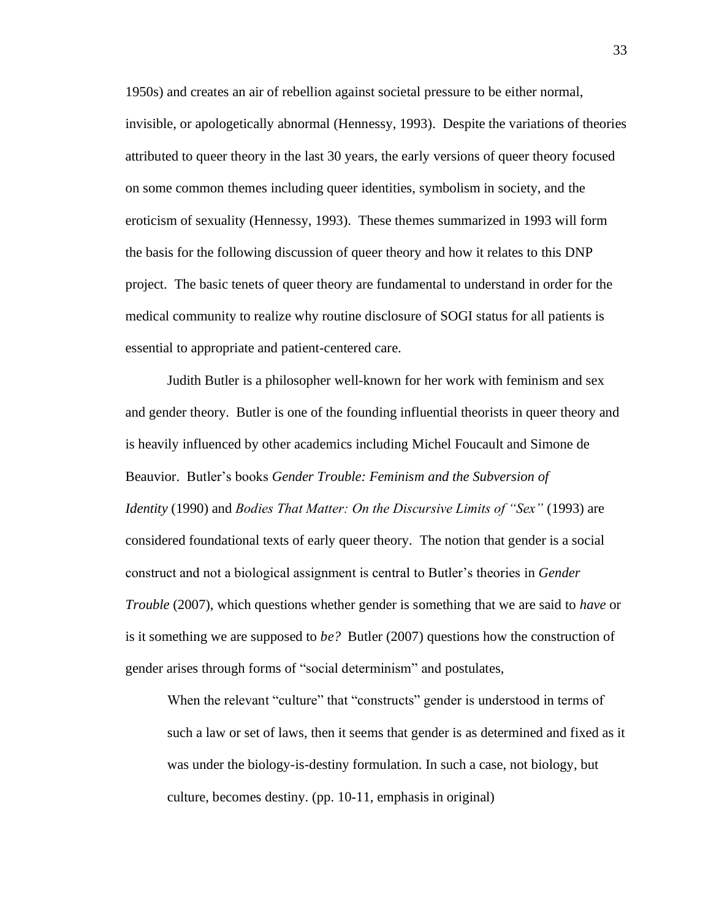1950s) and creates an air of rebellion against societal pressure to be either normal, invisible, or apologetically abnormal (Hennessy, 1993). Despite the variations of theories attributed to queer theory in the last 30 years, the early versions of queer theory focused on some common themes including queer identities, symbolism in society, and the eroticism of sexuality (Hennessy, 1993). These themes summarized in 1993 will form the basis for the following discussion of queer theory and how it relates to this DNP project. The basic tenets of queer theory are fundamental to understand in order for the medical community to realize why routine disclosure of SOGI status for all patients is essential to appropriate and patient-centered care.

Judith Butler is a philosopher well-known for her work with feminism and sex and gender theory. Butler is one of the founding influential theorists in queer theory and is heavily influenced by other academics including Michel Foucault and Simone de Beauvior. Butler's books *Gender Trouble: Feminism and the Subversion of Identity* (1990) and *Bodies That Matter: On the Discursive Limits of "Sex"* (1993) are considered foundational texts of early queer theory. The notion that gender is a social construct and not a biological assignment is central to Butler's theories in *Gender Trouble* (2007), which questions whether gender is something that we are said to *have* or is it something we are supposed to *be?* Butler (2007) questions how the construction of gender arises through forms of "social determinism" and postulates,

When the relevant "culture" that "constructs" gender is understood in terms of such a law or set of laws, then it seems that gender is as determined and fixed as it was under the biology-is-destiny formulation. In such a case, not biology, but culture, becomes destiny. (pp. 10-11, emphasis in original)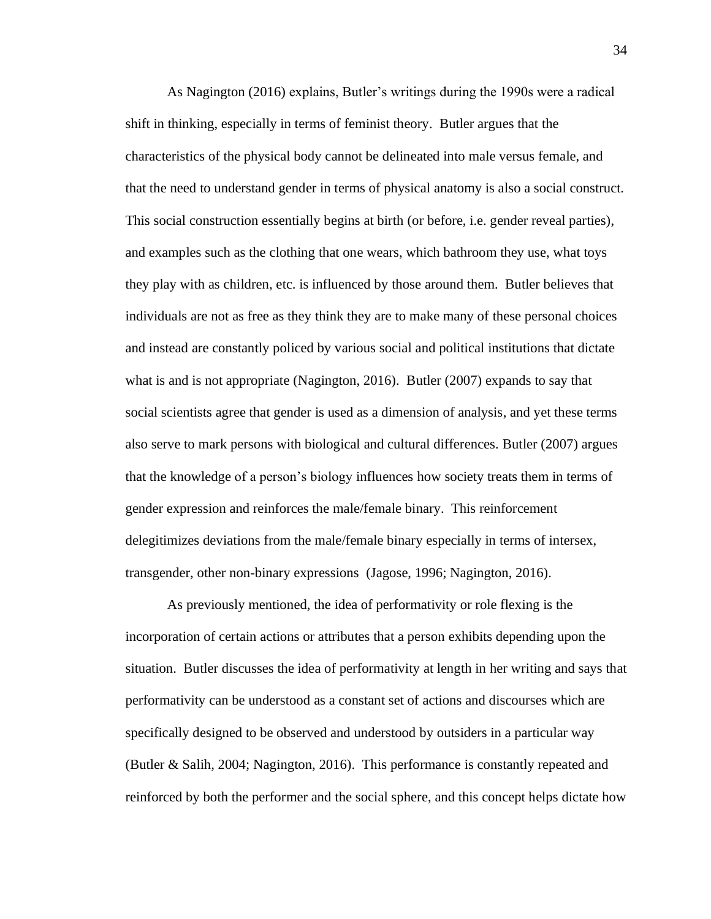As Nagington (2016) explains, Butler's writings during the 1990s were a radical shift in thinking, especially in terms of feminist theory. Butler argues that the characteristics of the physical body cannot be delineated into male versus female, and that the need to understand gender in terms of physical anatomy is also a social construct. This social construction essentially begins at birth (or before, i.e. gender reveal parties), and examples such as the clothing that one wears, which bathroom they use, what toys they play with as children, etc. is influenced by those around them. Butler believes that individuals are not as free as they think they are to make many of these personal choices and instead are constantly policed by various social and political institutions that dictate what is and is not appropriate (Nagington, 2016). Butler (2007) expands to say that social scientists agree that gender is used as a dimension of analysis, and yet these terms also serve to mark persons with biological and cultural differences. Butler (2007) argues that the knowledge of a person's biology influences how society treats them in terms of gender expression and reinforces the male/female binary. This reinforcement delegitimizes deviations from the male/female binary especially in terms of intersex, transgender, other non-binary expressions (Jagose, 1996; Nagington, 2016).

As previously mentioned, the idea of performativity or role flexing is the incorporation of certain actions or attributes that a person exhibits depending upon the situation. Butler discusses the idea of performativity at length in her writing and says that performativity can be understood as a constant set of actions and discourses which are specifically designed to be observed and understood by outsiders in a particular way (Butler & Salih, 2004; Nagington, 2016). This performance is constantly repeated and reinforced by both the performer and the social sphere, and this concept helps dictate how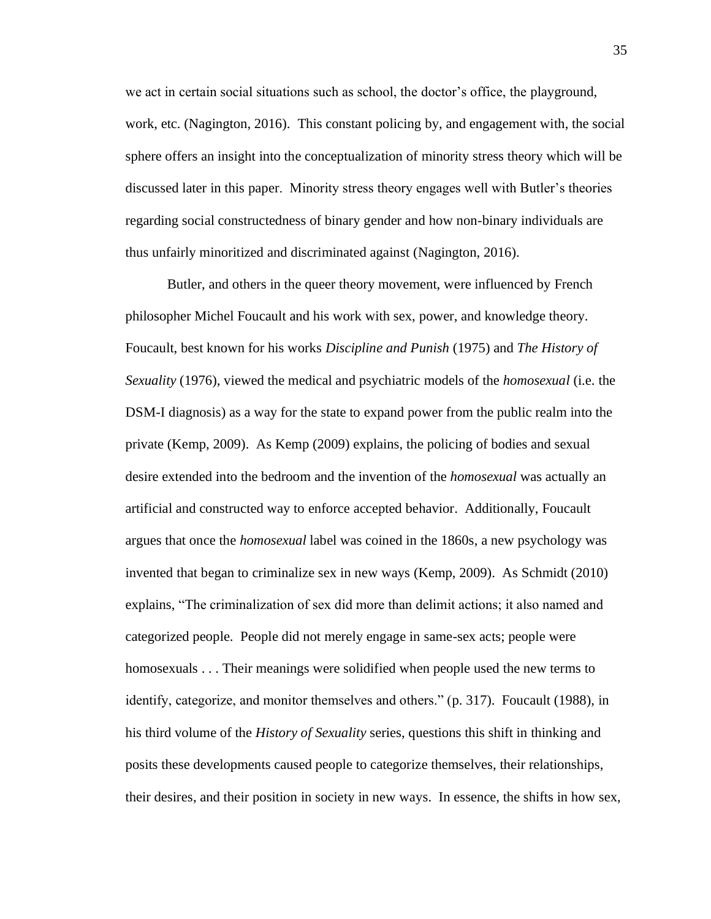we act in certain social situations such as school, the doctor's office, the playground, work, etc. (Nagington, 2016). This constant policing by, and engagement with, the social sphere offers an insight into the conceptualization of minority stress theory which will be discussed later in this paper. Minority stress theory engages well with Butler's theories regarding social constructedness of binary gender and how non-binary individuals are thus unfairly minoritized and discriminated against (Nagington, 2016).

Butler, and others in the queer theory movement, were influenced by French philosopher Michel Foucault and his work with sex, power, and knowledge theory. Foucault, best known for his works *Discipline and Punish* (1975) and *The History of Sexuality* (1976), viewed the medical and psychiatric models of the *homosexual* (i.e. the DSM-I diagnosis) as a way for the state to expand power from the public realm into the private (Kemp, 2009). As Kemp (2009) explains, the policing of bodies and sexual desire extended into the bedroom and the invention of the *homosexual* was actually an artificial and constructed way to enforce accepted behavior. Additionally, Foucault argues that once the *homosexual* label was coined in the 1860s, a new psychology was invented that began to criminalize sex in new ways (Kemp, 2009). As Schmidt (2010) explains, "The criminalization of sex did more than delimit actions; it also named and categorized people. People did not merely engage in same-sex acts; people were homosexuals . . . Their meanings were solidified when people used the new terms to identify, categorize, and monitor themselves and others." (p. 317). Foucault (1988), in his third volume of the *History of Sexuality* series, questions this shift in thinking and posits these developments caused people to categorize themselves, their relationships, their desires, and their position in society in new ways. In essence, the shifts in how sex,

35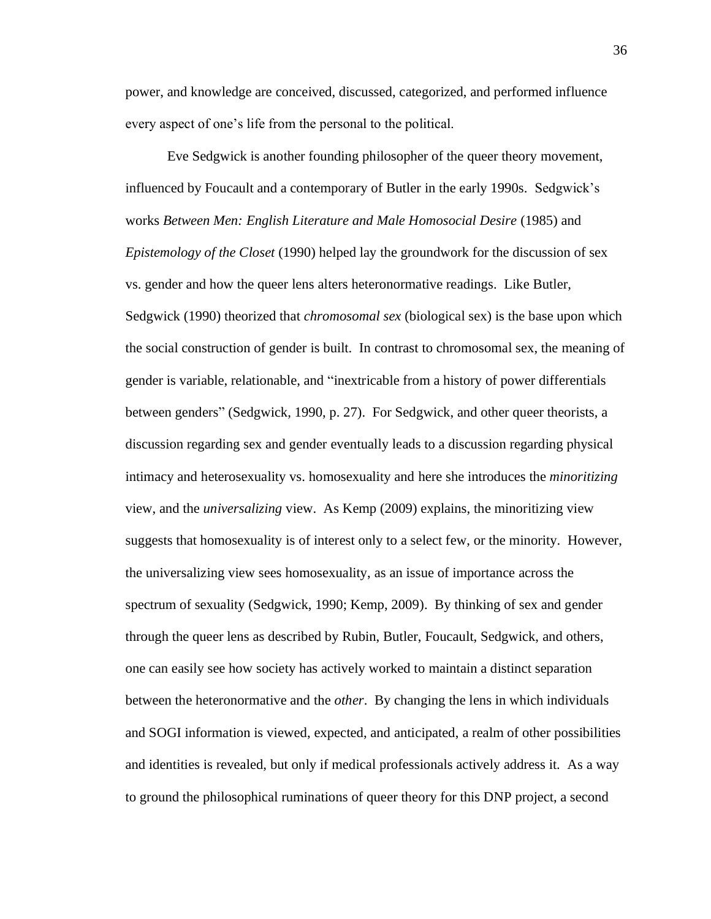power, and knowledge are conceived, discussed, categorized, and performed influence every aspect of one's life from the personal to the political.

Eve Sedgwick is another founding philosopher of the queer theory movement, influenced by Foucault and a contemporary of Butler in the early 1990s. Sedgwick's works *Between Men: English Literature and Male Homosocial Desire* (1985) and *Epistemology of the Closet* (1990) helped lay the groundwork for the discussion of sex vs. gender and how the queer lens alters heteronormative readings. Like Butler, Sedgwick (1990) theorized that *chromosomal sex* (biological sex) is the base upon which the social construction of gender is built. In contrast to chromosomal sex, the meaning of gender is variable, relationable, and "inextricable from a history of power differentials between genders" (Sedgwick, 1990, p. 27). For Sedgwick, and other queer theorists, a discussion regarding sex and gender eventually leads to a discussion regarding physical intimacy and heterosexuality vs. homosexuality and here she introduces the *minoritizing*  view, and the *universalizing* view. As Kemp (2009) explains, the minoritizing view suggests that homosexuality is of interest only to a select few, or the minority. However, the universalizing view sees homosexuality, as an issue of importance across the spectrum of sexuality (Sedgwick, 1990; Kemp, 2009). By thinking of sex and gender through the queer lens as described by Rubin, Butler, Foucault, Sedgwick, and others, one can easily see how society has actively worked to maintain a distinct separation between the heteronormative and the *other*. By changing the lens in which individuals and SOGI information is viewed, expected, and anticipated, a realm of other possibilities and identities is revealed, but only if medical professionals actively address it. As a way to ground the philosophical ruminations of queer theory for this DNP project, a second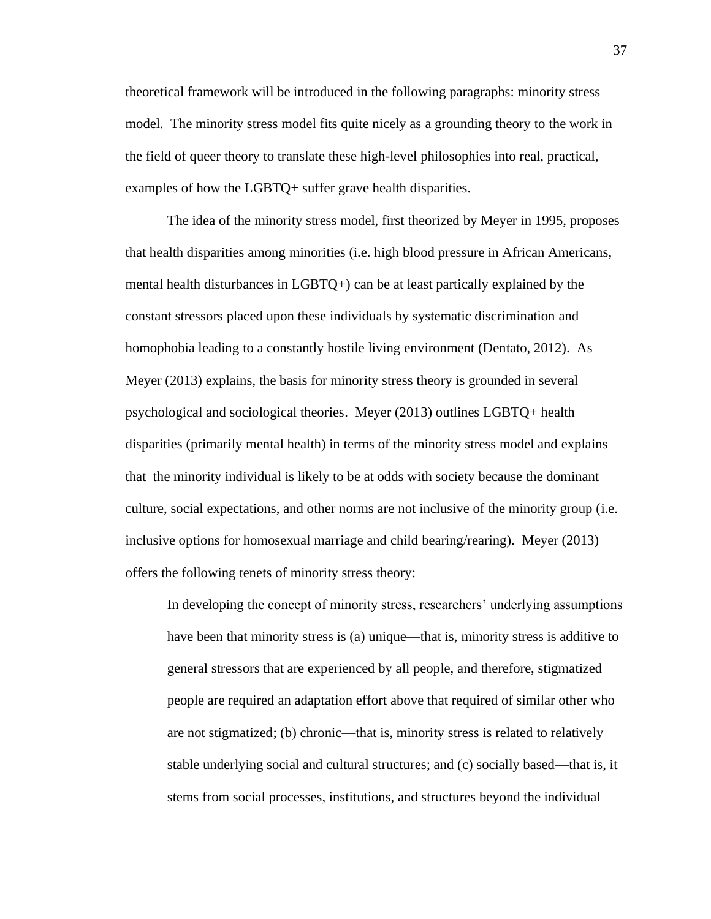theoretical framework will be introduced in the following paragraphs: minority stress model. The minority stress model fits quite nicely as a grounding theory to the work in the field of queer theory to translate these high-level philosophies into real, practical, examples of how the LGBTQ+ suffer grave health disparities.

The idea of the minority stress model, first theorized by Meyer in 1995, proposes that health disparities among minorities (i.e. high blood pressure in African Americans, mental health disturbances in LGBTQ+) can be at least partically explained by the constant stressors placed upon these individuals by systematic discrimination and homophobia leading to a constantly hostile living environment (Dentato, 2012). As Meyer (2013) explains, the basis for minority stress theory is grounded in several psychological and sociological theories. Meyer (2013) outlines LGBTQ+ health disparities (primarily mental health) in terms of the minority stress model and explains that the minority individual is likely to be at odds with society because the dominant culture, social expectations, and other norms are not inclusive of the minority group (i.e. inclusive options for homosexual marriage and child bearing/rearing). Meyer (2013) offers the following tenets of minority stress theory:

In developing the concept of minority stress, researchers' underlying assumptions have been that minority stress is (a) unique—that is, minority stress is additive to general stressors that are experienced by all people, and therefore, stigmatized people are required an adaptation effort above that required of similar other who are not stigmatized; (b) chronic—that is, minority stress is related to relatively stable underlying social and cultural structures; and (c) socially based—that is, it stems from social processes, institutions, and structures beyond the individual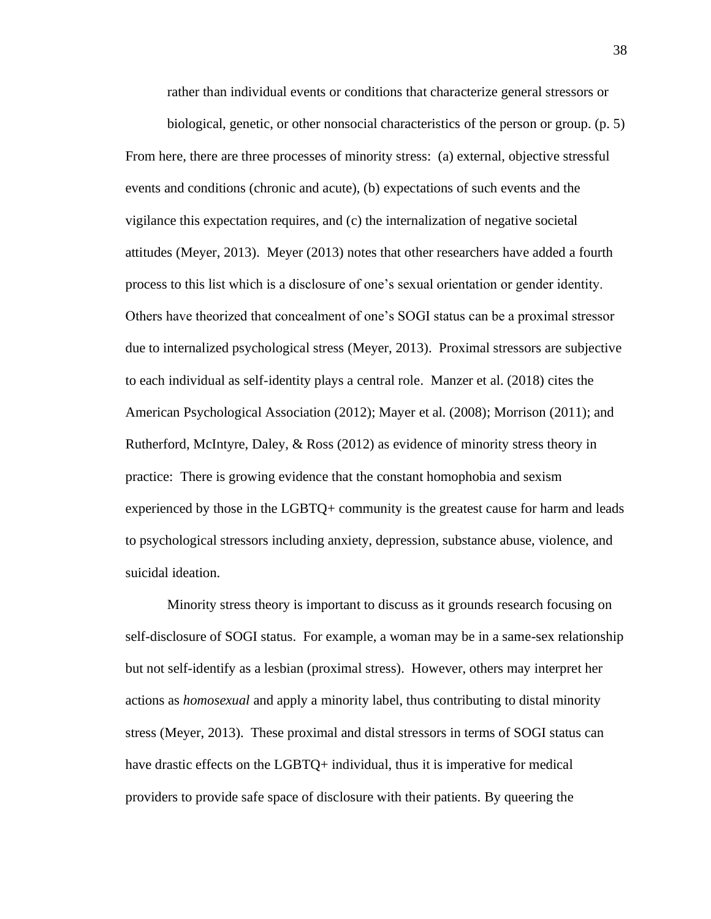rather than individual events or conditions that characterize general stressors or

biological, genetic, or other nonsocial characteristics of the person or group. (p. 5) From here, there are three processes of minority stress: (a) external, objective stressful events and conditions (chronic and acute), (b) expectations of such events and the vigilance this expectation requires, and (c) the internalization of negative societal attitudes (Meyer, 2013). Meyer (2013) notes that other researchers have added a fourth process to this list which is a disclosure of one's sexual orientation or gender identity. Others have theorized that concealment of one's SOGI status can be a proximal stressor due to internalized psychological stress (Meyer, 2013). Proximal stressors are subjective to each individual as self-identity plays a central role. Manzer et al. (2018) cites the American Psychological Association (2012); Mayer et al. (2008); Morrison (2011); and Rutherford, McIntyre, Daley, & Ross (2012) as evidence of minority stress theory in practice: There is growing evidence that the constant homophobia and sexism experienced by those in the LGBTQ+ community is the greatest cause for harm and leads to psychological stressors including anxiety, depression, substance abuse, violence, and suicidal ideation.

Minority stress theory is important to discuss as it grounds research focusing on self-disclosure of SOGI status. For example, a woman may be in a same-sex relationship but not self-identify as a lesbian (proximal stress). However, others may interpret her actions as *homosexual* and apply a minority label, thus contributing to distal minority stress (Meyer, 2013). These proximal and distal stressors in terms of SOGI status can have drastic effects on the LGBTQ+ individual, thus it is imperative for medical providers to provide safe space of disclosure with their patients. By queering the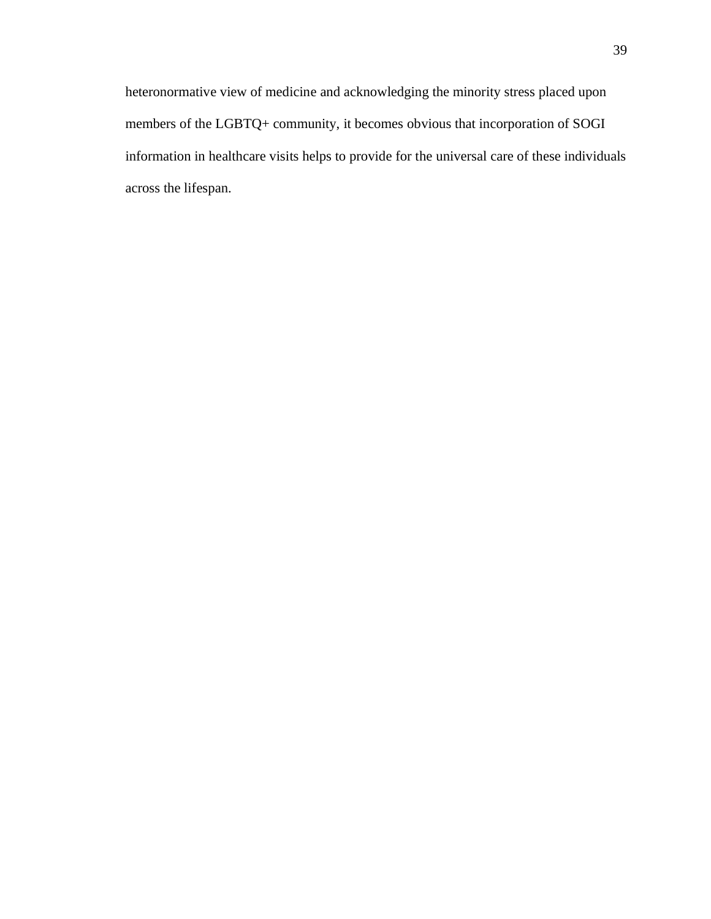heteronormative view of medicine and acknowledging the minority stress placed upon members of the LGBTQ+ community, it becomes obvious that incorporation of SOGI information in healthcare visits helps to provide for the universal care of these individuals across the lifespan.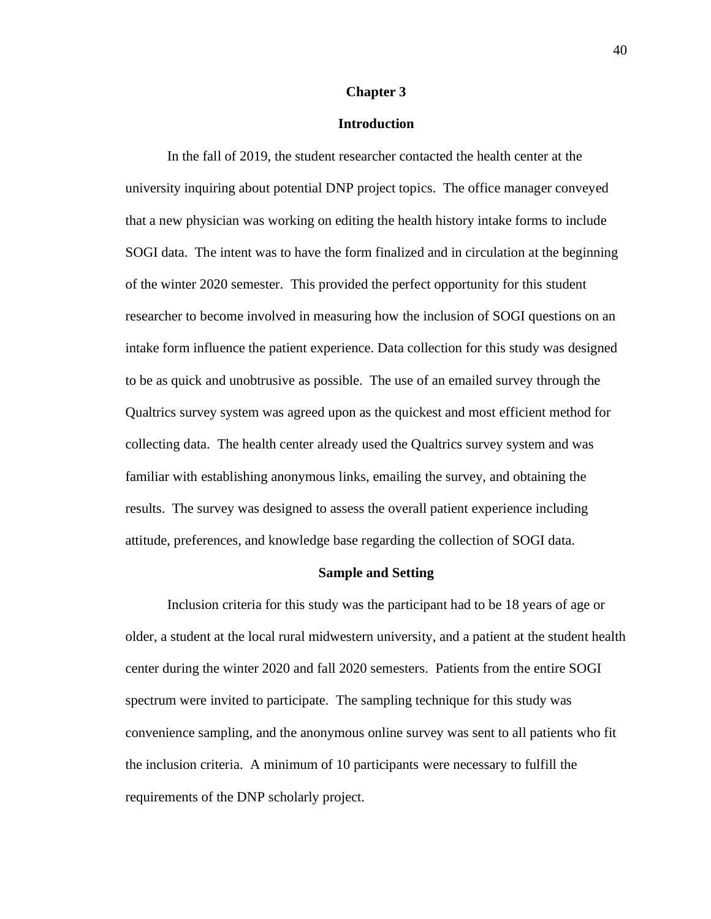## **Chapter 3**

# **Introduction**

In the fall of 2019, the student researcher contacted the health center at the university inquiring about potential DNP project topics. The office manager conveyed that a new physician was working on editing the health history intake forms to include SOGI data. The intent was to have the form finalized and in circulation at the beginning of the winter 2020 semester. This provided the perfect opportunity for this student researcher to become involved in measuring how the inclusion of SOGI questions on an intake form influence the patient experience. Data collection for this study was designed to be as quick and unobtrusive as possible. The use of an emailed survey through the Qualtrics survey system was agreed upon as the quickest and most efficient method for collecting data. The health center already used the Qualtrics survey system and was familiar with establishing anonymous links, emailing the survey, and obtaining the results. The survey was designed to assess the overall patient experience including attitude, preferences, and knowledge base regarding the collection of SOGI data.

## **Sample and Setting**

Inclusion criteria for this study was the participant had to be 18 years of age or older, a student at the local rural midwestern university, and a patient at the student health center during the winter 2020 and fall 2020 semesters. Patients from the entire SOGI spectrum were invited to participate. The sampling technique for this study was convenience sampling, and the anonymous online survey was sent to all patients who fit the inclusion criteria. A minimum of 10 participants were necessary to fulfill the requirements of the DNP scholarly project.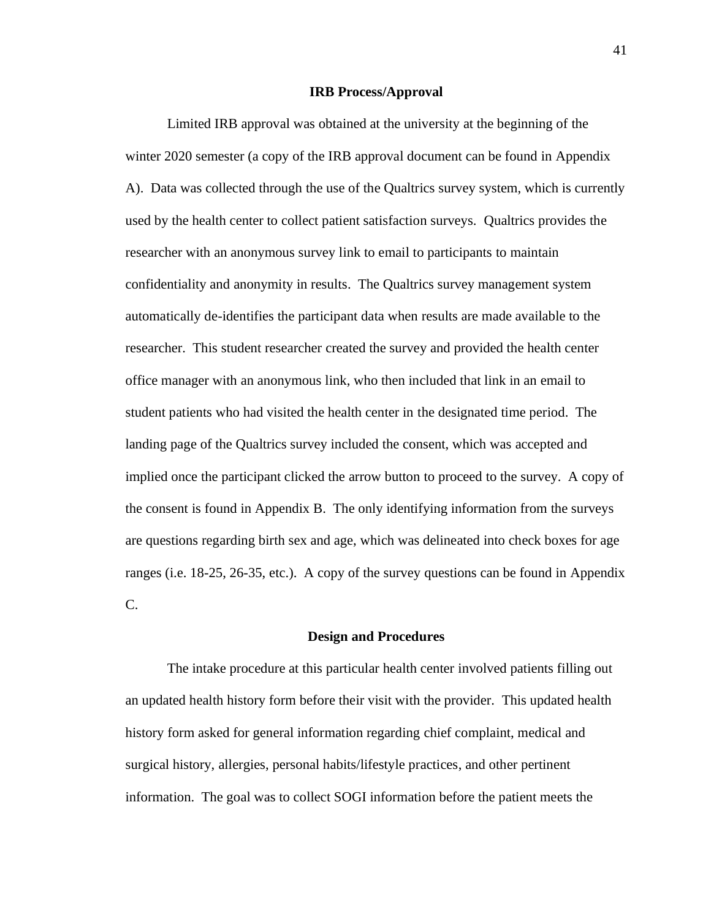## **IRB Process/Approval**

Limited IRB approval was obtained at the university at the beginning of the winter 2020 semester (a copy of the IRB approval document can be found in Appendix A). Data was collected through the use of the Qualtrics survey system, which is currently used by the health center to collect patient satisfaction surveys. Qualtrics provides the researcher with an anonymous survey link to email to participants to maintain confidentiality and anonymity in results. The Qualtrics survey management system automatically de-identifies the participant data when results are made available to the researcher. This student researcher created the survey and provided the health center office manager with an anonymous link, who then included that link in an email to student patients who had visited the health center in the designated time period. The landing page of the Qualtrics survey included the consent, which was accepted and implied once the participant clicked the arrow button to proceed to the survey. A copy of the consent is found in Appendix B. The only identifying information from the surveys are questions regarding birth sex and age, which was delineated into check boxes for age ranges (i.e. 18-25, 26-35, etc.). A copy of the survey questions can be found in Appendix C.

### **Design and Procedures**

The intake procedure at this particular health center involved patients filling out an updated health history form before their visit with the provider. This updated health history form asked for general information regarding chief complaint, medical and surgical history, allergies, personal habits/lifestyle practices, and other pertinent information. The goal was to collect SOGI information before the patient meets the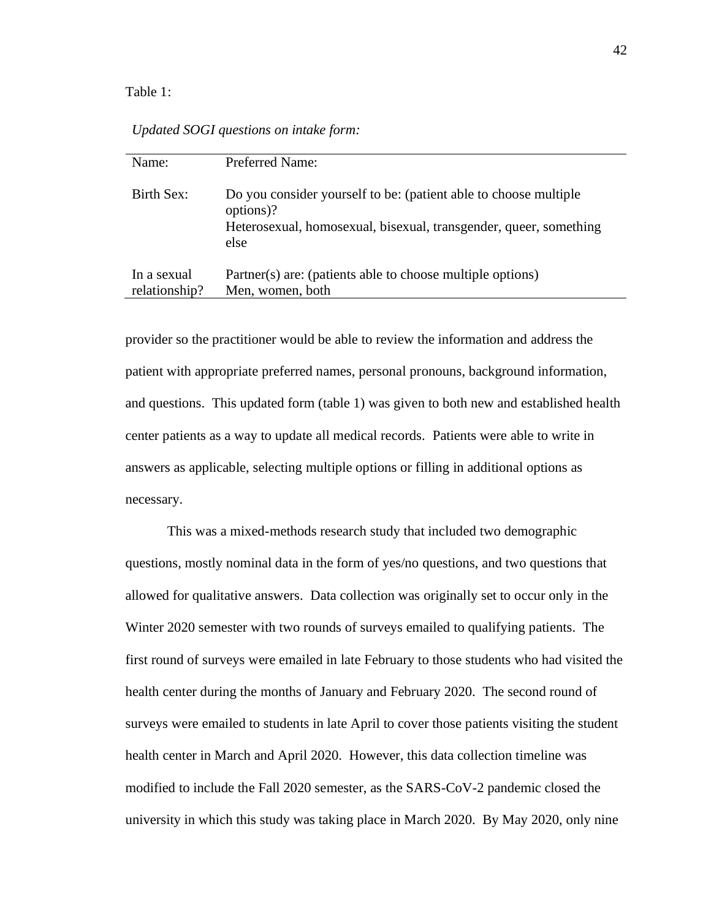## Table 1:

| Name:                        | Preferred Name:                                                                                                                                            |
|------------------------------|------------------------------------------------------------------------------------------------------------------------------------------------------------|
| Birth Sex:                   | Do you consider yourself to be: (patient able to choose multiple<br>options)?<br>Heterosexual, homosexual, bisexual, transgender, queer, something<br>else |
| In a sexual<br>relationship? | Partner(s) are: (patients able to choose multiple options)<br>Men, women, both                                                                             |

*Updated SOGI questions on intake form:*

provider so the practitioner would be able to review the information and address the patient with appropriate preferred names, personal pronouns, background information, and questions. This updated form (table 1) was given to both new and established health center patients as a way to update all medical records. Patients were able to write in answers as applicable, selecting multiple options or filling in additional options as necessary.

This was a mixed-methods research study that included two demographic questions, mostly nominal data in the form of yes/no questions, and two questions that allowed for qualitative answers. Data collection was originally set to occur only in the Winter 2020 semester with two rounds of surveys emailed to qualifying patients. The first round of surveys were emailed in late February to those students who had visited the health center during the months of January and February 2020. The second round of surveys were emailed to students in late April to cover those patients visiting the student health center in March and April 2020. However, this data collection timeline was modified to include the Fall 2020 semester, as the SARS-CoV-2 pandemic closed the university in which this study was taking place in March 2020. By May 2020, only nine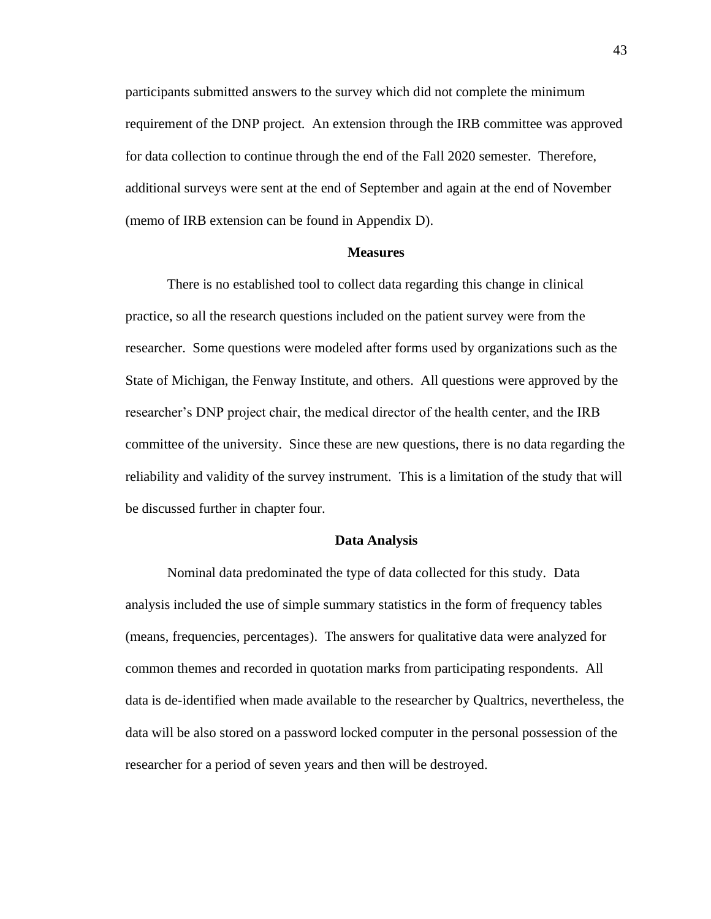participants submitted answers to the survey which did not complete the minimum requirement of the DNP project. An extension through the IRB committee was approved for data collection to continue through the end of the Fall 2020 semester. Therefore, additional surveys were sent at the end of September and again at the end of November (memo of IRB extension can be found in Appendix D).

# **Measures**

There is no established tool to collect data regarding this change in clinical practice, so all the research questions included on the patient survey were from the researcher. Some questions were modeled after forms used by organizations such as the State of Michigan, the Fenway Institute, and others. All questions were approved by the researcher's DNP project chair, the medical director of the health center, and the IRB committee of the university. Since these are new questions, there is no data regarding the reliability and validity of the survey instrument. This is a limitation of the study that will be discussed further in chapter four.

### **Data Analysis**

Nominal data predominated the type of data collected for this study. Data analysis included the use of simple summary statistics in the form of frequency tables (means, frequencies, percentages). The answers for qualitative data were analyzed for common themes and recorded in quotation marks from participating respondents. All data is de-identified when made available to the researcher by Qualtrics, nevertheless, the data will be also stored on a password locked computer in the personal possession of the researcher for a period of seven years and then will be destroyed.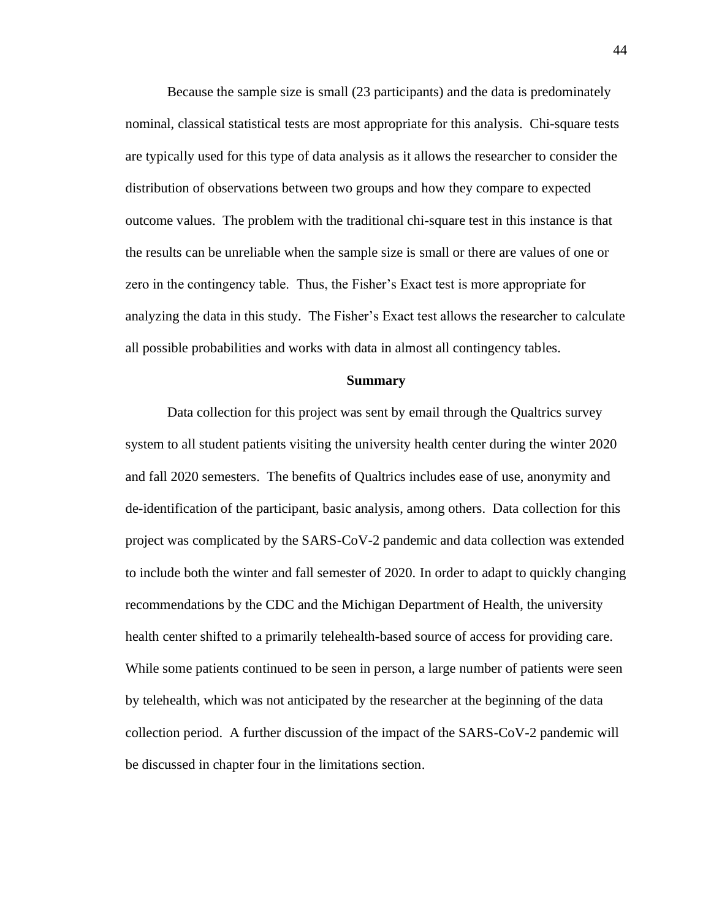Because the sample size is small (23 participants) and the data is predominately nominal, classical statistical tests are most appropriate for this analysis. Chi-square tests are typically used for this type of data analysis as it allows the researcher to consider the distribution of observations between two groups and how they compare to expected outcome values. The problem with the traditional chi-square test in this instance is that the results can be unreliable when the sample size is small or there are values of one or zero in the contingency table. Thus, the Fisher's Exact test is more appropriate for analyzing the data in this study. The Fisher's Exact test allows the researcher to calculate all possible probabilities and works with data in almost all contingency tables.

### **Summary**

Data collection for this project was sent by email through the Qualtrics survey system to all student patients visiting the university health center during the winter 2020 and fall 2020 semesters. The benefits of Qualtrics includes ease of use, anonymity and de-identification of the participant, basic analysis, among others. Data collection for this project was complicated by the SARS-CoV-2 pandemic and data collection was extended to include both the winter and fall semester of 2020. In order to adapt to quickly changing recommendations by the CDC and the Michigan Department of Health, the university health center shifted to a primarily telehealth-based source of access for providing care. While some patients continued to be seen in person, a large number of patients were seen by telehealth, which was not anticipated by the researcher at the beginning of the data collection period. A further discussion of the impact of the SARS-CoV-2 pandemic will be discussed in chapter four in the limitations section.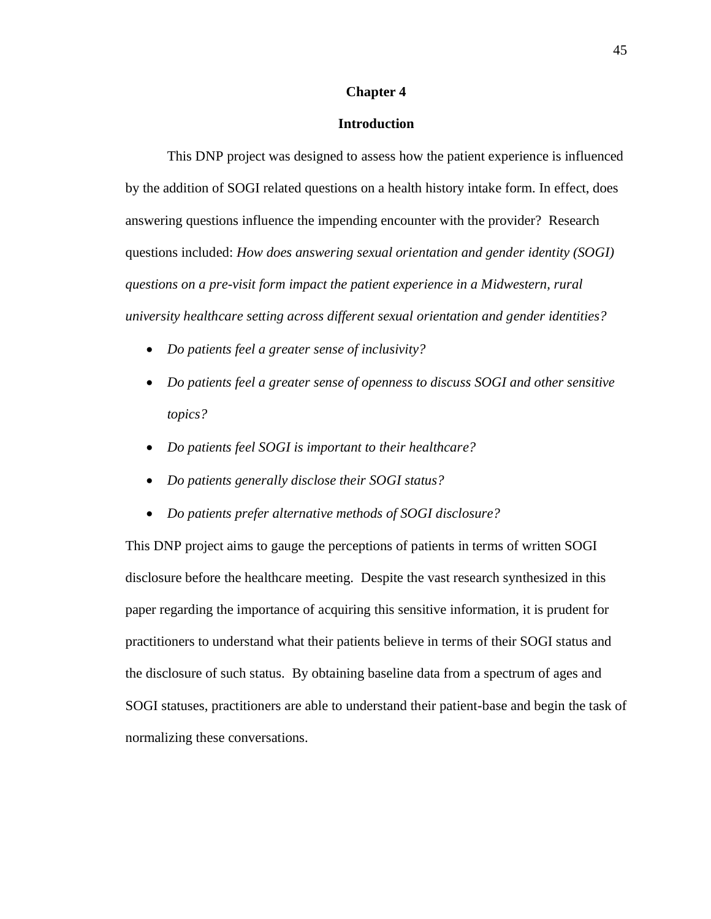# **Chapter 4**

# **Introduction**

This DNP project was designed to assess how the patient experience is influenced by the addition of SOGI related questions on a health history intake form. In effect, does answering questions influence the impending encounter with the provider? Research questions included: *How does answering sexual orientation and gender identity (SOGI) questions on a pre-visit form impact the patient experience in a Midwestern, rural university healthcare setting across different sexual orientation and gender identities?* 

- *Do patients feel a greater sense of inclusivity?*
- *Do patients feel a greater sense of openness to discuss SOGI and other sensitive topics?*
- *Do patients feel SOGI is important to their healthcare?*
- *Do patients generally disclose their SOGI status?*
- *Do patients prefer alternative methods of SOGI disclosure?*

This DNP project aims to gauge the perceptions of patients in terms of written SOGI disclosure before the healthcare meeting. Despite the vast research synthesized in this paper regarding the importance of acquiring this sensitive information, it is prudent for practitioners to understand what their patients believe in terms of their SOGI status and the disclosure of such status. By obtaining baseline data from a spectrum of ages and SOGI statuses, practitioners are able to understand their patient-base and begin the task of normalizing these conversations.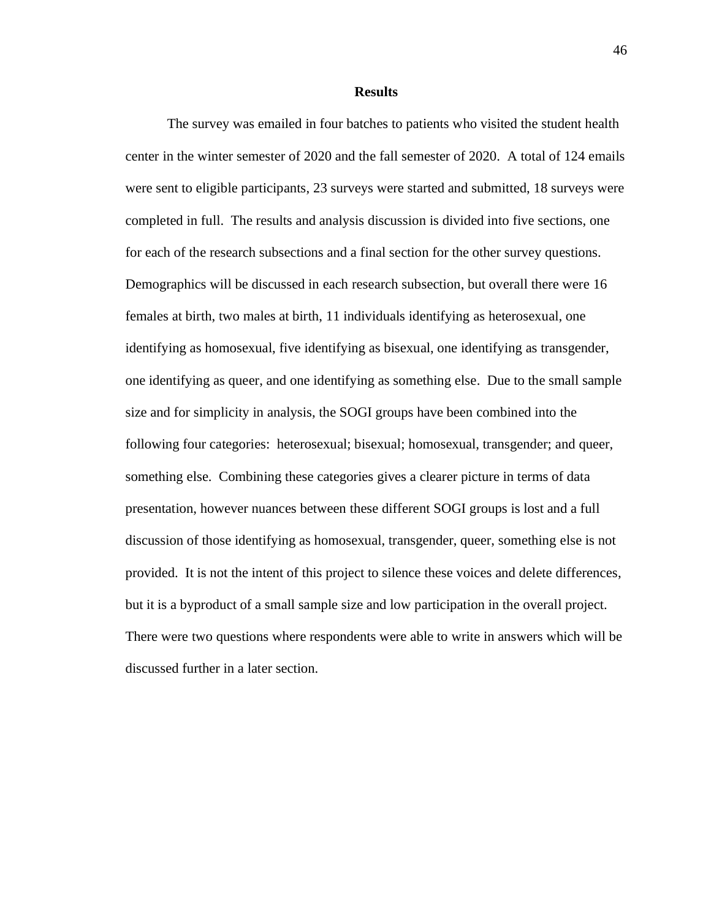**Results**

The survey was emailed in four batches to patients who visited the student health center in the winter semester of 2020 and the fall semester of 2020. A total of 124 emails were sent to eligible participants, 23 surveys were started and submitted, 18 surveys were completed in full. The results and analysis discussion is divided into five sections, one for each of the research subsections and a final section for the other survey questions. Demographics will be discussed in each research subsection, but overall there were 16 females at birth, two males at birth, 11 individuals identifying as heterosexual, one identifying as homosexual, five identifying as bisexual, one identifying as transgender, one identifying as queer, and one identifying as something else. Due to the small sample size and for simplicity in analysis, the SOGI groups have been combined into the following four categories: heterosexual; bisexual; homosexual, transgender; and queer, something else. Combining these categories gives a clearer picture in terms of data presentation, however nuances between these different SOGI groups is lost and a full discussion of those identifying as homosexual, transgender, queer, something else is not provided. It is not the intent of this project to silence these voices and delete differences, but it is a byproduct of a small sample size and low participation in the overall project. There were two questions where respondents were able to write in answers which will be discussed further in a later section.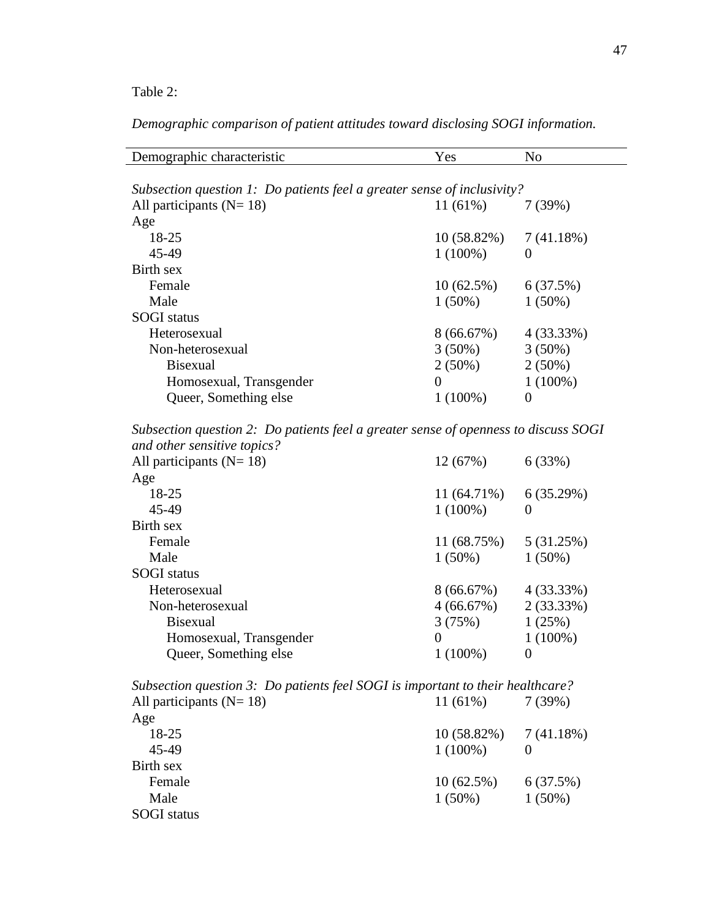Table 2:

*Demographic comparison of patient attitudes toward disclosing SOGI information.* 

| Demographic characteristic                                                                                  | Yes            | N <sub>o</sub>   |  |
|-------------------------------------------------------------------------------------------------------------|----------------|------------------|--|
|                                                                                                             |                |                  |  |
| Subsection question 1: Do patients feel a greater sense of inclusivity?                                     |                |                  |  |
| All participants ( $N = 18$ )                                                                               | $11(61\%)$     | 7(39%)           |  |
| Age                                                                                                         |                |                  |  |
| 18-25                                                                                                       | 10 (58.82%)    | 7(41.18%)        |  |
| 45-49                                                                                                       | $1(100\%)$     | $\boldsymbol{0}$ |  |
| <b>Birth sex</b>                                                                                            |                |                  |  |
| Female                                                                                                      | 10(62.5%)      | 6(37.5%)         |  |
| Male                                                                                                        | $1(50\%)$      | $1(50\%)$        |  |
| <b>SOGI</b> status                                                                                          |                |                  |  |
| Heterosexual                                                                                                | 8(66.67%)      | 4(33.33%)        |  |
| Non-heterosexual                                                                                            | $3(50\%)$      | $3(50\%)$        |  |
| <b>Bisexual</b>                                                                                             | $2(50\%)$      | $2(50\%)$        |  |
| Homosexual, Transgender                                                                                     | $\overline{0}$ | $1(100\%)$       |  |
| Queer, Something else                                                                                       | $1(100\%)$     | $\theta$         |  |
|                                                                                                             |                |                  |  |
| Subsection question 2: Do patients feel a greater sense of openness to discuss SOGI                         |                |                  |  |
| and other sensitive topics?                                                                                 |                |                  |  |
| All participants ( $N = 18$ )                                                                               | 12(67%)        | 6(33%)           |  |
| Age                                                                                                         |                |                  |  |
| 18-25                                                                                                       | 11 (64.71%)    | 6(35.29%)        |  |
| 45-49                                                                                                       | $1(100\%)$     | $\boldsymbol{0}$ |  |
| Birth sex                                                                                                   |                |                  |  |
| Female                                                                                                      | 11 (68.75%)    | 5 (31.25%)       |  |
| Male                                                                                                        | $1(50\%)$      | $1(50\%)$        |  |
| <b>SOGI</b> status                                                                                          |                |                  |  |
| Heterosexual                                                                                                | 8(66.67%)      | 4(33.33%)        |  |
| Non-heterosexual                                                                                            | 4(66.67%)      | 2(33.33%)        |  |
| <b>Bisexual</b>                                                                                             | 3(75%)         | 1(25%)           |  |
| Homosexual, Transgender                                                                                     | $\theta$       | $1(100\%)$       |  |
| Queer, Something else                                                                                       | $1(100\%)$     | $\overline{0}$   |  |
|                                                                                                             |                |                  |  |
| Subsection question 3: Do patients feel SOGI is important to their healthcare?<br>All participants $(N=18)$ | 11 (61%)       |                  |  |
|                                                                                                             |                | 7(39%)           |  |
| Age                                                                                                         |                |                  |  |
| 18-25                                                                                                       | 10 (58.82%)    | 7(41.18%)        |  |
| 45-49                                                                                                       | $1(100\%)$     | $\overline{0}$   |  |
| <b>Birth sex</b>                                                                                            |                |                  |  |
| Female                                                                                                      | 10(62.5%)      | 6(37.5%)         |  |
| Male                                                                                                        | $1(50\%)$      | $1(50\%)$        |  |
| <b>SOGI</b> status                                                                                          |                |                  |  |
|                                                                                                             |                |                  |  |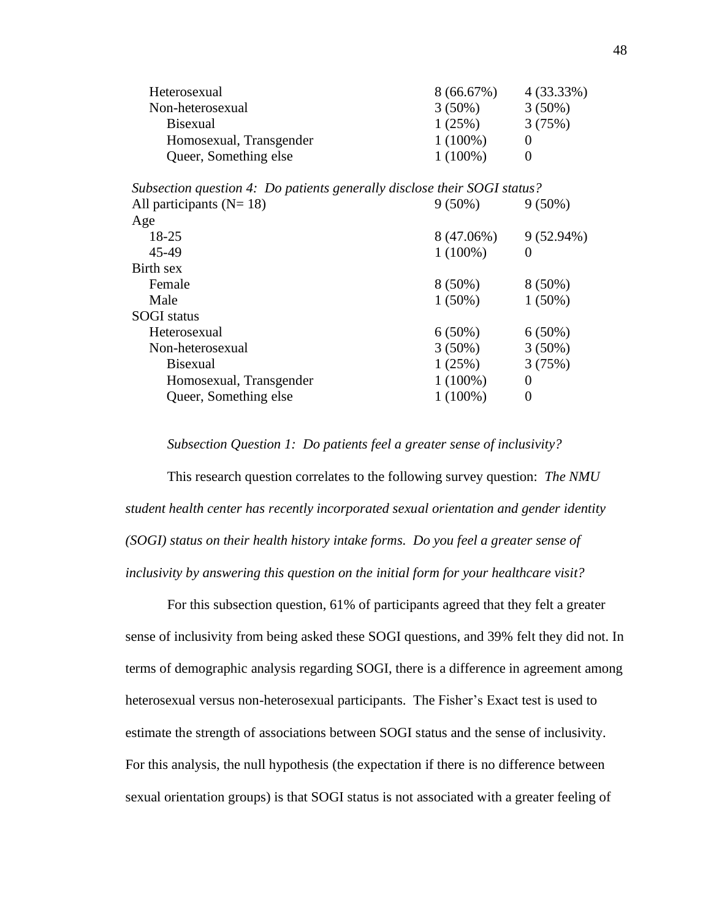| Heterosexual            | 8(66.67%)  | $4(33.33\%)$ |
|-------------------------|------------|--------------|
| Non-heterosexual        | $3(50\%)$  | $3(50\%)$    |
| <b>Bisexual</b>         | 1(25%)     | 3(75%)       |
| Homosexual, Transgender | $1(100\%)$ |              |
| Queer, Something else   | $1(100\%)$ |              |

| Subsection question 4: Do patients generally disclose their SOGI status? |            |              |
|--------------------------------------------------------------------------|------------|--------------|
| All participants ( $N = 18$ )                                            | $9(50\%)$  | $9(50\%)$    |
| Age                                                                      |            |              |
| 18-25                                                                    | 8 (47.06%) | $9(52.94\%)$ |
| 45-49                                                                    | $1(100\%)$ | $\theta$     |
| Birth sex                                                                |            |              |
| Female                                                                   | $8(50\%)$  | $8(50\%)$    |
| Male                                                                     | $1(50\%)$  | $1(50\%)$    |
| <b>SOGI</b> status                                                       |            |              |
| Heterosexual                                                             | $6(50\%)$  | $6(50\%)$    |
| Non-heterosexual                                                         | $3(50\%)$  | $3(50\%)$    |
| <b>B</b> isexual                                                         | 1(25%)     | 3(75%)       |
| Homosexual, Transgender                                                  | $1(100\%)$ | $\Omega$     |
| Queer, Something else                                                    | $1(100\%)$ | $\theta$     |
|                                                                          |            |              |

*Subsection Question 1: Do patients feel a greater sense of inclusivity?*

This research question correlates to the following survey question: *The NMU student health center has recently incorporated sexual orientation and gender identity (SOGI) status on their health history intake forms. Do you feel a greater sense of inclusivity by answering this question on the initial form for your healthcare visit?*

For this subsection question, 61% of participants agreed that they felt a greater sense of inclusivity from being asked these SOGI questions, and 39% felt they did not. In terms of demographic analysis regarding SOGI, there is a difference in agreement among heterosexual versus non-heterosexual participants. The Fisher's Exact test is used to estimate the strength of associations between SOGI status and the sense of inclusivity. For this analysis, the null hypothesis (the expectation if there is no difference between sexual orientation groups) is that SOGI status is not associated with a greater feeling of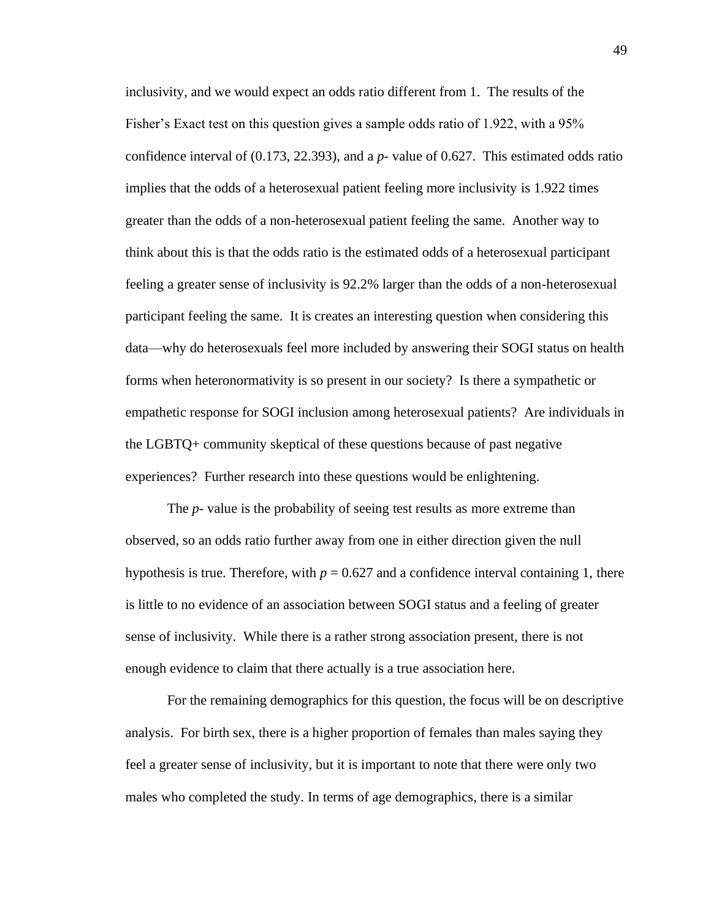inclusivity, and we would expect an odds ratio different from 1. The results of the Fisher's Exact test on this question gives a sample odds ratio of 1.922, with a 95% confidence interval of (0.173, 22.393), and a *p-* value of 0.627. This estimated odds ratio implies that the odds of a heterosexual patient feeling more inclusivity is 1.922 times greater than the odds of a non-heterosexual patient feeling the same. Another way to think about this is that the odds ratio is the estimated odds of a heterosexual participant feeling a greater sense of inclusivity is 92.2% larger than the odds of a non-heterosexual participant feeling the same. It is creates an interesting question when considering this data—why do heterosexuals feel more included by answering their SOGI status on health forms when heteronormativity is so present in our society? Is there a sympathetic or empathetic response for SOGI inclusion among heterosexual patients? Are individuals in the LGBTQ+ community skeptical of these questions because of past negative experiences? Further research into these questions would be enlightening.

The *p-* value is the probability of seeing test results as more extreme than observed, so an odds ratio further away from one in either direction given the null hypothesis is true. Therefore, with  $p = 0.627$  and a confidence interval containing 1, there is little to no evidence of an association between SOGI status and a feeling of greater sense of inclusivity. While there is a rather strong association present, there is not enough evidence to claim that there actually is a true association here.

For the remaining demographics for this question, the focus will be on descriptive analysis. For birth sex, there is a higher proportion of females than males saying they feel a greater sense of inclusivity, but it is important to note that there were only two males who completed the study. In terms of age demographics, there is a similar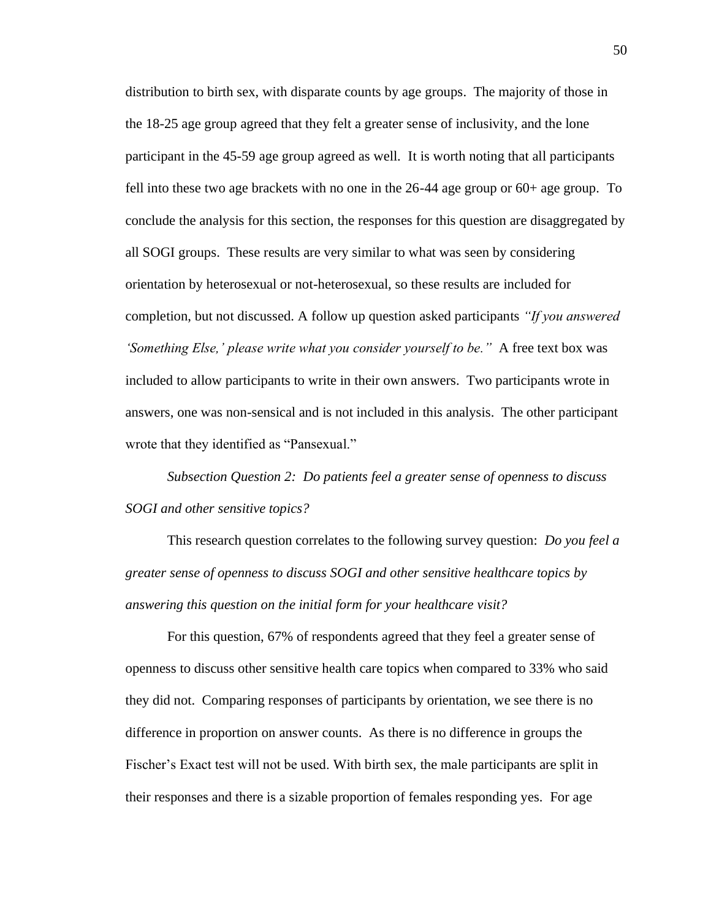distribution to birth sex, with disparate counts by age groups. The majority of those in the 18-25 age group agreed that they felt a greater sense of inclusivity, and the lone participant in the 45-59 age group agreed as well. It is worth noting that all participants fell into these two age brackets with no one in the 26-44 age group or 60+ age group. To conclude the analysis for this section, the responses for this question are disaggregated by all SOGI groups. These results are very similar to what was seen by considering orientation by heterosexual or not-heterosexual, so these results are included for completion, but not discussed. A follow up question asked participants *"If you answered 'Something Else,' please write what you consider yourself to be."* A free text box was included to allow participants to write in their own answers. Two participants wrote in answers, one was non-sensical and is not included in this analysis. The other participant wrote that they identified as "Pansexual."

*Subsection Question 2: Do patients feel a greater sense of openness to discuss SOGI and other sensitive topics?*

This research question correlates to the following survey question: *Do you feel a greater sense of openness to discuss SOGI and other sensitive healthcare topics by answering this question on the initial form for your healthcare visit?*

For this question, 67% of respondents agreed that they feel a greater sense of openness to discuss other sensitive health care topics when compared to 33% who said they did not. Comparing responses of participants by orientation, we see there is no difference in proportion on answer counts. As there is no difference in groups the Fischer's Exact test will not be used. With birth sex, the male participants are split in their responses and there is a sizable proportion of females responding yes. For age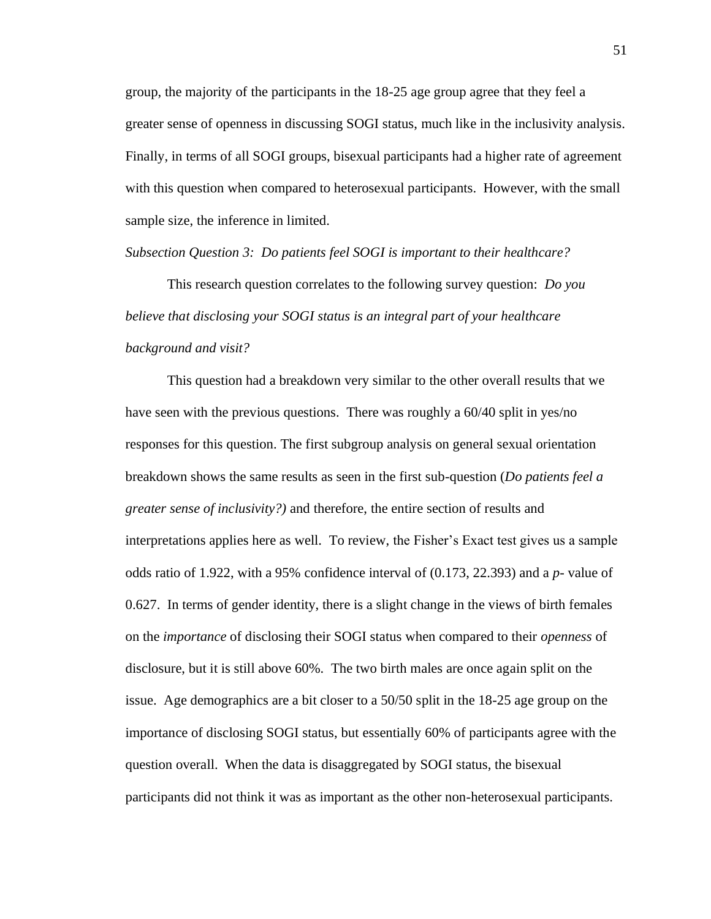group, the majority of the participants in the 18-25 age group agree that they feel a greater sense of openness in discussing SOGI status, much like in the inclusivity analysis. Finally, in terms of all SOGI groups, bisexual participants had a higher rate of agreement with this question when compared to heterosexual participants. However, with the small sample size, the inference in limited.

*Subsection Question 3: Do patients feel SOGI is important to their healthcare?*

This research question correlates to the following survey question: *Do you believe that disclosing your SOGI status is an integral part of your healthcare background and visit?*

This question had a breakdown very similar to the other overall results that we have seen with the previous questions. There was roughly a 60/40 split in yes/no responses for this question. The first subgroup analysis on general sexual orientation breakdown shows the same results as seen in the first sub-question (*Do patients feel a greater sense of inclusivity?)* and therefore, the entire section of results and interpretations applies here as well. To review, the Fisher's Exact test gives us a sample odds ratio of 1.922, with a 95% confidence interval of (0.173, 22.393) and a *p-* value of 0.627. In terms of gender identity, there is a slight change in the views of birth females on the *importance* of disclosing their SOGI status when compared to their *openness* of disclosure, but it is still above 60%. The two birth males are once again split on the issue. Age demographics are a bit closer to a 50/50 split in the 18-25 age group on the importance of disclosing SOGI status, but essentially 60% of participants agree with the question overall. When the data is disaggregated by SOGI status, the bisexual participants did not think it was as important as the other non-heterosexual participants.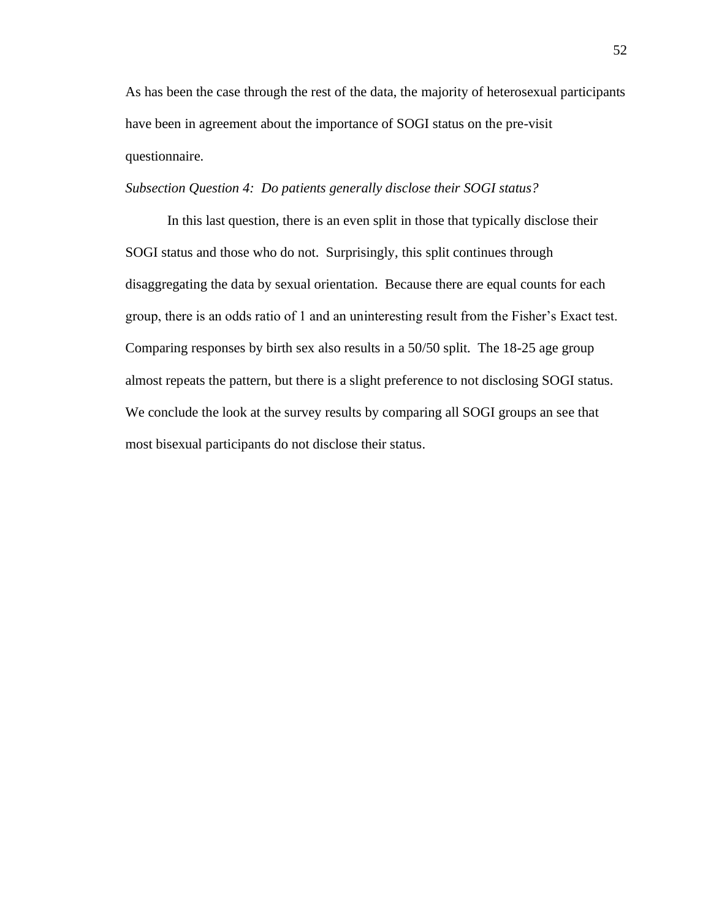As has been the case through the rest of the data, the majority of heterosexual participants have been in agreement about the importance of SOGI status on the pre-visit questionnaire.

# *Subsection Question 4: Do patients generally disclose their SOGI status?*

In this last question, there is an even split in those that typically disclose their SOGI status and those who do not. Surprisingly, this split continues through disaggregating the data by sexual orientation. Because there are equal counts for each group, there is an odds ratio of 1 and an uninteresting result from the Fisher's Exact test. Comparing responses by birth sex also results in a 50/50 split. The 18-25 age group almost repeats the pattern, but there is a slight preference to not disclosing SOGI status. We conclude the look at the survey results by comparing all SOGI groups an see that most bisexual participants do not disclose their status.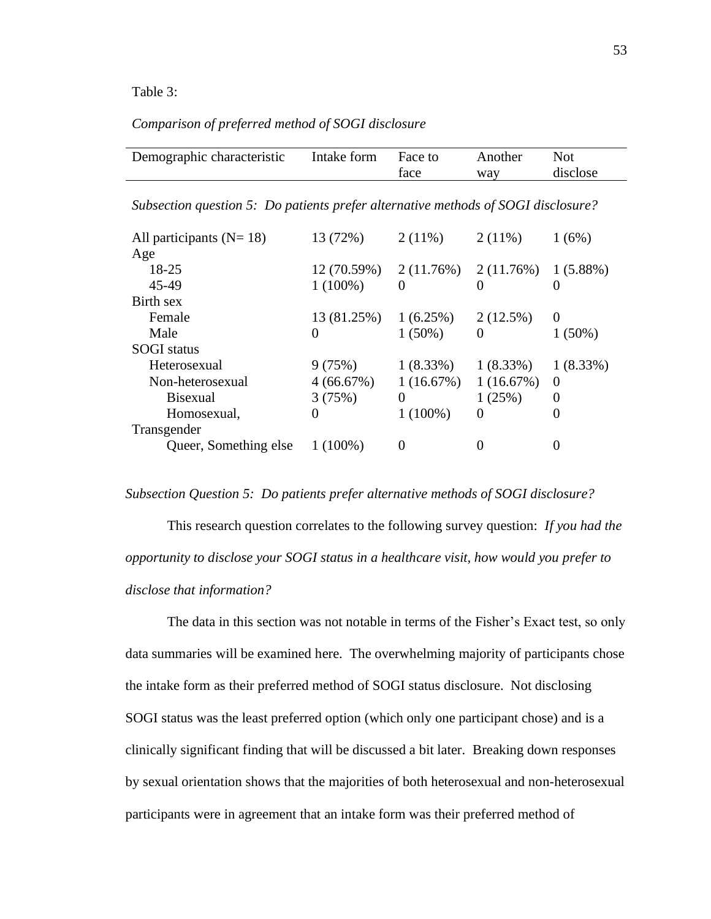## Table 3:

# *Comparison of preferred method of SOGI disclosure*

| Demographic characteristic                                                        | Intake form | Face to     | Another     | <b>Not</b>       |  |  |  |  |
|-----------------------------------------------------------------------------------|-------------|-------------|-------------|------------------|--|--|--|--|
|                                                                                   |             | face        | way         | disclose         |  |  |  |  |
|                                                                                   |             |             |             |                  |  |  |  |  |
| Subsection question 5: Do patients prefer alternative methods of SOGI disclosure? |             |             |             |                  |  |  |  |  |
|                                                                                   |             |             |             |                  |  |  |  |  |
| All participants $(N=18)$                                                         | 13 (72%)    | $2(11\%)$   | $2(11\%)$   | 1(6%)            |  |  |  |  |
| Age                                                                               |             |             |             |                  |  |  |  |  |
| 18-25                                                                             | 12(70.59%)  | 2(11.76%)   | 2(11.76%)   | $1(5.88\%)$      |  |  |  |  |
| 45-49                                                                             | $1(100\%)$  | $\Omega$    | 0           | 0                |  |  |  |  |
| Birth sex                                                                         |             |             |             |                  |  |  |  |  |
| Female                                                                            | 13 (81.25%) | 1(6.25%)    | 2(12.5%)    | $\boldsymbol{0}$ |  |  |  |  |
| Male                                                                              | $\Omega$    | $1(50\%)$   | 0           | $1(50\%)$        |  |  |  |  |
| <b>SOGI</b> status                                                                |             |             |             |                  |  |  |  |  |
| Heterosexual                                                                      | 9(75%)      | $1(8.33\%)$ | $1(8.33\%)$ | $1(8.33\%)$      |  |  |  |  |
| Non-heterosexual                                                                  | 4(66.67%)   | 1(16.67%)   | 1(16.67%)   | $\overline{0}$   |  |  |  |  |
| <b>Bisexual</b>                                                                   | 3(75%)      | $\Omega$    | 1(25%)      | 0                |  |  |  |  |
| Homosexual,                                                                       | $\Omega$    | $1(100\%)$  | 0           | $\theta$         |  |  |  |  |
| Transgender                                                                       |             |             |             |                  |  |  |  |  |
| Queer, Something else                                                             | $1(100\%)$  | $\theta$    | 0           |                  |  |  |  |  |

## *Subsection Question 5: Do patients prefer alternative methods of SOGI disclosure?*

This research question correlates to the following survey question: *If you had the opportunity to disclose your SOGI status in a healthcare visit, how would you prefer to disclose that information?*

The data in this section was not notable in terms of the Fisher's Exact test, so only data summaries will be examined here. The overwhelming majority of participants chose the intake form as their preferred method of SOGI status disclosure. Not disclosing SOGI status was the least preferred option (which only one participant chose) and is a clinically significant finding that will be discussed a bit later. Breaking down responses by sexual orientation shows that the majorities of both heterosexual and non-heterosexual participants were in agreement that an intake form was their preferred method of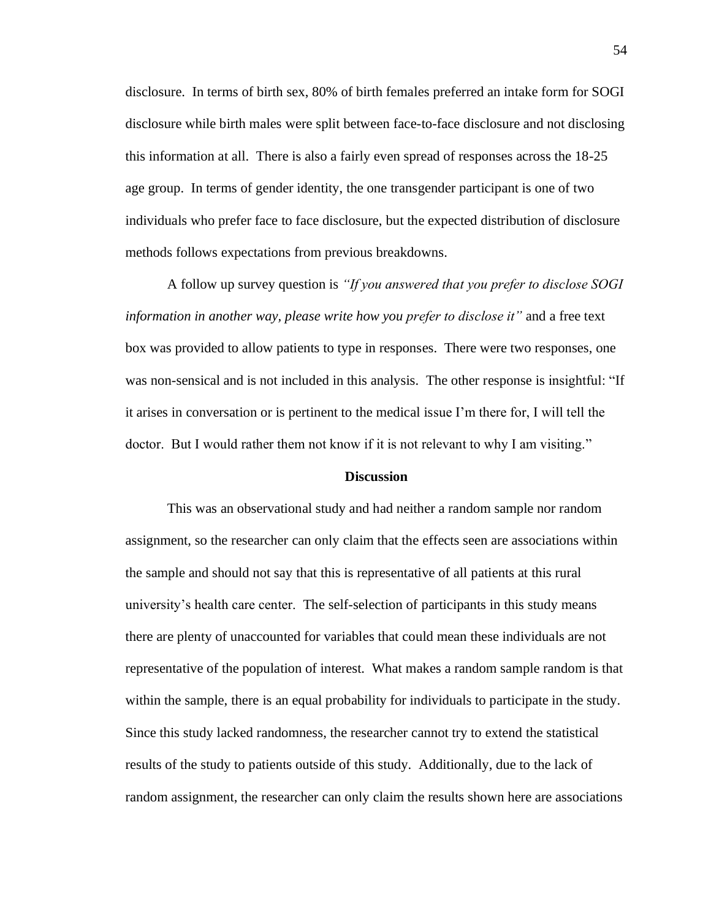disclosure. In terms of birth sex, 80% of birth females preferred an intake form for SOGI disclosure while birth males were split between face-to-face disclosure and not disclosing this information at all. There is also a fairly even spread of responses across the 18-25 age group. In terms of gender identity, the one transgender participant is one of two individuals who prefer face to face disclosure, but the expected distribution of disclosure methods follows expectations from previous breakdowns.

A follow up survey question is *"If you answered that you prefer to disclose SOGI information in another way, please write how you prefer to disclose it"* and a free text box was provided to allow patients to type in responses. There were two responses, one was non-sensical and is not included in this analysis. The other response is insightful: "If it arises in conversation or is pertinent to the medical issue I'm there for, I will tell the doctor. But I would rather them not know if it is not relevant to why I am visiting."

## **Discussion**

This was an observational study and had neither a random sample nor random assignment, so the researcher can only claim that the effects seen are associations within the sample and should not say that this is representative of all patients at this rural university's health care center. The self-selection of participants in this study means there are plenty of unaccounted for variables that could mean these individuals are not representative of the population of interest. What makes a random sample random is that within the sample, there is an equal probability for individuals to participate in the study. Since this study lacked randomness, the researcher cannot try to extend the statistical results of the study to patients outside of this study. Additionally, due to the lack of random assignment, the researcher can only claim the results shown here are associations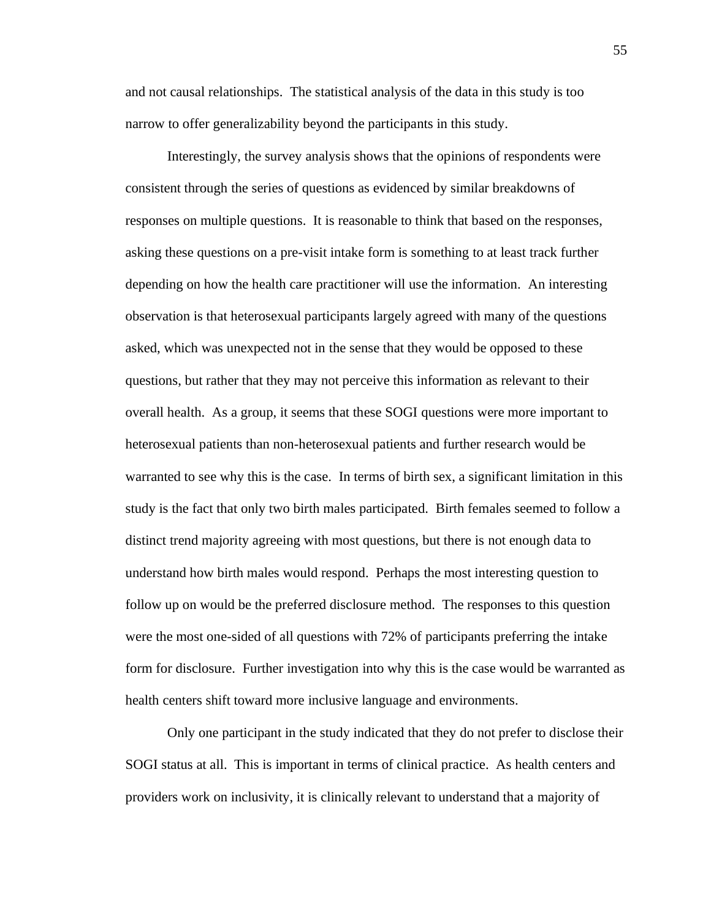and not causal relationships. The statistical analysis of the data in this study is too narrow to offer generalizability beyond the participants in this study.

Interestingly, the survey analysis shows that the opinions of respondents were consistent through the series of questions as evidenced by similar breakdowns of responses on multiple questions. It is reasonable to think that based on the responses, asking these questions on a pre-visit intake form is something to at least track further depending on how the health care practitioner will use the information. An interesting observation is that heterosexual participants largely agreed with many of the questions asked, which was unexpected not in the sense that they would be opposed to these questions, but rather that they may not perceive this information as relevant to their overall health. As a group, it seems that these SOGI questions were more important to heterosexual patients than non-heterosexual patients and further research would be warranted to see why this is the case. In terms of birth sex, a significant limitation in this study is the fact that only two birth males participated. Birth females seemed to follow a distinct trend majority agreeing with most questions, but there is not enough data to understand how birth males would respond. Perhaps the most interesting question to follow up on would be the preferred disclosure method. The responses to this question were the most one-sided of all questions with 72% of participants preferring the intake form for disclosure. Further investigation into why this is the case would be warranted as health centers shift toward more inclusive language and environments.

Only one participant in the study indicated that they do not prefer to disclose their SOGI status at all. This is important in terms of clinical practice. As health centers and providers work on inclusivity, it is clinically relevant to understand that a majority of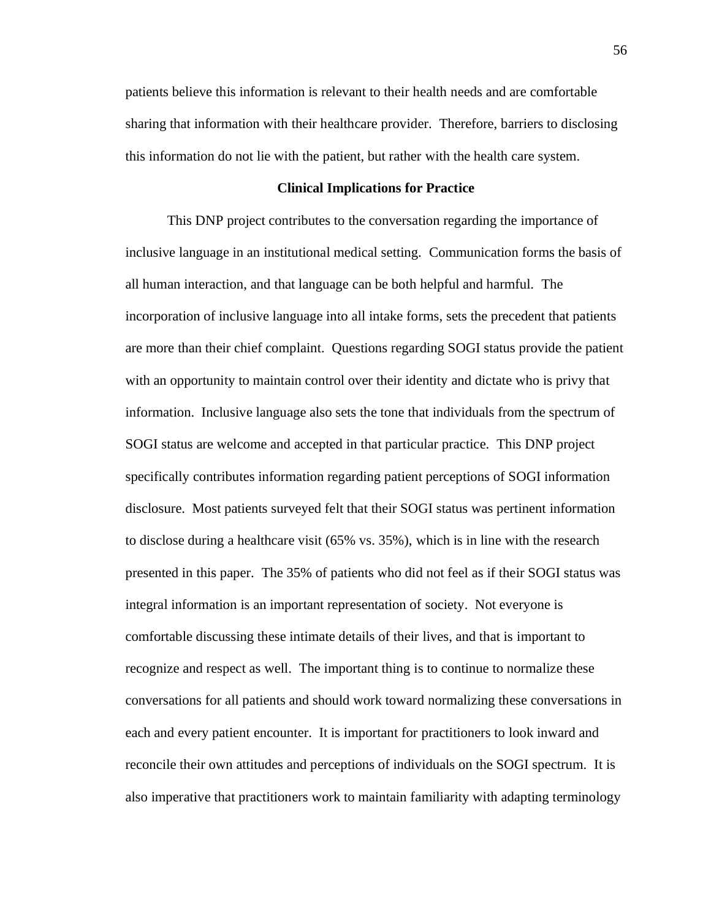patients believe this information is relevant to their health needs and are comfortable sharing that information with their healthcare provider. Therefore, barriers to disclosing this information do not lie with the patient, but rather with the health care system.

## **Clinical Implications for Practice**

This DNP project contributes to the conversation regarding the importance of inclusive language in an institutional medical setting. Communication forms the basis of all human interaction, and that language can be both helpful and harmful. The incorporation of inclusive language into all intake forms, sets the precedent that patients are more than their chief complaint. Questions regarding SOGI status provide the patient with an opportunity to maintain control over their identity and dictate who is privy that information. Inclusive language also sets the tone that individuals from the spectrum of SOGI status are welcome and accepted in that particular practice. This DNP project specifically contributes information regarding patient perceptions of SOGI information disclosure. Most patients surveyed felt that their SOGI status was pertinent information to disclose during a healthcare visit (65% vs. 35%), which is in line with the research presented in this paper. The 35% of patients who did not feel as if their SOGI status was integral information is an important representation of society. Not everyone is comfortable discussing these intimate details of their lives, and that is important to recognize and respect as well. The important thing is to continue to normalize these conversations for all patients and should work toward normalizing these conversations in each and every patient encounter. It is important for practitioners to look inward and reconcile their own attitudes and perceptions of individuals on the SOGI spectrum. It is also imperative that practitioners work to maintain familiarity with adapting terminology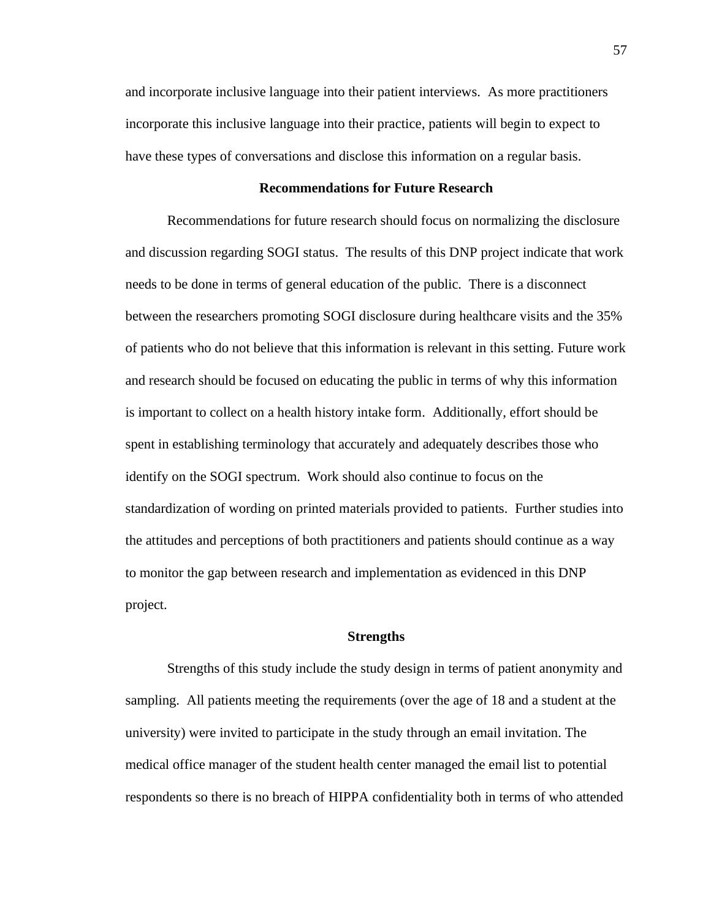and incorporate inclusive language into their patient interviews. As more practitioners incorporate this inclusive language into their practice, patients will begin to expect to have these types of conversations and disclose this information on a regular basis.

# **Recommendations for Future Research**

Recommendations for future research should focus on normalizing the disclosure and discussion regarding SOGI status. The results of this DNP project indicate that work needs to be done in terms of general education of the public. There is a disconnect between the researchers promoting SOGI disclosure during healthcare visits and the 35% of patients who do not believe that this information is relevant in this setting. Future work and research should be focused on educating the public in terms of why this information is important to collect on a health history intake form. Additionally, effort should be spent in establishing terminology that accurately and adequately describes those who identify on the SOGI spectrum. Work should also continue to focus on the standardization of wording on printed materials provided to patients. Further studies into the attitudes and perceptions of both practitioners and patients should continue as a way to monitor the gap between research and implementation as evidenced in this DNP project.

# **Strengths**

Strengths of this study include the study design in terms of patient anonymity and sampling. All patients meeting the requirements (over the age of 18 and a student at the university) were invited to participate in the study through an email invitation. The medical office manager of the student health center managed the email list to potential respondents so there is no breach of HIPPA confidentiality both in terms of who attended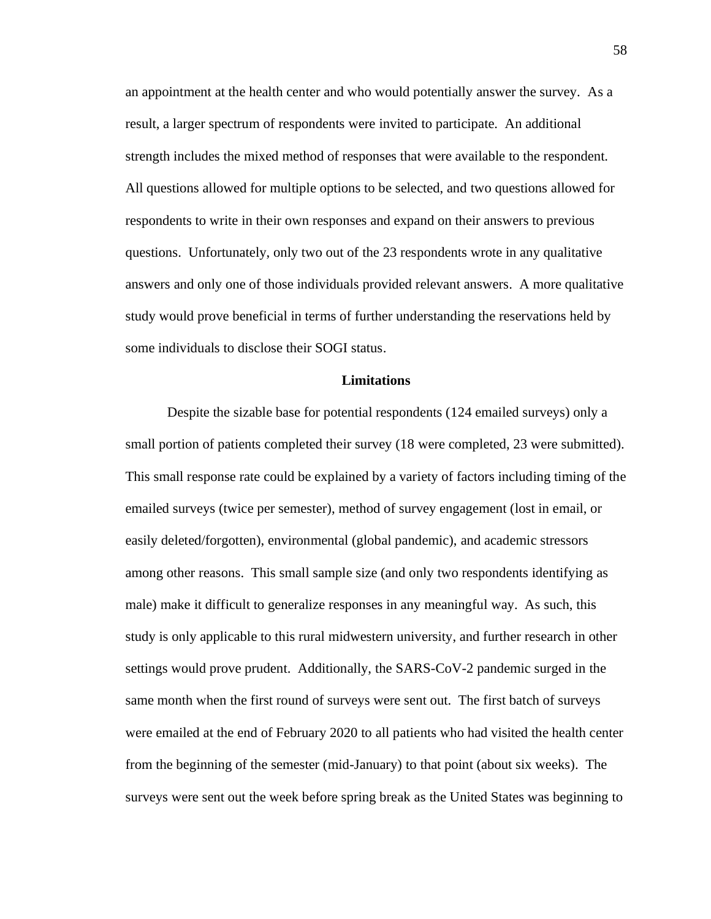an appointment at the health center and who would potentially answer the survey. As a result, a larger spectrum of respondents were invited to participate. An additional strength includes the mixed method of responses that were available to the respondent. All questions allowed for multiple options to be selected, and two questions allowed for respondents to write in their own responses and expand on their answers to previous questions. Unfortunately, only two out of the 23 respondents wrote in any qualitative answers and only one of those individuals provided relevant answers. A more qualitative study would prove beneficial in terms of further understanding the reservations held by some individuals to disclose their SOGI status.

# **Limitations**

Despite the sizable base for potential respondents (124 emailed surveys) only a small portion of patients completed their survey (18 were completed, 23 were submitted). This small response rate could be explained by a variety of factors including timing of the emailed surveys (twice per semester), method of survey engagement (lost in email, or easily deleted/forgotten), environmental (global pandemic), and academic stressors among other reasons. This small sample size (and only two respondents identifying as male) make it difficult to generalize responses in any meaningful way. As such, this study is only applicable to this rural midwestern university, and further research in other settings would prove prudent. Additionally, the SARS-CoV-2 pandemic surged in the same month when the first round of surveys were sent out. The first batch of surveys were emailed at the end of February 2020 to all patients who had visited the health center from the beginning of the semester (mid-January) to that point (about six weeks). The surveys were sent out the week before spring break as the United States was beginning to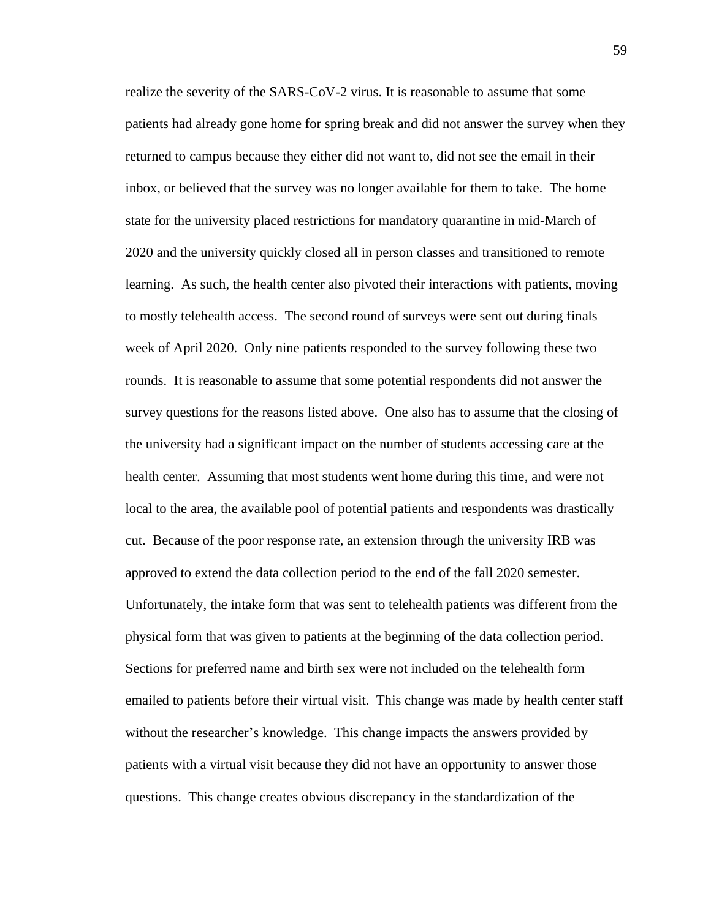realize the severity of the SARS-CoV-2 virus. It is reasonable to assume that some patients had already gone home for spring break and did not answer the survey when they returned to campus because they either did not want to, did not see the email in their inbox, or believed that the survey was no longer available for them to take. The home state for the university placed restrictions for mandatory quarantine in mid-March of 2020 and the university quickly closed all in person classes and transitioned to remote learning. As such, the health center also pivoted their interactions with patients, moving to mostly telehealth access. The second round of surveys were sent out during finals week of April 2020. Only nine patients responded to the survey following these two rounds. It is reasonable to assume that some potential respondents did not answer the survey questions for the reasons listed above. One also has to assume that the closing of the university had a significant impact on the number of students accessing care at the health center. Assuming that most students went home during this time, and were not local to the area, the available pool of potential patients and respondents was drastically cut. Because of the poor response rate, an extension through the university IRB was approved to extend the data collection period to the end of the fall 2020 semester. Unfortunately, the intake form that was sent to telehealth patients was different from the physical form that was given to patients at the beginning of the data collection period. Sections for preferred name and birth sex were not included on the telehealth form emailed to patients before their virtual visit. This change was made by health center staff without the researcher's knowledge. This change impacts the answers provided by patients with a virtual visit because they did not have an opportunity to answer those questions. This change creates obvious discrepancy in the standardization of the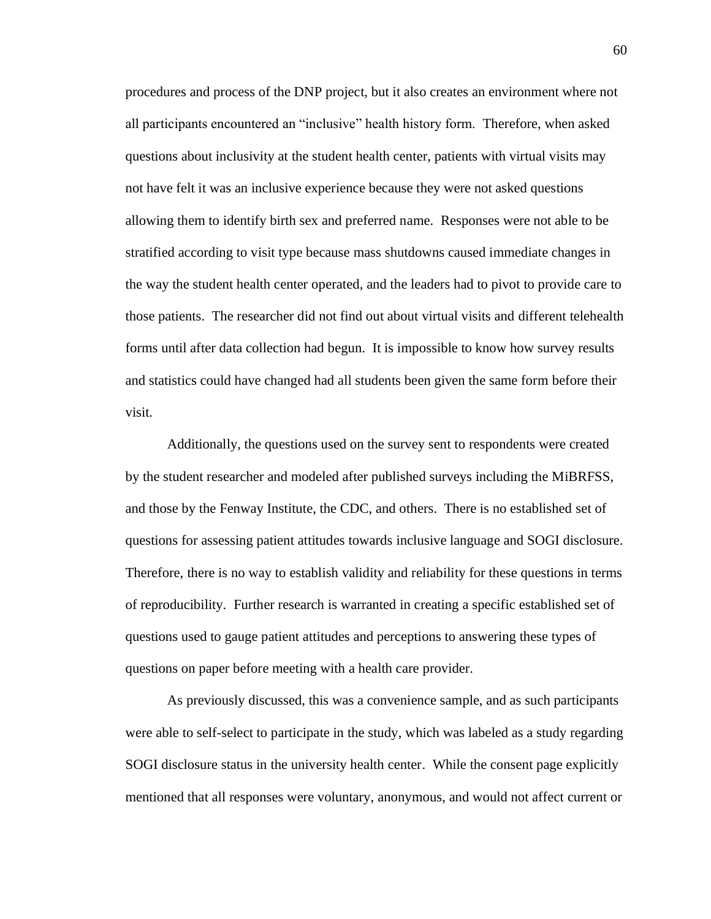procedures and process of the DNP project, but it also creates an environment where not all participants encountered an "inclusive" health history form. Therefore, when asked questions about inclusivity at the student health center, patients with virtual visits may not have felt it was an inclusive experience because they were not asked questions allowing them to identify birth sex and preferred name. Responses were not able to be stratified according to visit type because mass shutdowns caused immediate changes in the way the student health center operated, and the leaders had to pivot to provide care to those patients. The researcher did not find out about virtual visits and different telehealth forms until after data collection had begun. It is impossible to know how survey results and statistics could have changed had all students been given the same form before their visit.

Additionally, the questions used on the survey sent to respondents were created by the student researcher and modeled after published surveys including the MiBRFSS, and those by the Fenway Institute, the CDC, and others. There is no established set of questions for assessing patient attitudes towards inclusive language and SOGI disclosure. Therefore, there is no way to establish validity and reliability for these questions in terms of reproducibility. Further research is warranted in creating a specific established set of questions used to gauge patient attitudes and perceptions to answering these types of questions on paper before meeting with a health care provider.

As previously discussed, this was a convenience sample, and as such participants were able to self-select to participate in the study, which was labeled as a study regarding SOGI disclosure status in the university health center. While the consent page explicitly mentioned that all responses were voluntary, anonymous, and would not affect current or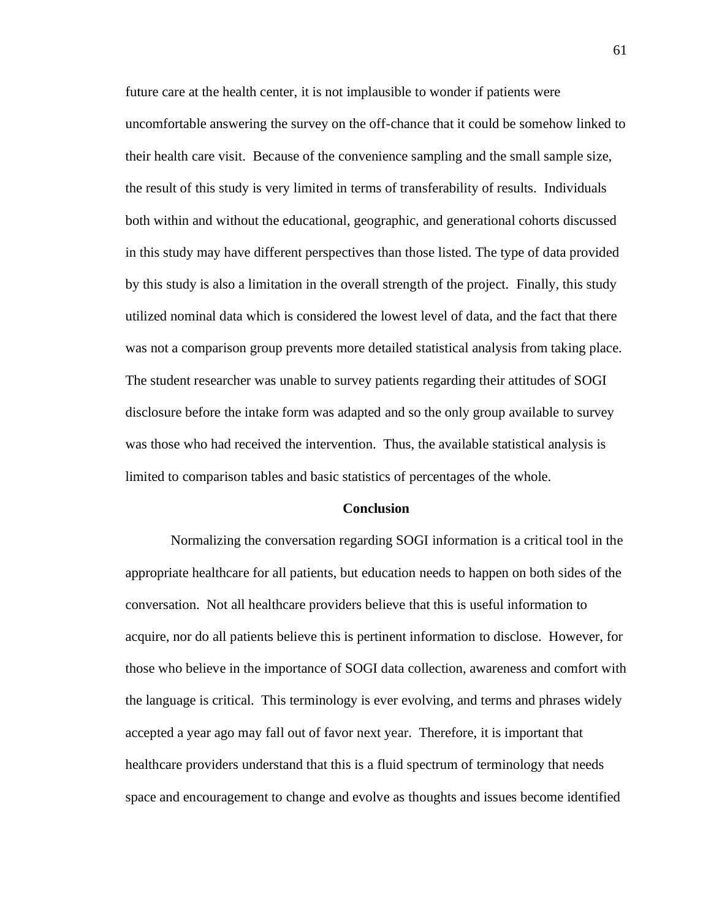future care at the health center, it is not implausible to wonder if patients were uncomfortable answering the survey on the off-chance that it could be somehow linked to their health care visit. Because of the convenience sampling and the small sample size, the result of this study is very limited in terms of transferability of results. Individuals both within and without the educational, geographic, and generational cohorts discussed in this study may have different perspectives than those listed. The type of data provided by this study is also a limitation in the overall strength of the project. Finally, this study utilized nominal data which is considered the lowest level of data, and the fact that there was not a comparison group prevents more detailed statistical analysis from taking place. The student researcher was unable to survey patients regarding their attitudes of SOGI disclosure before the intake form was adapted and so the only group available to survey was those who had received the intervention. Thus, the available statistical analysis is limited to comparison tables and basic statistics of percentages of the whole.

### **Conclusion**

Normalizing the conversation regarding SOGI information is a critical tool in the appropriate healthcare for all patients, but education needs to happen on both sides of the conversation. Not all healthcare providers believe that this is useful information to acquire, nor do all patients believe this is pertinent information to disclose. However, for those who believe in the importance of SOGI data collection, awareness and comfort with the language is critical. This terminology is ever evolving, and terms and phrases widely accepted a year ago may fall out of favor next year. Therefore, it is important that healthcare providers understand that this is a fluid spectrum of terminology that needs space and encouragement to change and evolve as thoughts and issues become identified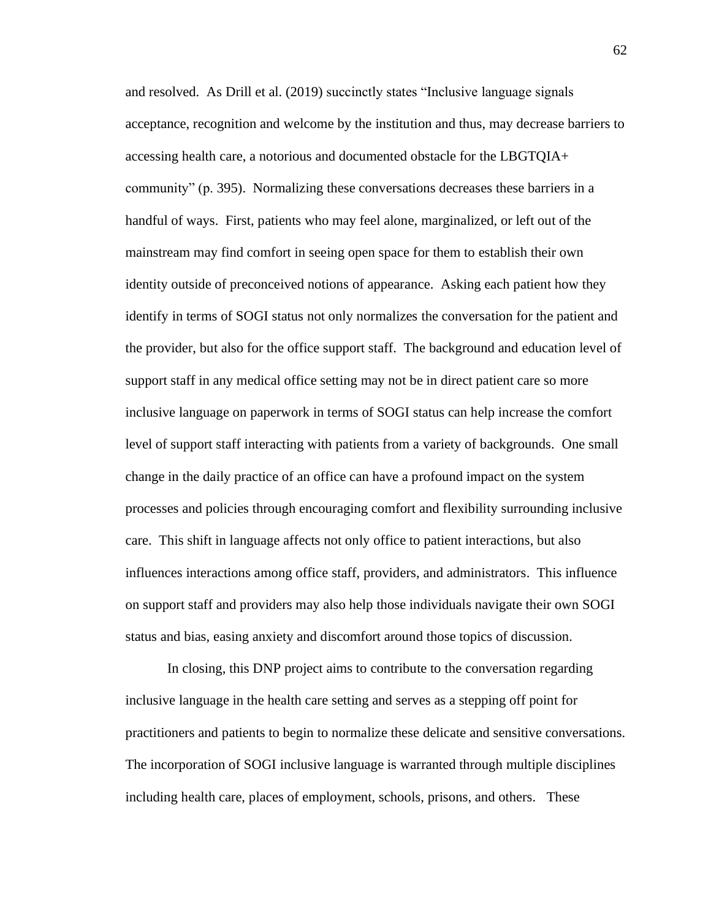and resolved. As Drill et al. (2019) succinctly states "Inclusive language signals acceptance, recognition and welcome by the institution and thus, may decrease barriers to accessing health care, a notorious and documented obstacle for the LBGTQIA+ community" (p. 395). Normalizing these conversations decreases these barriers in a handful of ways. First, patients who may feel alone, marginalized, or left out of the mainstream may find comfort in seeing open space for them to establish their own identity outside of preconceived notions of appearance. Asking each patient how they identify in terms of SOGI status not only normalizes the conversation for the patient and the provider, but also for the office support staff. The background and education level of support staff in any medical office setting may not be in direct patient care so more inclusive language on paperwork in terms of SOGI status can help increase the comfort level of support staff interacting with patients from a variety of backgrounds. One small change in the daily practice of an office can have a profound impact on the system processes and policies through encouraging comfort and flexibility surrounding inclusive care. This shift in language affects not only office to patient interactions, but also influences interactions among office staff, providers, and administrators. This influence on support staff and providers may also help those individuals navigate their own SOGI status and bias, easing anxiety and discomfort around those topics of discussion.

In closing, this DNP project aims to contribute to the conversation regarding inclusive language in the health care setting and serves as a stepping off point for practitioners and patients to begin to normalize these delicate and sensitive conversations. The incorporation of SOGI inclusive language is warranted through multiple disciplines including health care, places of employment, schools, prisons, and others. These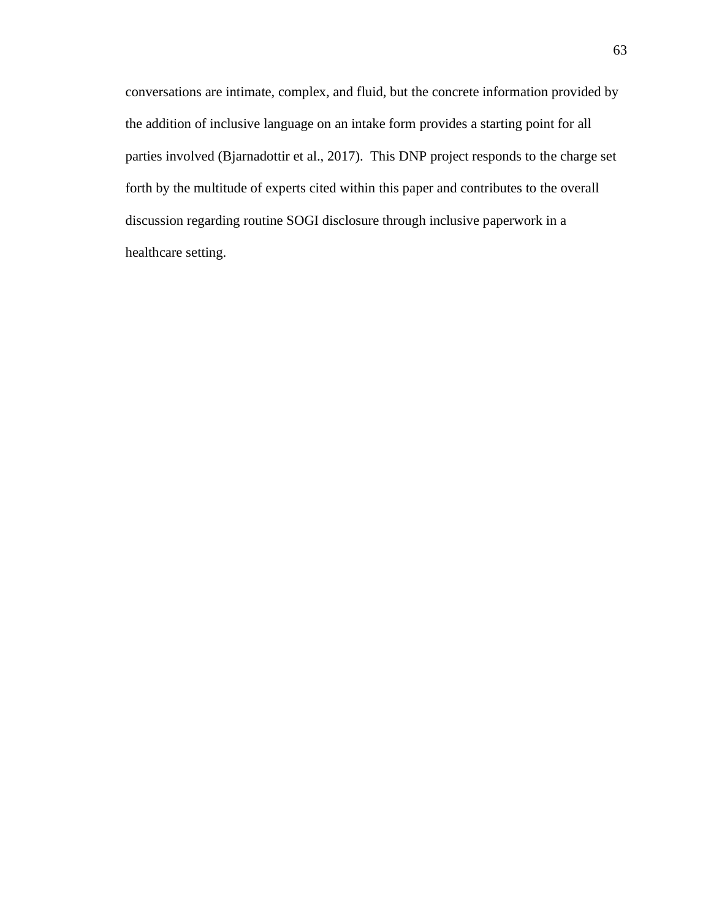conversations are intimate, complex, and fluid, but the concrete information provided by the addition of inclusive language on an intake form provides a starting point for all parties involved (Bjarnadottir et al., 2017). This DNP project responds to the charge set forth by the multitude of experts cited within this paper and contributes to the overall discussion regarding routine SOGI disclosure through inclusive paperwork in a healthcare setting.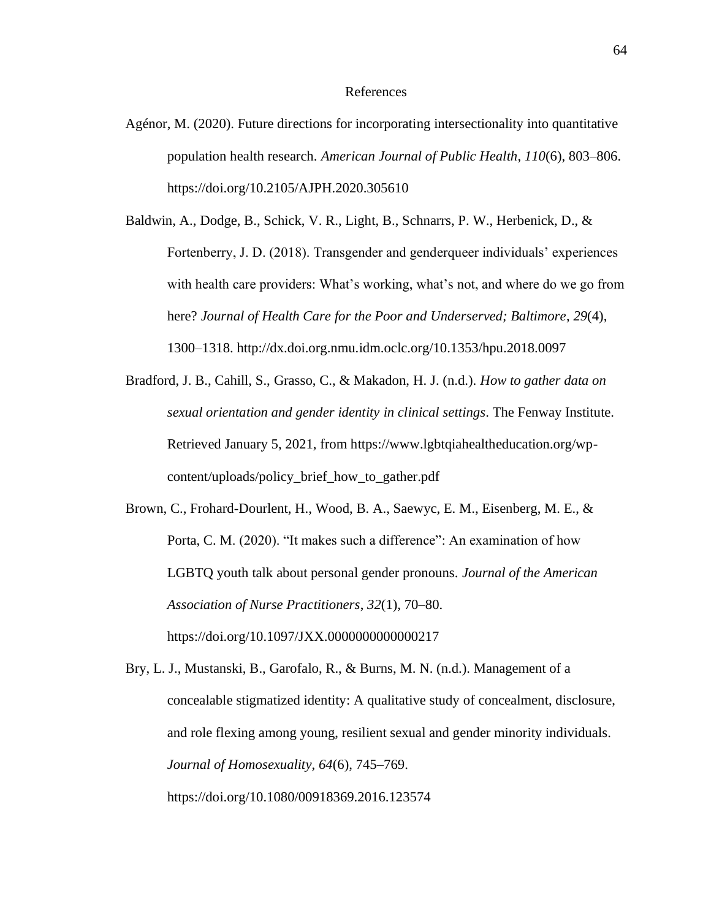#### References

- Agénor, M. (2020). Future directions for incorporating intersectionality into quantitative population health research. *American Journal of Public Health*, *110*(6), 803–806. https://doi.org/10.2105/AJPH.2020.305610
- Baldwin, A., Dodge, B., Schick, V. R., Light, B., Schnarrs, P. W., Herbenick, D., & Fortenberry, J. D. (2018). Transgender and genderqueer individuals' experiences with health care providers: What's working, what's not, and where do we go from here? *Journal of Health Care for the Poor and Underserved; Baltimore*, *29*(4), 1300–1318. http://dx.doi.org.nmu.idm.oclc.org/10.1353/hpu.2018.0097
- Bradford, J. B., Cahill, S., Grasso, C., & Makadon, H. J. (n.d.). *How to gather data on sexual orientation and gender identity in clinical settings*. The Fenway Institute. Retrieved January 5, 2021, from https://www.lgbtqiahealtheducation.org/wpcontent/uploads/policy\_brief\_how\_to\_gather.pdf
- Brown, C., Frohard-Dourlent, H., Wood, B. A., Saewyc, E. M., Eisenberg, M. E., & Porta, C. M. (2020). "It makes such a difference": An examination of how LGBTQ youth talk about personal gender pronouns. *Journal of the American Association of Nurse Practitioners*, *32*(1), 70–80. https://doi.org/10.1097/JXX.0000000000000217

Bry, L. J., Mustanski, B., Garofalo, R., & Burns, M. N. (n.d.). Management of a concealable stigmatized identity: A qualitative study of concealment, disclosure, and role flexing among young, resilient sexual and gender minority individuals. *Journal of Homosexuality*, *64*(6), 745–769. https://doi.org/10.1080/00918369.2016.123574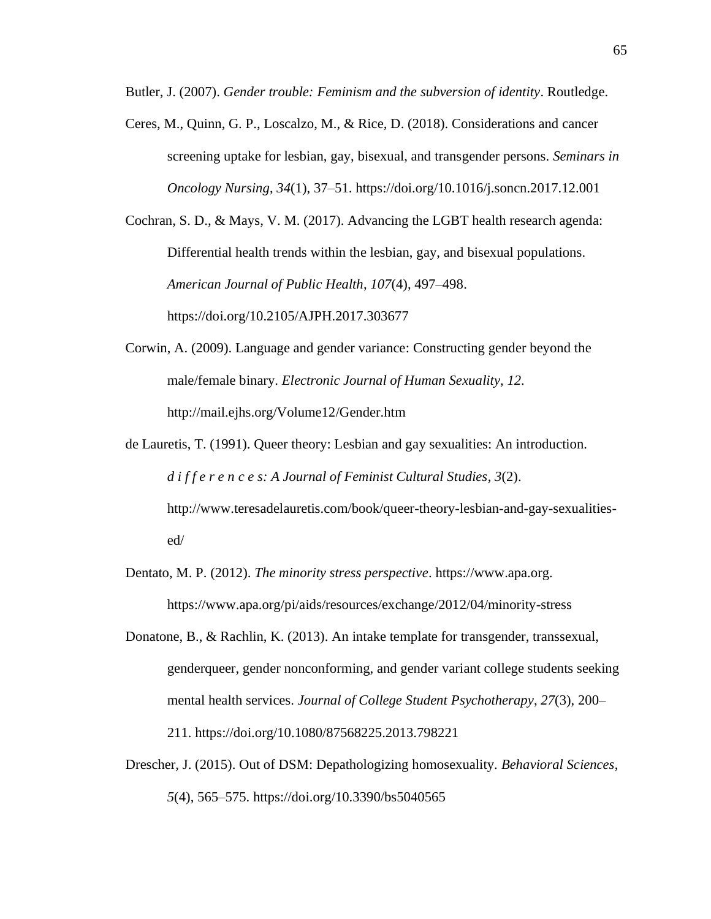Butler, J. (2007). *Gender trouble: Feminism and the subversion of identity*. Routledge.

Ceres, M., Quinn, G. P., Loscalzo, M., & Rice, D. (2018). Considerations and cancer screening uptake for lesbian, gay, bisexual, and transgender persons. *Seminars in Oncology Nursing*, *34*(1), 37–51. https://doi.org/10.1016/j.soncn.2017.12.001

Cochran, S. D., & Mays, V. M. (2017). Advancing the LGBT health research agenda: Differential health trends within the lesbian, gay, and bisexual populations. *American Journal of Public Health*, *107*(4), 497–498. https://doi.org/10.2105/AJPH.2017.303677

- Corwin, A. (2009). Language and gender variance: Constructing gender beyond the male/female binary. *Electronic Journal of Human Sexuality*, *12*. http://mail.ejhs.org/Volume12/Gender.htm
- de Lauretis, T. (1991). Queer theory: Lesbian and gay sexualities: An introduction. *d i f f e r e n c e s: A Journal of Feminist Cultural Studies*, *3*(2). http://www.teresadelauretis.com/book/queer-theory-lesbian-and-gay-sexualitiesed/
- Dentato, M. P. (2012). *The minority stress perspective*. https://www.apa.org. https://www.apa.org/pi/aids/resources/exchange/2012/04/minority-stress
- Donatone, B., & Rachlin, K. (2013). An intake template for transgender, transsexual, genderqueer, gender nonconforming, and gender variant college students seeking mental health services. *Journal of College Student Psychotherapy*, *27*(3), 200– 211. https://doi.org/10.1080/87568225.2013.798221
- Drescher, J. (2015). Out of DSM: Depathologizing homosexuality. *Behavioral Sciences*, *5*(4), 565–575. https://doi.org/10.3390/bs5040565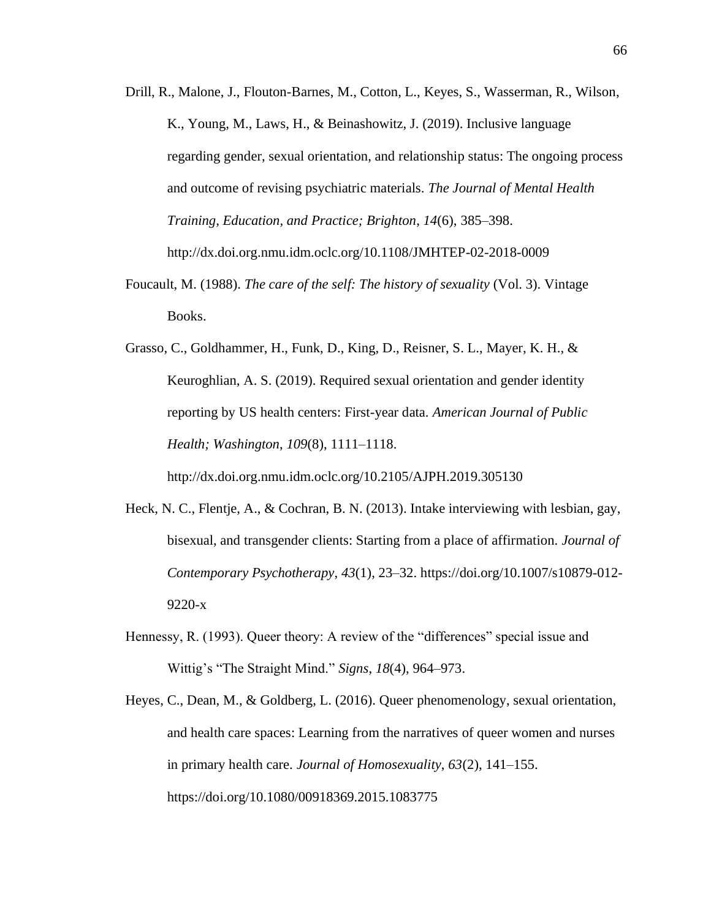- Drill, R., Malone, J., Flouton-Barnes, M., Cotton, L., Keyes, S., Wasserman, R., Wilson, K., Young, M., Laws, H., & Beinashowitz, J. (2019). Inclusive language regarding gender, sexual orientation, and relationship status: The ongoing process and outcome of revising psychiatric materials. *The Journal of Mental Health Training, Education, and Practice; Brighton*, *14*(6), 385–398. http://dx.doi.org.nmu.idm.oclc.org/10.1108/JMHTEP-02-2018-0009
- Foucault, M. (1988). *The care of the self: The history of sexuality* (Vol. 3). Vintage Books.

Grasso, C., Goldhammer, H., Funk, D., King, D., Reisner, S. L., Mayer, K. H., & Keuroghlian, A. S. (2019). Required sexual orientation and gender identity reporting by US health centers: First-year data. *American Journal of Public Health; Washington*, *109*(8), 1111–1118.

http://dx.doi.org.nmu.idm.oclc.org/10.2105/AJPH.2019.305130

- Heck, N. C., Flentje, A., & Cochran, B. N. (2013). Intake interviewing with lesbian, gay, bisexual, and transgender clients: Starting from a place of affirmation. *Journal of Contemporary Psychotherapy*, *43*(1), 23–32. https://doi.org/10.1007/s10879-012- 9220-x
- Hennessy, R. (1993). Queer theory: A review of the "differences" special issue and Wittig's "The Straight Mind." *Signs*, *18*(4), 964–973.
- Heyes, C., Dean, M., & Goldberg, L. (2016). Queer phenomenology, sexual orientation, and health care spaces: Learning from the narratives of queer women and nurses in primary health care. *Journal of Homosexuality*, *63*(2), 141–155. https://doi.org/10.1080/00918369.2015.1083775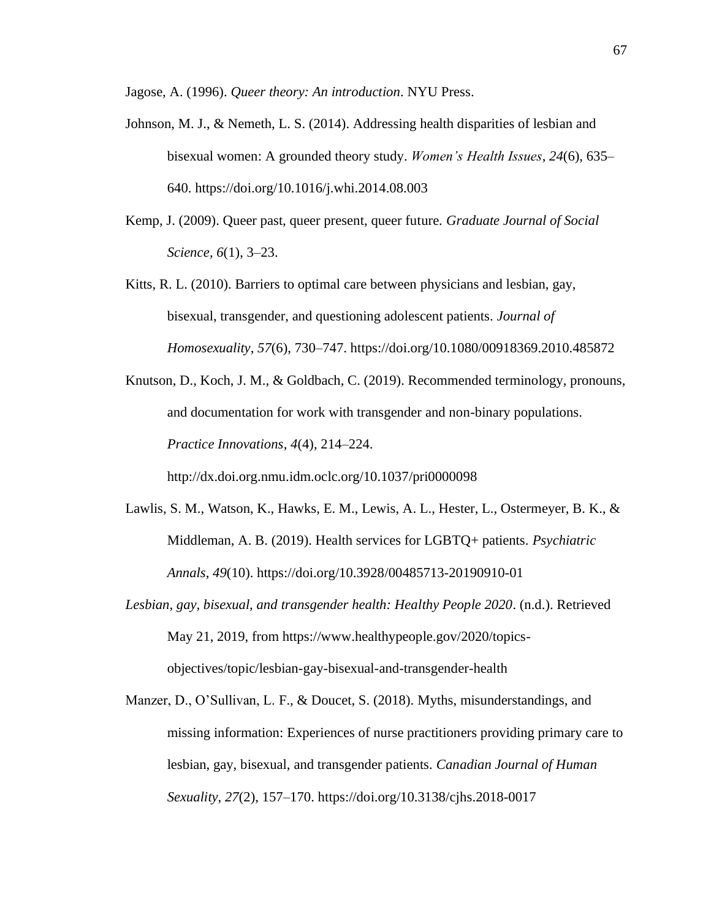Jagose, A. (1996). *Queer theory: An introduction*. NYU Press.

- Johnson, M. J., & Nemeth, L. S. (2014). Addressing health disparities of lesbian and bisexual women: A grounded theory study. *Women's Health Issues*, *24*(6), 635– 640. https://doi.org/10.1016/j.whi.2014.08.003
- Kemp, J. (2009). Queer past, queer present, queer future. *Graduate Journal of Social Science*, *6*(1), 3–23.
- Kitts, R. L. (2010). Barriers to optimal care between physicians and lesbian, gay, bisexual, transgender, and questioning adolescent patients. *Journal of Homosexuality*, *57*(6), 730–747. https://doi.org/10.1080/00918369.2010.485872

Knutson, D., Koch, J. M., & Goldbach, C. (2019). Recommended terminology, pronouns, and documentation for work with transgender and non-binary populations. *Practice Innovations*, *4*(4), 214–224.

http://dx.doi.org.nmu.idm.oclc.org/10.1037/pri0000098

- Lawlis, S. M., Watson, K., Hawks, E. M., Lewis, A. L., Hester, L., Ostermeyer, B. K., & Middleman, A. B. (2019). Health services for LGBTQ+ patients. *Psychiatric Annals*, *49*(10). https://doi.org/10.3928/00485713-20190910-01
- *Lesbian, gay, bisexual, and transgender health: Healthy People 2020*. (n.d.). Retrieved May 21, 2019, from https://www.healthypeople.gov/2020/topicsobjectives/topic/lesbian-gay-bisexual-and-transgender-health
- Manzer, D., O'Sullivan, L. F., & Doucet, S. (2018). Myths, misunderstandings, and missing information: Experiences of nurse practitioners providing primary care to lesbian, gay, bisexual, and transgender patients. *Canadian Journal of Human Sexuality*, *27*(2), 157–170. https://doi.org/10.3138/cjhs.2018-0017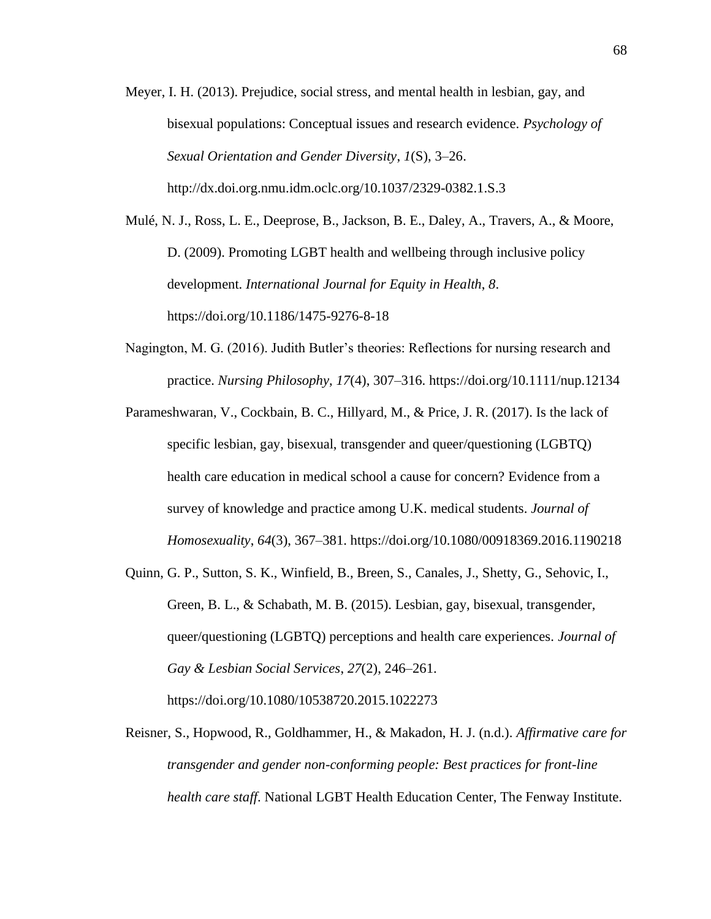Meyer, I. H. (2013). Prejudice, social stress, and mental health in lesbian, gay, and bisexual populations: Conceptual issues and research evidence. *Psychology of Sexual Orientation and Gender Diversity*, *1*(S), 3–26. http://dx.doi.org.nmu.idm.oclc.org/10.1037/2329-0382.1.S.3

Mulé, N. J., Ross, L. E., Deeprose, B., Jackson, B. E., Daley, A., Travers, A., & Moore, D. (2009). Promoting LGBT health and wellbeing through inclusive policy development. *International Journal for Equity in Health*, *8*. https://doi.org/10.1186/1475-9276-8-18

- Nagington, M. G. (2016). Judith Butler's theories: Reflections for nursing research and practice. *Nursing Philosophy*, *17*(4), 307–316. https://doi.org/10.1111/nup.12134
- Parameshwaran, V., Cockbain, B. C., Hillyard, M., & Price, J. R. (2017). Is the lack of specific lesbian, gay, bisexual, transgender and queer/questioning (LGBTQ) health care education in medical school a cause for concern? Evidence from a survey of knowledge and practice among U.K. medical students. *Journal of Homosexuality*, *64*(3), 367–381. https://doi.org/10.1080/00918369.2016.1190218
- Quinn, G. P., Sutton, S. K., Winfield, B., Breen, S., Canales, J., Shetty, G., Sehovic, I., Green, B. L., & Schabath, M. B. (2015). Lesbian, gay, bisexual, transgender, queer/questioning (LGBTQ) perceptions and health care experiences. *Journal of Gay & Lesbian Social Services*, *27*(2), 246–261. https://doi.org/10.1080/10538720.2015.1022273
- Reisner, S., Hopwood, R., Goldhammer, H., & Makadon, H. J. (n.d.). *Affirmative care for transgender and gender non-conforming people: Best practices for front-line health care staff*. National LGBT Health Education Center, The Fenway Institute.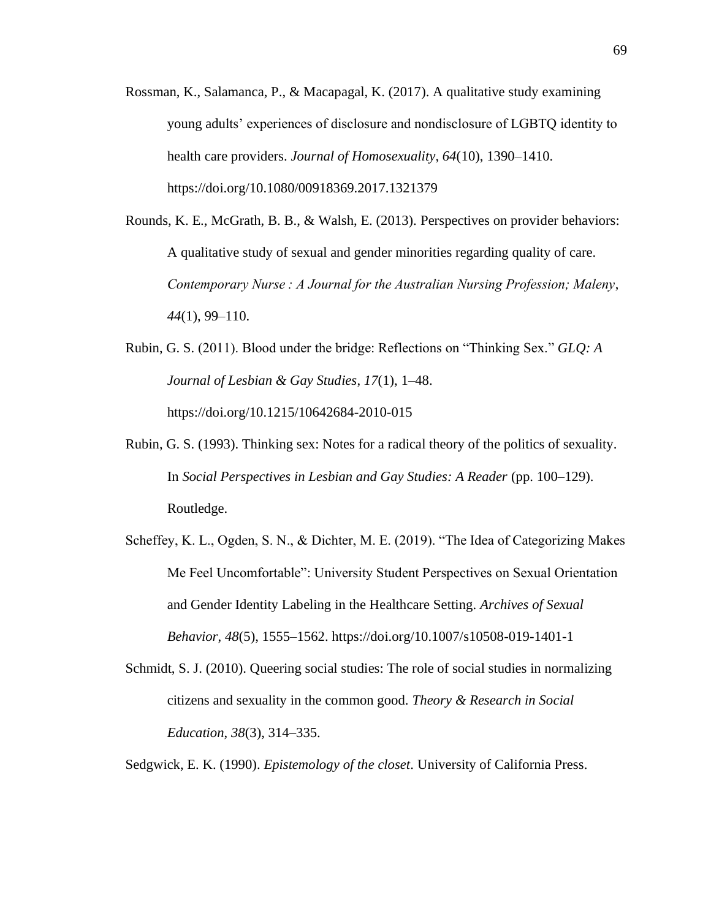- Rossman, K., Salamanca, P., & Macapagal, K. (2017). A qualitative study examining young adults' experiences of disclosure and nondisclosure of LGBTQ identity to health care providers. *Journal of Homosexuality*, *64*(10), 1390–1410. https://doi.org/10.1080/00918369.2017.1321379
- Rounds, K. E., McGrath, B. B., & Walsh, E. (2013). Perspectives on provider behaviors: A qualitative study of sexual and gender minorities regarding quality of care. *Contemporary Nurse : A Journal for the Australian Nursing Profession; Maleny*, *44*(1), 99–110.
- Rubin, G. S. (2011). Blood under the bridge: Reflections on "Thinking Sex." *GLQ: A Journal of Lesbian & Gay Studies*, *17*(1), 1–48. https://doi.org/10.1215/10642684-2010-015
- Rubin, G. S. (1993). Thinking sex: Notes for a radical theory of the politics of sexuality. In *Social Perspectives in Lesbian and Gay Studies: A Reader* (pp. 100–129). Routledge.
- Scheffey, K. L., Ogden, S. N., & Dichter, M. E. (2019). "The Idea of Categorizing Makes Me Feel Uncomfortable": University Student Perspectives on Sexual Orientation and Gender Identity Labeling in the Healthcare Setting. *Archives of Sexual Behavior*, *48*(5), 1555–1562. https://doi.org/10.1007/s10508-019-1401-1
- Schmidt, S. J. (2010). Queering social studies: The role of social studies in normalizing citizens and sexuality in the common good. *Theory & Research in Social Education*, *38*(3), 314–335.

Sedgwick, E. K. (1990). *Epistemology of the closet*. University of California Press.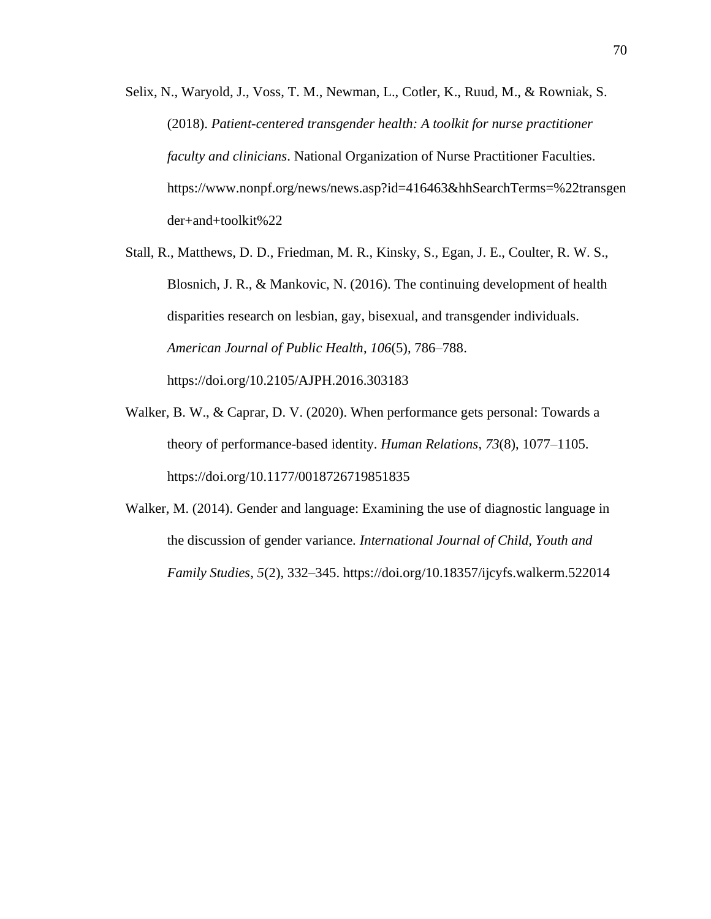- Selix, N., Waryold, J., Voss, T. M., Newman, L., Cotler, K., Ruud, M., & Rowniak, S. (2018). *Patient-centered transgender health: A toolkit for nurse practitioner faculty and clinicians*. National Organization of Nurse Practitioner Faculties. https://www.nonpf.org/news/news.asp?id=416463&hhSearchTerms=%22transgen der+and+toolkit%22
- Stall, R., Matthews, D. D., Friedman, M. R., Kinsky, S., Egan, J. E., Coulter, R. W. S., Blosnich, J. R., & Mankovic, N. (2016). The continuing development of health disparities research on lesbian, gay, bisexual, and transgender individuals. *American Journal of Public Health*, *106*(5), 786–788. https://doi.org/10.2105/AJPH.2016.303183
- Walker, B. W., & Caprar, D. V. (2020). When performance gets personal: Towards a theory of performance-based identity. *Human Relations*, *73*(8), 1077–1105. https://doi.org/10.1177/0018726719851835
- Walker, M. (2014). Gender and language: Examining the use of diagnostic language in the discussion of gender variance. *International Journal of Child, Youth and Family Studies*, *5*(2), 332–345. https://doi.org/10.18357/ijcyfs.walkerm.522014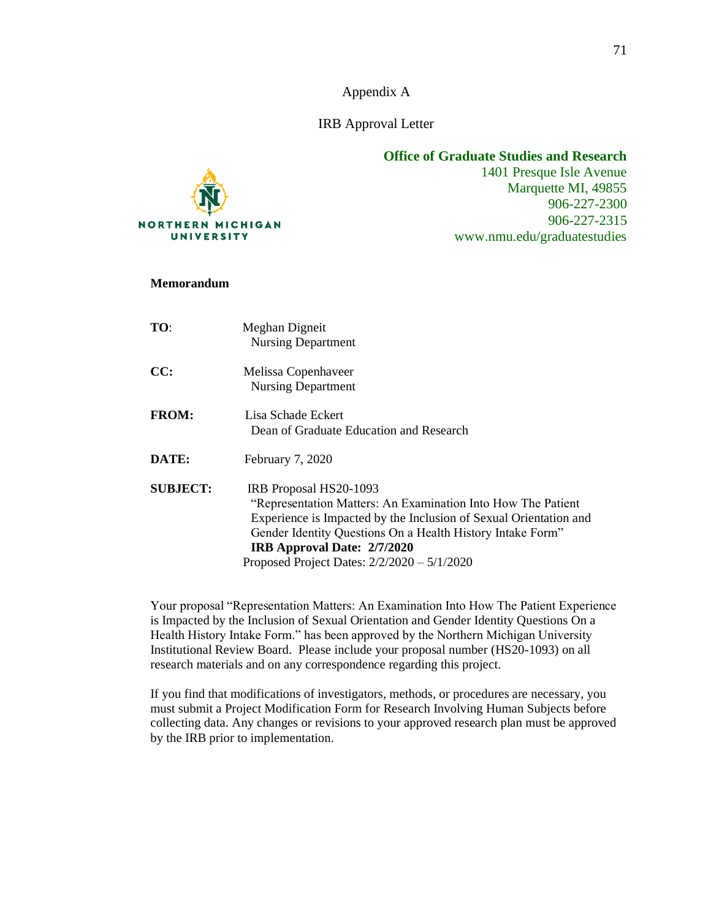Appendix A

IRB Approval Letter



**Office of Graduate Studies and Research**

1401 Presque Isle Avenue Marquette MI, 49855 906-227-2300 906-227-2315 www.nmu.edu/graduatestudies

#### **Memorandum**

| TO:             | Meghan Digneit<br><b>Nursing Department</b>                                                                                                                                                                                                                                                               |
|-----------------|-----------------------------------------------------------------------------------------------------------------------------------------------------------------------------------------------------------------------------------------------------------------------------------------------------------|
| CC:             | Melissa Copenhaveer<br><b>Nursing Department</b>                                                                                                                                                                                                                                                          |
| <b>FROM:</b>    | Lisa Schade Eckert<br>Dean of Graduate Education and Research                                                                                                                                                                                                                                             |
| DATE:           | February 7, 2020                                                                                                                                                                                                                                                                                          |
| <b>SUBJECT:</b> | IRB Proposal HS20-1093<br>"Representation Matters: An Examination Into How The Patient<br>Experience is Impacted by the Inclusion of Sexual Orientation and<br>Gender Identity Questions On a Health History Intake Form"<br>IRB Approval Date: 2/7/2020<br>Proposed Project Dates: $2/2/2020 - 5/1/2020$ |

Your proposal "Representation Matters: An Examination Into How The Patient Experience is Impacted by the Inclusion of Sexual Orientation and Gender Identity Questions On a Health History Intake Form." has been approved by the Northern Michigan University Institutional Review Board. Please include your proposal number (HS20-1093) on all research materials and on any correspondence regarding this project.

If you find that modifications of investigators, methods, or procedures are necessary, you must submit a Project Modification Form for Research Involving Human Subjects before collecting data. Any changes or revisions to your approved research plan must be approved by the IRB prior to implementation.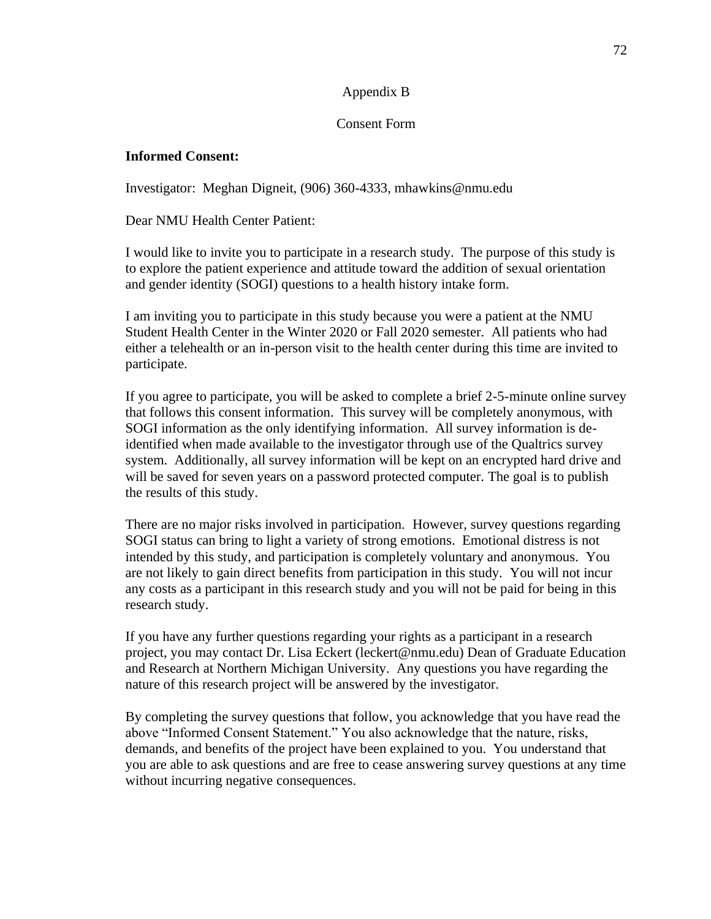## Appendix B

## Consent Form

## **Informed Consent:**

Investigator: Meghan Digneit, (906) 360-4333, mhawkins@nmu.edu

Dear NMU Health Center Patient:

I would like to invite you to participate in a research study. The purpose of this study is to explore the patient experience and attitude toward the addition of sexual orientation and gender identity (SOGI) questions to a health history intake form.

I am inviting you to participate in this study because you were a patient at the NMU Student Health Center in the Winter 2020 or Fall 2020 semester. All patients who had either a telehealth or an in-person visit to the health center during this time are invited to participate.

If you agree to participate, you will be asked to complete a brief 2-5-minute online survey that follows this consent information. This survey will be completely anonymous, with SOGI information as the only identifying information. All survey information is deidentified when made available to the investigator through use of the Qualtrics survey system. Additionally, all survey information will be kept on an encrypted hard drive and will be saved for seven years on a password protected computer. The goal is to publish the results of this study.

There are no major risks involved in participation. However, survey questions regarding SOGI status can bring to light a variety of strong emotions. Emotional distress is not intended by this study, and participation is completely voluntary and anonymous. You are not likely to gain direct benefits from participation in this study. You will not incur any costs as a participant in this research study and you will not be paid for being in this research study.

If you have any further questions regarding your rights as a participant in a research project, you may contact Dr. Lisa Eckert (leckert@nmu.edu) Dean of Graduate Education and Research at Northern Michigan University. Any questions you have regarding the nature of this research project will be answered by the investigator.

By completing the survey questions that follow, you acknowledge that you have read the above "Informed Consent Statement." You also acknowledge that the nature, risks, demands, and benefits of the project have been explained to you. You understand that you are able to ask questions and are free to cease answering survey questions at any time without incurring negative consequences.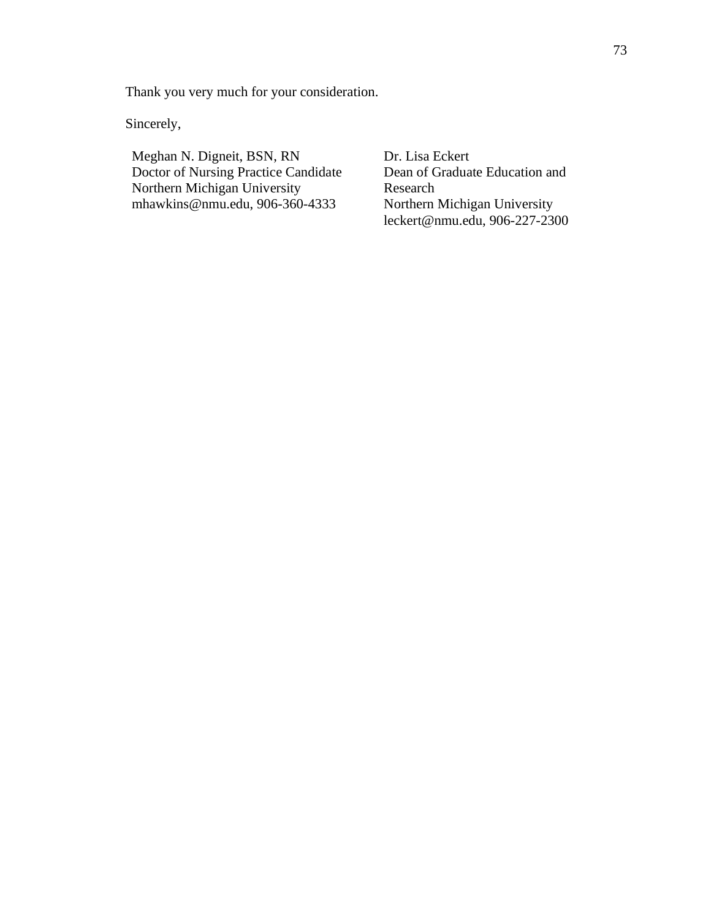Thank you very much for your consideration.

Sincerely,

Meghan N. Digneit, BSN, RN Doctor of Nursing Practice Candidate Northern Michigan University mhawkins@nmu.edu, 906-360-4333

Dr. Lisa Eckert Dean of Graduate Education and Research Northern Michigan University leckert@nmu.edu, 906-227-2300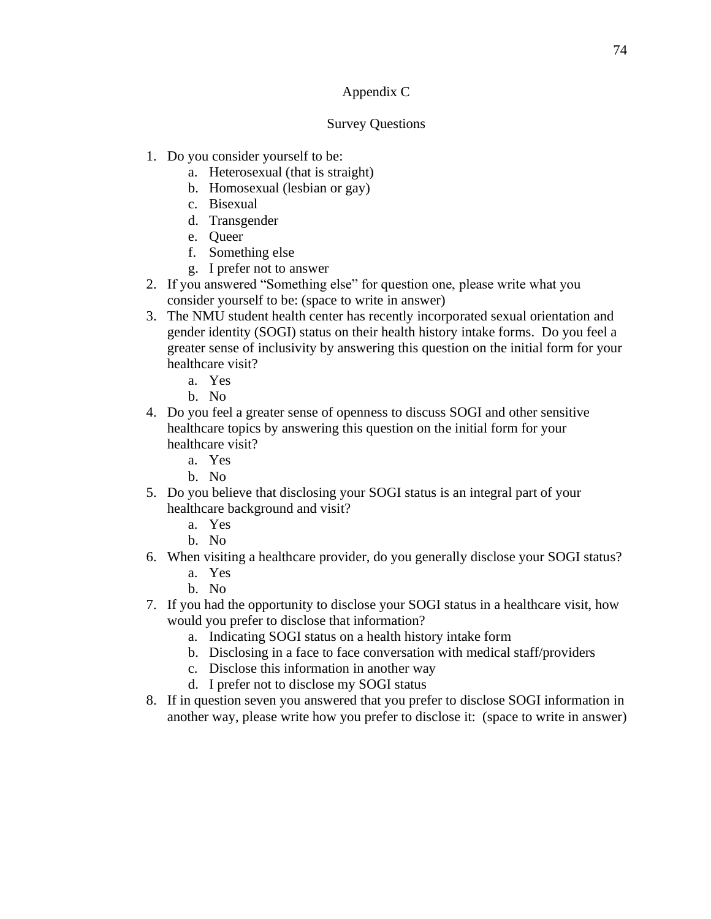# Appendix C

## Survey Questions

- 1. Do you consider yourself to be:
	- a. Heterosexual (that is straight)
	- b. Homosexual (lesbian or gay)
	- c. Bisexual
	- d. Transgender
	- e. Queer
	- f. Something else
	- g. I prefer not to answer
- 2. If you answered "Something else" for question one, please write what you consider yourself to be: (space to write in answer)
- 3. The NMU student health center has recently incorporated sexual orientation and gender identity (SOGI) status on their health history intake forms. Do you feel a greater sense of inclusivity by answering this question on the initial form for your healthcare visit?
	- a. Yes
	- b. No
- 4. Do you feel a greater sense of openness to discuss SOGI and other sensitive healthcare topics by answering this question on the initial form for your healthcare visit?
	- a. Yes
	- b. No
- 5. Do you believe that disclosing your SOGI status is an integral part of your healthcare background and visit?
	- a. Yes
	- b. No
- 6. When visiting a healthcare provider, do you generally disclose your SOGI status?
	- a. Yes
	- b. No
- 7. If you had the opportunity to disclose your SOGI status in a healthcare visit, how would you prefer to disclose that information?
	- a. Indicating SOGI status on a health history intake form
	- b. Disclosing in a face to face conversation with medical staff/providers
	- c. Disclose this information in another way
	- d. I prefer not to disclose my SOGI status
- 8. If in question seven you answered that you prefer to disclose SOGI information in another way, please write how you prefer to disclose it: (space to write in answer)